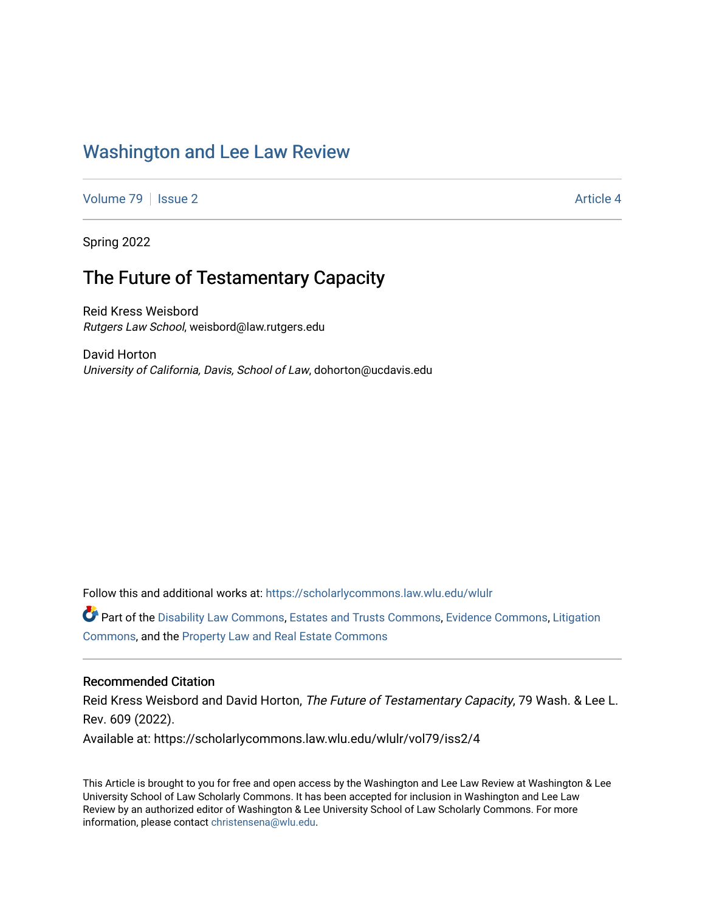# [Washington and Lee Law Review](https://scholarlycommons.law.wlu.edu/wlulr)

[Volume 79](https://scholarlycommons.law.wlu.edu/wlulr/vol79) | [Issue 2](https://scholarlycommons.law.wlu.edu/wlulr/vol79/iss2) Article 4

Spring 2022

# The Future of Testamentary Capacity

Reid Kress Weisbord Rutgers Law School, weisbord@law.rutgers.edu

David Horton University of California, Davis, School of Law, dohorton@ucdavis.edu

Follow this and additional works at: [https://scholarlycommons.law.wlu.edu/wlulr](https://scholarlycommons.law.wlu.edu/wlulr?utm_source=scholarlycommons.law.wlu.edu%2Fwlulr%2Fvol79%2Fiss2%2F4&utm_medium=PDF&utm_campaign=PDFCoverPages) 

Part of the [Disability Law Commons](http://network.bepress.com/hgg/discipline/1074?utm_source=scholarlycommons.law.wlu.edu%2Fwlulr%2Fvol79%2Fiss2%2F4&utm_medium=PDF&utm_campaign=PDFCoverPages), [Estates and Trusts Commons](http://network.bepress.com/hgg/discipline/906?utm_source=scholarlycommons.law.wlu.edu%2Fwlulr%2Fvol79%2Fiss2%2F4&utm_medium=PDF&utm_campaign=PDFCoverPages), [Evidence Commons,](http://network.bepress.com/hgg/discipline/601?utm_source=scholarlycommons.law.wlu.edu%2Fwlulr%2Fvol79%2Fiss2%2F4&utm_medium=PDF&utm_campaign=PDFCoverPages) [Litigation](http://network.bepress.com/hgg/discipline/910?utm_source=scholarlycommons.law.wlu.edu%2Fwlulr%2Fvol79%2Fiss2%2F4&utm_medium=PDF&utm_campaign=PDFCoverPages)  [Commons](http://network.bepress.com/hgg/discipline/910?utm_source=scholarlycommons.law.wlu.edu%2Fwlulr%2Fvol79%2Fiss2%2F4&utm_medium=PDF&utm_campaign=PDFCoverPages), and the [Property Law and Real Estate Commons](http://network.bepress.com/hgg/discipline/897?utm_source=scholarlycommons.law.wlu.edu%2Fwlulr%2Fvol79%2Fiss2%2F4&utm_medium=PDF&utm_campaign=PDFCoverPages) 

### Recommended Citation

Reid Kress Weisbord and David Horton, The Future of Testamentary Capacity, 79 Wash. & Lee L. Rev. 609 (2022). Available at: https://scholarlycommons.law.wlu.edu/wlulr/vol79/iss2/4

This Article is brought to you for free and open access by the Washington and Lee Law Review at Washington & Lee University School of Law Scholarly Commons. It has been accepted for inclusion in Washington and Lee Law Review by an authorized editor of Washington & Lee University School of Law Scholarly Commons. For more information, please contact [christensena@wlu.edu](mailto:christensena@wlu.edu).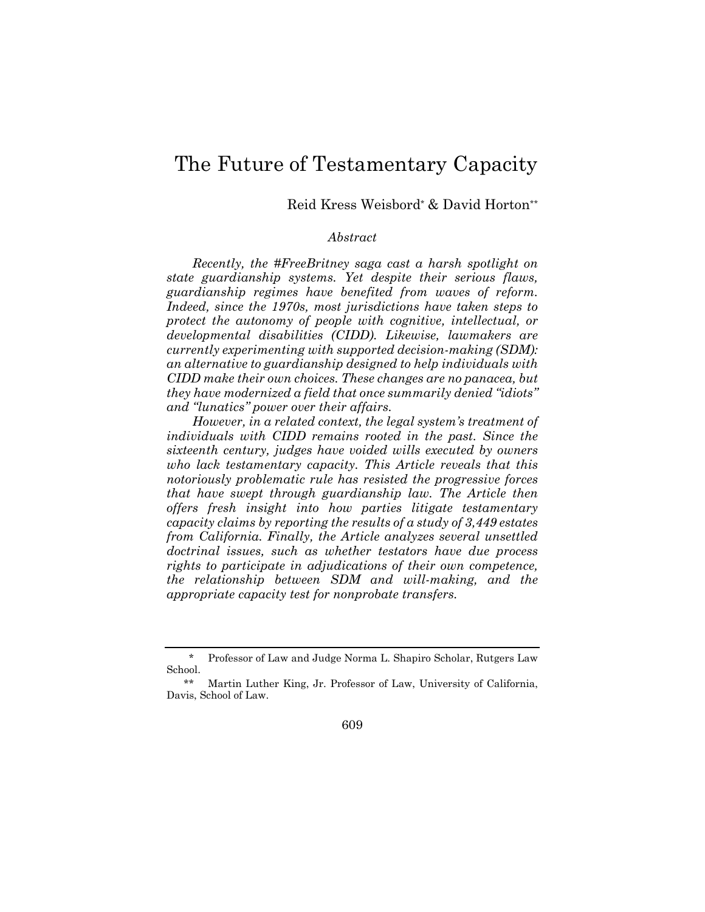# The Future of Testamentary Capacity

Reid Kress Weisbord\* & David Horton\*\*

## *Abstract*

*Recently, the #FreeBritney saga cast a harsh spotlight on state guardianship systems. Yet despite their serious flaws, guardianship regimes have benefited from waves of reform. Indeed, since the 1970s, most jurisdictions have taken steps to protect the autonomy of people with cognitive, intellectual, or developmental disabilities (CIDD). Likewise, lawmakers are currently experimenting with supported decision-making (SDM): an alternative to guardianship designed to help individuals with CIDD make their own choices. These changes are no panacea, but they have modernized a field that once summarily denied "idiots" and "lunatics" power over their affairs.* 

*However, in a related context, the legal system's treatment of individuals with CIDD remains rooted in the past. Since the sixteenth century, judges have voided wills executed by owners who lack testamentary capacity. This Article reveals that this notoriously problematic rule has resisted the progressive forces that have swept through guardianship law. The Article then offers fresh insight into how parties litigate testamentary capacity claims by reporting the results of a study of 3,449 estates from California. Finally, the Article analyzes several unsettled doctrinal issues, such as whether testators have due process rights to participate in adjudications of their own competence, the relationship between SDM and will-making, and the appropriate capacity test for nonprobate transfers.* 

609

<sup>\*</sup> Professor of Law and Judge Norma L. Shapiro Scholar, Rutgers Law School.

<sup>\*\*</sup> Martin Luther King, Jr. Professor of Law, University of California, Davis, School of Law.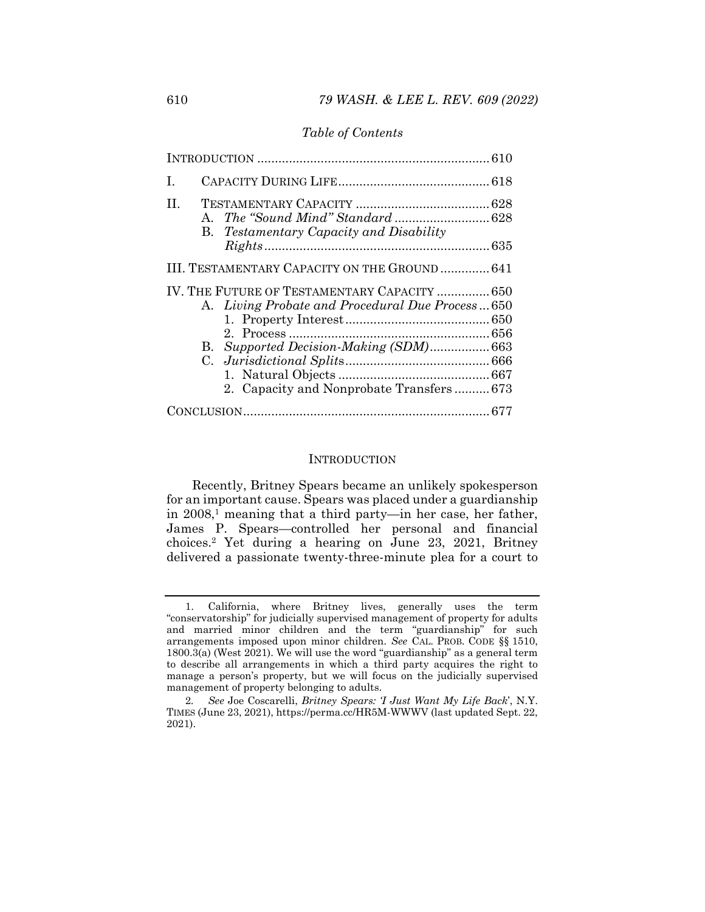#### *Table of Contents*

| T.                                            |                                                                                                                                                                                     |  |  |  |  |  |
|-----------------------------------------------|-------------------------------------------------------------------------------------------------------------------------------------------------------------------------------------|--|--|--|--|--|
| H.                                            | <b>B.</b> Testamentary Capacity and Disability                                                                                                                                      |  |  |  |  |  |
| III. TESTAMENTARY CAPACITY ON THE GROUND  641 |                                                                                                                                                                                     |  |  |  |  |  |
|                                               | IV. THE FUTURE OF TESTAMENTARY CAPACITY  650<br>A. Living Probate and Procedural Due Process650<br>B. Supported Decision-Making (SDM)663<br>2. Capacity and Nonprobate Transfers673 |  |  |  |  |  |
|                                               |                                                                                                                                                                                     |  |  |  |  |  |

#### **INTRODUCTION**

Recently, Britney Spears became an unlikely spokesperson for an important cause. Spears was placed under a guardianship in  $2008$ ,<sup>1</sup> meaning that a third party—in her case, her father, James P. Spears—controlled her personal and financial choices.2 Yet during a hearing on June 23, 2021, Britney delivered a passionate twenty-three-minute plea for a court to

 <sup>1.</sup> California, where Britney lives, generally uses the term "conservatorship" for judicially supervised management of property for adults and married minor children and the term "guardianship" for such arrangements imposed upon minor children. *See* CAL. PROB. CODE §§ 1510, 1800.3(a) (West 2021). We will use the word "guardianship" as a general term to describe all arrangements in which a third party acquires the right to manage a person's property, but we will focus on the judicially supervised management of property belonging to adults.

<sup>2</sup>*. See* Joe Coscarelli, *Britney Spears: 'I Just Want My Life Back*', N.Y. TIMES (June 23, 2021), https://perma.cc/HR5M-WWWV (last updated Sept. 22, 2021).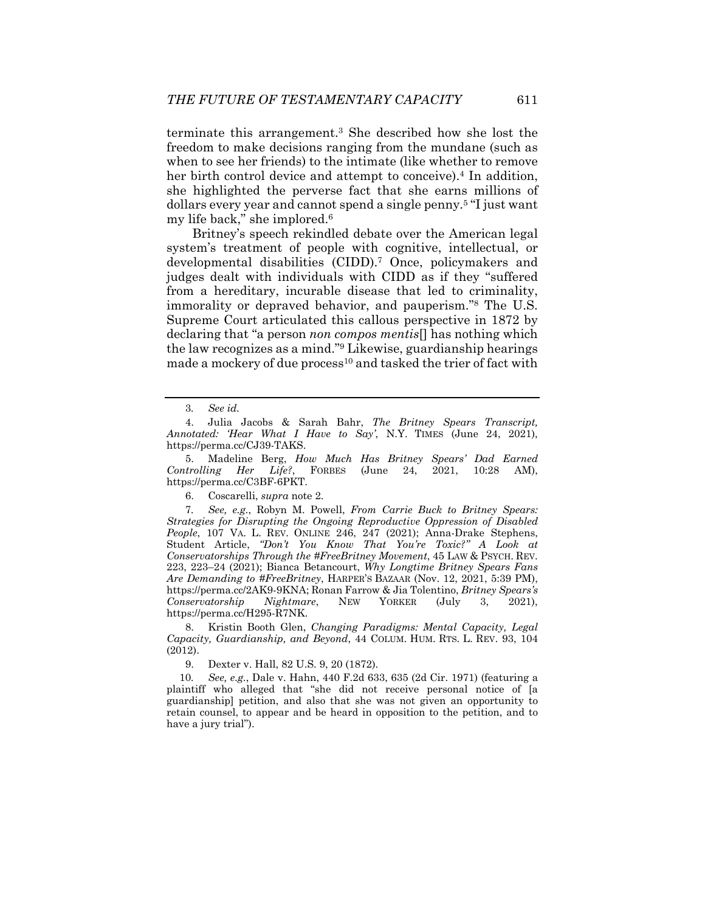terminate this arrangement.3 She described how she lost the freedom to make decisions ranging from the mundane (such as when to see her friends) to the intimate (like whether to remove her birth control device and attempt to conceive).<sup>4</sup> In addition, she highlighted the perverse fact that she earns millions of dollars every year and cannot spend a single penny.5 "I just want my life back," she implored.6

Britney's speech rekindled debate over the American legal system's treatment of people with cognitive, intellectual, or developmental disabilities (CIDD).7 Once, policymakers and judges dealt with individuals with CIDD as if they "suffered from a hereditary, incurable disease that led to criminality, immorality or depraved behavior, and pauperism."8 The U.S. Supreme Court articulated this callous perspective in 1872 by declaring that "a person *non compos mentis*[] has nothing which the law recognizes as a mind."9 Likewise, guardianship hearings made a mockery of due process<sup>10</sup> and tasked the trier of fact with

 5. Madeline Berg, *How Much Has Britney Spears' Dad Earned Controlling Her Life?*, FORBES (June 24, 2021, 10:28 AM), https://perma.cc/C3BF-6PKT.

6. Coscarelli, *supra* note 2.

7*. See, e.g.*, Robyn M. Powell, *From Carrie Buck to Britney Spears: Strategies for Disrupting the Ongoing Reproductive Oppression of Disabled People*, 107 VA. L. REV. ONLINE 246, 247 (2021); Anna-Drake Stephens, Student Article, *"Don't You Know That You're Toxic?" A Look at Conservatorships Through the #FreeBritney Movement*, 45 LAW & PSYCH. REV. 223, 223–24 (2021); Bianca Betancourt, *Why Longtime Britney Spears Fans Are Demanding to #FreeBritney*, HARPER'S BAZAAR (Nov. 12, 2021, 5:39 PM), https://perma.cc/2AK9-9KNA; Ronan Farrow & Jia Tolentino, *Britney Spears's Conservatorship Nightmare*, NEW YORKER (July 3, 2021), https://perma.cc/H295-R7NK.

 8. Kristin Booth Glen, *Changing Paradigms: Mental Capacity, Legal Capacity, Guardianship, and Beyond*, 44 COLUM. HUM. RTS. L. REV. 93, 104 (2012).

9. Dexter v. Hall, 82 U.S. 9, 20 (1872).

10*. See, e.g.*, Dale v. Hahn, 440 F.2d 633, 635 (2d Cir. 1971) (featuring a plaintiff who alleged that "she did not receive personal notice of [a guardianship] petition, and also that she was not given an opportunity to retain counsel, to appear and be heard in opposition to the petition, and to have a jury trial").

<sup>3</sup>*. See id.* 

 <sup>4.</sup> Julia Jacobs & Sarah Bahr, *The Britney Spears Transcript, Annotated: 'Hear What I Have to Say'*, N.Y. TIMES (June 24, 2021), https://perma.cc/CJ39-TAKS.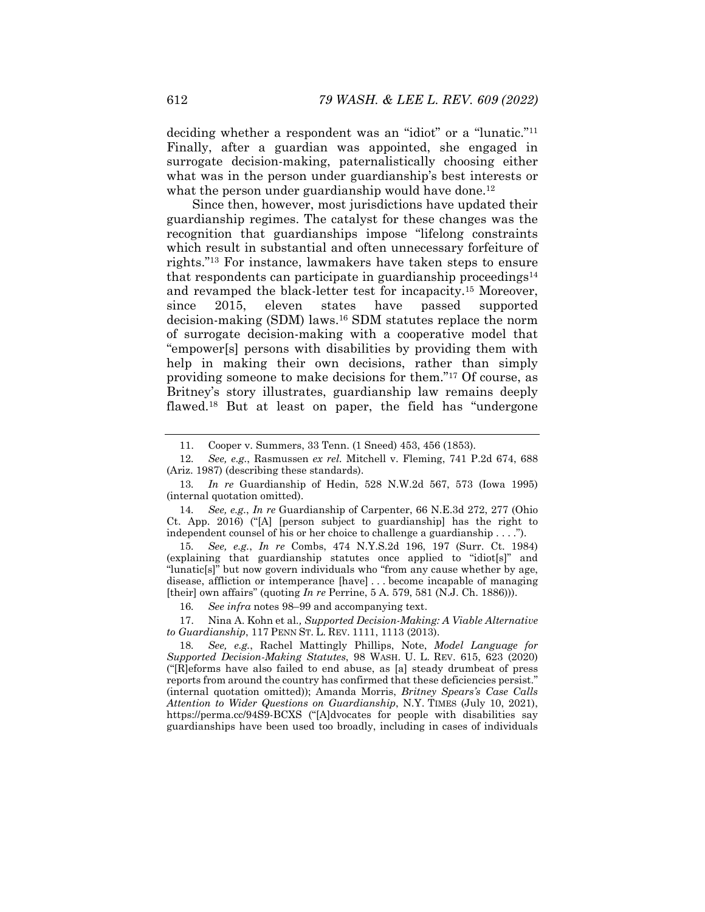deciding whether a respondent was an "idiot" or a "lunatic."11 Finally, after a guardian was appointed, she engaged in surrogate decision-making, paternalistically choosing either what was in the person under guardianship's best interests or what the person under guardianship would have done.<sup>12</sup>

Since then, however, most jurisdictions have updated their guardianship regimes. The catalyst for these changes was the recognition that guardianships impose "lifelong constraints which result in substantial and often unnecessary forfeiture of rights."13 For instance, lawmakers have taken steps to ensure that respondents can participate in guardianship proceedings<sup>14</sup> and revamped the black-letter test for incapacity.15 Moreover, since 2015, eleven states have passed supported decision-making (SDM) laws.16 SDM statutes replace the norm of surrogate decision-making with a cooperative model that "empower[s] persons with disabilities by providing them with help in making their own decisions, rather than simply providing someone to make decisions for them."17 Of course, as Britney's story illustrates, guardianship law remains deeply flawed.18 But at least on paper, the field has "undergone

14*. See, e.g.*, *In re* Guardianship of Carpenter, 66 N.E.3d 272, 277 (Ohio Ct. App. 2016) ("[A] [person subject to guardianship] has the right to independent counsel of his or her choice to challenge a guardianship . . . .").

15*. See, e.g.*, *In re* Combs, 474 N.Y.S.2d 196, 197 (Surr. Ct. 1984) (explaining that guardianship statutes once applied to "idiot[s]" and "lunatic[s]" but now govern individuals who "from any cause whether by age, disease, affliction or intemperance [have] . . . become incapable of managing [their] own affairs" (quoting *In re* Perrine, 5 A. 579, 581 (N.J. Ch. 1886))).

16*. See infra* notes 98–99 and accompanying text.

 17. Nina A. Kohn et al*., Supported Decision-Making: A Viable Alternative to Guardianship*, 117 PENN ST. L. REV. 1111, 1113 (2013).

 <sup>11.</sup> Cooper v. Summers, 33 Tenn. (1 Sneed) 453, 456 (1853).

<sup>12</sup>*. See, e.g.*, Rasmussen *ex rel.* Mitchell v. Fleming, 741 P.2d 674, 688 (Ariz. 1987) (describing these standards).

<sup>13</sup>*. In re* Guardianship of Hedin, 528 N.W.2d 567, 573 (Iowa 1995) (internal quotation omitted).

<sup>18</sup>*. See, e.g.*, Rachel Mattingly Phillips, Note, *Model Language for Supported Decision-Making Statutes*, 98 WASH. U. L. REV. 615, 623 (2020) ("[R]eforms have also failed to end abuse, as [a] steady drumbeat of press reports from around the country has confirmed that these deficiencies persist." (internal quotation omitted)); Amanda Morris, *Britney Spears's Case Calls Attention to Wider Questions on Guardianship*, N.Y. TIMES (July 10, 2021), https://perma.cc/94S9-BCXS ("[A]dvocates for people with disabilities say guardianships have been used too broadly, including in cases of individuals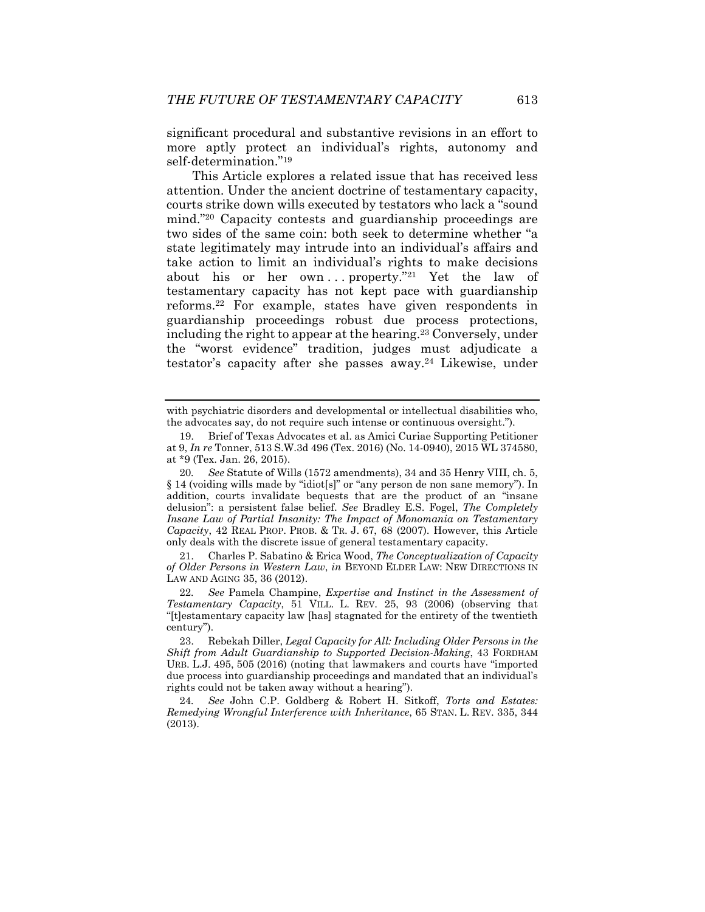significant procedural and substantive revisions in an effort to more aptly protect an individual's rights, autonomy and self-determination."19

This Article explores a related issue that has received less attention. Under the ancient doctrine of testamentary capacity, courts strike down wills executed by testators who lack a "sound mind."20 Capacity contests and guardianship proceedings are two sides of the same coin: both seek to determine whether "a state legitimately may intrude into an individual's affairs and take action to limit an individual's rights to make decisions about his or her own...property."<sup>21</sup> Yet the law of testamentary capacity has not kept pace with guardianship reforms.22 For example, states have given respondents in guardianship proceedings robust due process protections, including the right to appear at the hearing.23 Conversely, under the "worst evidence" tradition, judges must adjudicate a testator's capacity after she passes away.24 Likewise, under

 21. Charles P. Sabatino & Erica Wood, *The Conceptualization of Capacity of Older Persons in Western Law*, *in* BEYOND ELDER LAW: NEW DIRECTIONS IN LAW AND AGING 35, 36 (2012).

22*. See* Pamela Champine, *Expertise and Instinct in the Assessment of Testamentary Capacity*, 51 VILL. L. REV. 25, 93 (2006) (observing that "[t]estamentary capacity law [has] stagnated for the entirety of the twentieth century").

 23. Rebekah Diller, *Legal Capacity for All: Including Older Persons in the Shift from Adult Guardianship to Supported Decision-Making*, 43 FORDHAM URB. L.J. 495, 505 (2016) (noting that lawmakers and courts have "imported due process into guardianship proceedings and mandated that an individual's rights could not be taken away without a hearing").

24*. See* John C.P. Goldberg & Robert H. Sitkoff, *Torts and Estates: Remedying Wrongful Interference with Inheritance*, 65 STAN. L. REV. 335, 344 (2013).

with psychiatric disorders and developmental or intellectual disabilities who, the advocates say, do not require such intense or continuous oversight.").

 <sup>19.</sup> Brief of Texas Advocates et al. as Amici Curiae Supporting Petitioner at 9, *In re* Tonner, 513 S.W.3d 496 (Tex. 2016) (No. 14-0940), 2015 WL 374580, at \*9 (Tex. Jan. 26, 2015).

<sup>20</sup>*. See* Statute of Wills (1572 amendments), 34 and 35 Henry VIII, ch. 5, § 14 (voiding wills made by "idiot[s]" or "any person de non sane memory"). In addition, courts invalidate bequests that are the product of an "insane delusion": a persistent false belief. *See* Bradley E.S. Fogel, *The Completely Insane Law of Partial Insanity: The Impact of Monomania on Testamentary Capacity*, 42 REAL PROP. PROB. & TR. J. 67, 68 (2007). However, this Article only deals with the discrete issue of general testamentary capacity.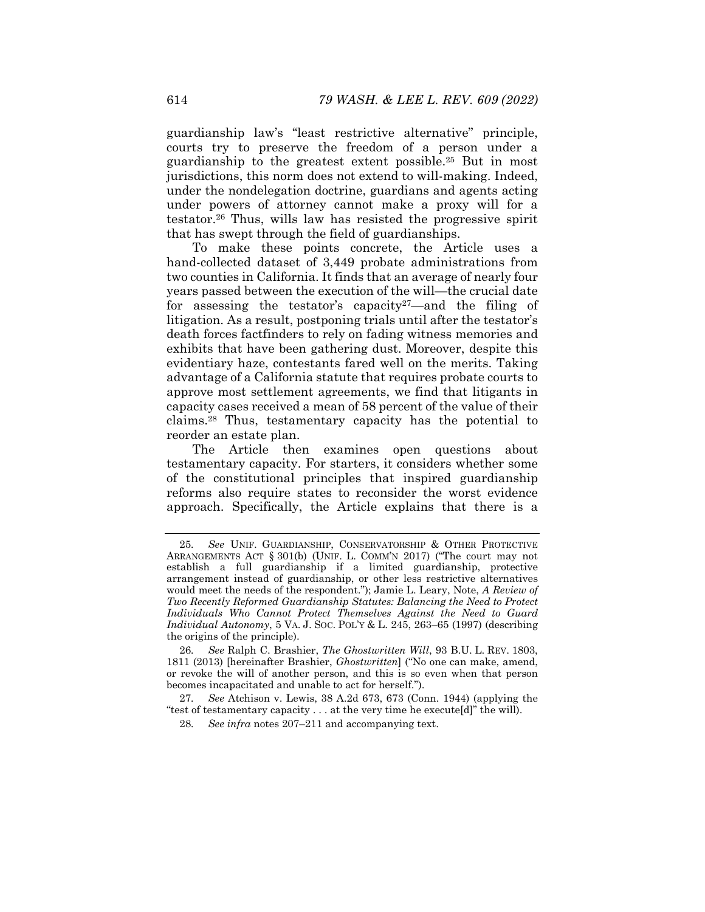guardianship law's "least restrictive alternative" principle, courts try to preserve the freedom of a person under a guardianship to the greatest extent possible.25 But in most jurisdictions, this norm does not extend to will-making. Indeed, under the nondelegation doctrine, guardians and agents acting under powers of attorney cannot make a proxy will for a testator.26 Thus, wills law has resisted the progressive spirit that has swept through the field of guardianships.

To make these points concrete, the Article uses a hand-collected dataset of 3,449 probate administrations from two counties in California. It finds that an average of nearly four years passed between the execution of the will—the crucial date for assessing the testator's capacity<sup>27</sup>—and the filing of litigation. As a result, postponing trials until after the testator's death forces factfinders to rely on fading witness memories and exhibits that have been gathering dust. Moreover, despite this evidentiary haze, contestants fared well on the merits. Taking advantage of a California statute that requires probate courts to approve most settlement agreements, we find that litigants in capacity cases received a mean of 58 percent of the value of their claims.28 Thus, testamentary capacity has the potential to reorder an estate plan.

The Article then examines open questions about testamentary capacity. For starters, it considers whether some of the constitutional principles that inspired guardianship reforms also require states to reconsider the worst evidence approach. Specifically, the Article explains that there is a

<sup>25</sup>*. See* UNIF. GUARDIANSHIP, CONSERVATORSHIP & OTHER PROTECTIVE ARRANGEMENTS ACT § 301(b) (UNIF. L. COMM'N 2017) ("The court may not establish a full guardianship if a limited guardianship, protective arrangement instead of guardianship, or other less restrictive alternatives would meet the needs of the respondent."); Jamie L. Leary, Note, *A Review of Two Recently Reformed Guardianship Statutes: Balancing the Need to Protect Individuals Who Cannot Protect Themselves Against the Need to Guard Individual Autonomy*, 5 VA. J. SOC. POL'Y & L. 245, 263–65 (1997) (describing the origins of the principle).

<sup>26</sup>*. See* Ralph C. Brashier, *The Ghostwritten Will*, 93 B.U. L. REV. 1803, 1811 (2013) [hereinafter Brashier, *Ghostwritten*] ("No one can make, amend, or revoke the will of another person, and this is so even when that person becomes incapacitated and unable to act for herself.").

<sup>27</sup>*. See* Atchison v. Lewis, 38 A.2d 673, 673 (Conn. 1944) (applying the "test of testamentary capacity . . . at the very time he execute[d]" the will).

<sup>28</sup>*. See infra* notes 207–211 and accompanying text.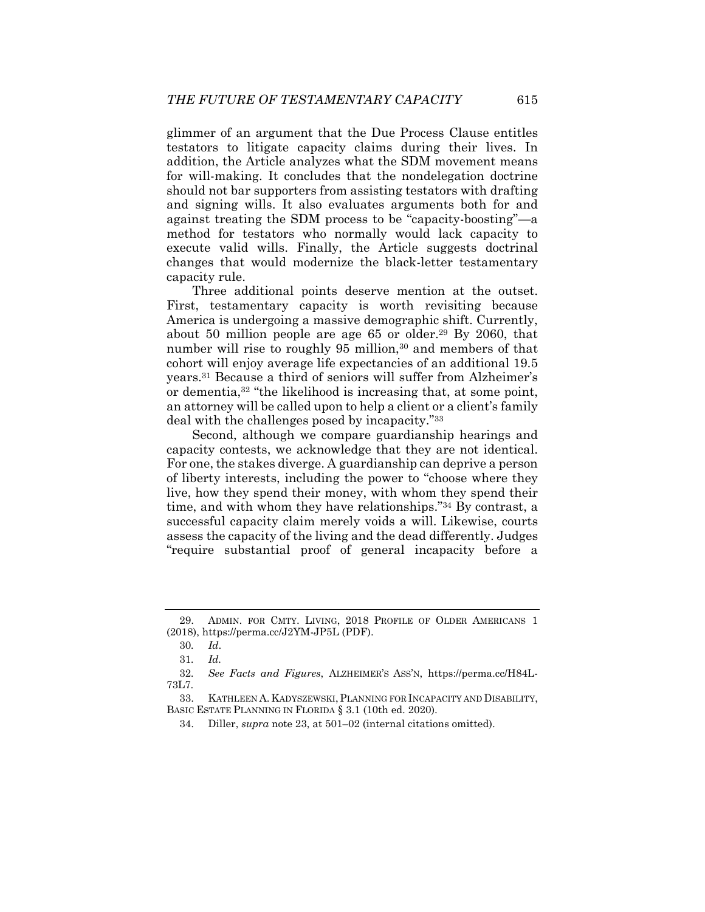glimmer of an argument that the Due Process Clause entitles testators to litigate capacity claims during their lives. In addition, the Article analyzes what the SDM movement means for will-making. It concludes that the nondelegation doctrine should not bar supporters from assisting testators with drafting and signing wills. It also evaluates arguments both for and against treating the SDM process to be "capacity-boosting"—a method for testators who normally would lack capacity to execute valid wills. Finally, the Article suggests doctrinal changes that would modernize the black-letter testamentary capacity rule.

Three additional points deserve mention at the outset. First, testamentary capacity is worth revisiting because America is undergoing a massive demographic shift. Currently, about 50 million people are age 65 or older.<sup>29</sup> By 2060, that number will rise to roughly 95 million,<sup>30</sup> and members of that cohort will enjoy average life expectancies of an additional 19.5 years.31 Because a third of seniors will suffer from Alzheimer's or dementia,32 "the likelihood is increasing that, at some point, an attorney will be called upon to help a client or a client's family deal with the challenges posed by incapacity."33

Second, although we compare guardianship hearings and capacity contests, we acknowledge that they are not identical. For one, the stakes diverge. A guardianship can deprive a person of liberty interests, including the power to "choose where they live, how they spend their money, with whom they spend their time, and with whom they have relationships."34 By contrast, a successful capacity claim merely voids a will. Likewise, courts assess the capacity of the living and the dead differently. Judges "require substantial proof of general incapacity before a

 <sup>29.</sup> ADMIN. FOR CMTY. LIVING, 2018 PROFILE OF OLDER AMERICANS 1 (2018), https://perma.cc/J2YM-JP5L (PDF).

<sup>30</sup>*. Id*.

<sup>31</sup>*. Id.* 

<sup>32</sup>*. See Facts and Figures*, ALZHEIMER'S ASS'N, https://perma.cc/H84L-73L7.

 <sup>33.</sup> KATHLEEN A. KADYSZEWSKI,PLANNING FOR INCAPACITY AND DISABILITY, BASIC ESTATE PLANNING IN FLORIDA § 3.1 (10th ed. 2020).

 <sup>34.</sup> Diller, *supra* note 23, at 501–02 (internal citations omitted).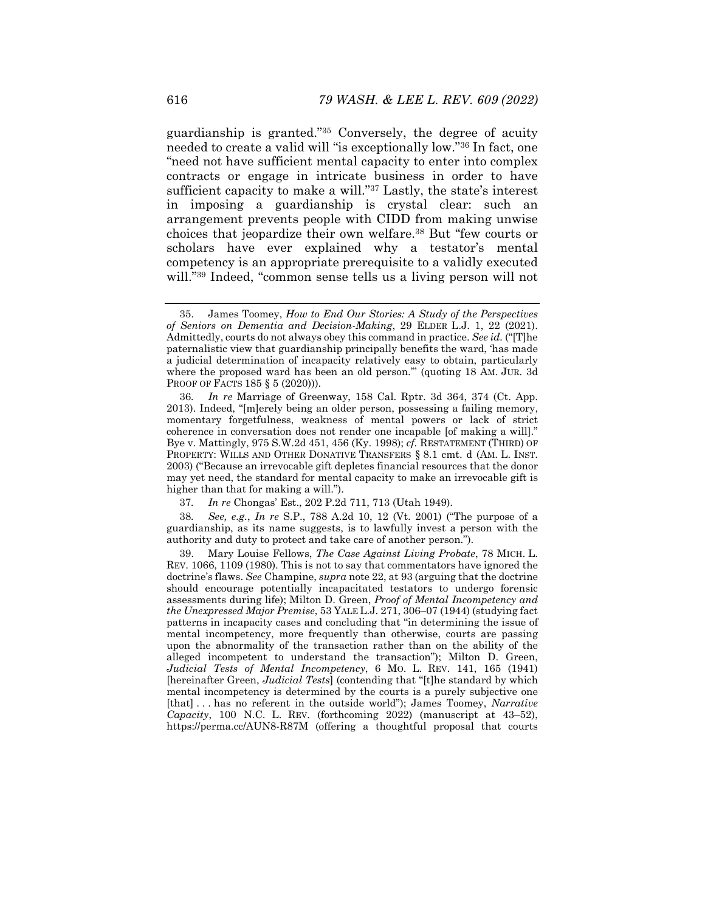guardianship is granted."35 Conversely, the degree of acuity needed to create a valid will "is exceptionally low."36 In fact, one "need not have sufficient mental capacity to enter into complex contracts or engage in intricate business in order to have sufficient capacity to make a will."<sup>37</sup> Lastly, the state's interest in imposing a guardianship is crystal clear: such an arrangement prevents people with CIDD from making unwise choices that jeopardize their own welfare.38 But "few courts or scholars have ever explained why a testator's mental competency is an appropriate prerequisite to a validly executed will."39 Indeed, "common sense tells us a living person will not

37*. In re* Chongas' Est., 202 P.2d 711, 713 (Utah 1949).

38*. See, e.g.*, *In re* S.P., 788 A.2d 10, 12 (Vt. 2001) ("The purpose of a guardianship, as its name suggests, is to lawfully invest a person with the authority and duty to protect and take care of another person.").

 39. Mary Louise Fellows, *The Case Against Living Probate*, 78 MICH. L. REV. 1066, 1109 (1980). This is not to say that commentators have ignored the doctrine's flaws. *See* Champine, *supra* note 22, at 93 (arguing that the doctrine should encourage potentially incapacitated testators to undergo forensic assessments during life); Milton D. Green, *Proof of Mental Incompetency and the Unexpressed Major Premise*, 53 YALE L.J. 271, 306–07 (1944) (studying fact patterns in incapacity cases and concluding that "in determining the issue of mental incompetency, more frequently than otherwise, courts are passing upon the abnormality of the transaction rather than on the ability of the alleged incompetent to understand the transaction"); Milton D. Green, *Judicial Tests of Mental Incompetency*, 6 MO. L. REV. 141, 165 (1941) [hereinafter Green, *Judicial Tests*] (contending that "[t]he standard by which mental incompetency is determined by the courts is a purely subjective one [that] . . . has no referent in the outside world"); James Toomey, *Narrative Capacity*, 100 N.C. L. REV. (forthcoming 2022) (manuscript at 43–52), https://perma.cc/AUN8-R87M (offering a thoughtful proposal that courts

 <sup>35.</sup> James Toomey, *How to End Our Stories: A Study of the Perspectives of Seniors on Dementia and Decision-Making*, 29 ELDER L.J. 1, 22 (2021). Admittedly, courts do not always obey this command in practice. *See id.* ("[T]he paternalistic view that guardianship principally benefits the ward, 'has made a judicial determination of incapacity relatively easy to obtain, particularly where the proposed ward has been an old person.'" (quoting 18 AM. JUR. 3d PROOF OF FACTS 185 § 5 (2020))).

<sup>36</sup>*. In re* Marriage of Greenway, 158 Cal. Rptr. 3d 364, 374 (Ct. App. 2013). Indeed, "[m]erely being an older person, possessing a failing memory, momentary forgetfulness, weakness of mental powers or lack of strict coherence in conversation does not render one incapable [of making a will]." Bye v. Mattingly, 975 S.W.2d 451, 456 (Ky. 1998); *cf.* RESTATEMENT (THIRD) OF PROPERTY: WILLS AND OTHER DONATIVE TRANSFERS § 8.1 cmt. d (AM. L. INST. 2003) ("Because an irrevocable gift depletes financial resources that the donor may yet need, the standard for mental capacity to make an irrevocable gift is higher than that for making a will.").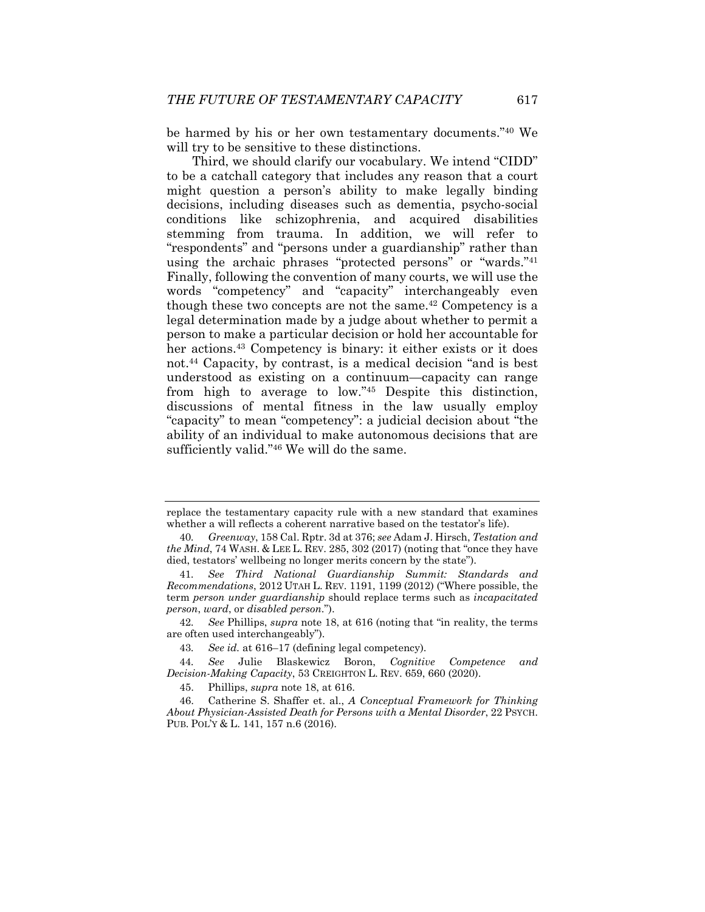be harmed by his or her own testamentary documents."40 We will try to be sensitive to these distinctions.

Third, we should clarify our vocabulary. We intend "CIDD" to be a catchall category that includes any reason that a court might question a person's ability to make legally binding decisions, including diseases such as dementia, psycho-social conditions like schizophrenia, and acquired disabilities stemming from trauma. In addition, we will refer to "respondents" and "persons under a guardianship" rather than using the archaic phrases "protected persons" or "wards."41 Finally, following the convention of many courts, we will use the words "competency" and "capacity" interchangeably even though these two concepts are not the same.<sup>42</sup> Competency is a legal determination made by a judge about whether to permit a person to make a particular decision or hold her accountable for her actions.<sup>43</sup> Competency is binary: it either exists or it does not.44 Capacity, by contrast, is a medical decision "and is best understood as existing on a continuum—capacity can range from high to average to low."45 Despite this distinction, discussions of mental fitness in the law usually employ "capacity" to mean "competency": a judicial decision about "the ability of an individual to make autonomous decisions that are sufficiently valid."46 We will do the same.

replace the testamentary capacity rule with a new standard that examines whether a will reflects a coherent narrative based on the testator's life).

<sup>40</sup>*. Greenway*, 158 Cal. Rptr. 3d at 376; *see* Adam J. Hirsch, *Testation and the Mind*, 74 WASH. & LEE L. REV. 285, 302 (2017) (noting that "once they have died, testators' wellbeing no longer merits concern by the state").

<sup>41</sup>*. See Third National Guardianship Summit: Standards and Recommendations*, 2012 UTAH L. REV. 1191, 1199 (2012) ("Where possible, the term *person under guardianship* should replace terms such as *incapacitated person*, *ward*, or *disabled person*.").

<sup>42</sup>*. See* Phillips, *supra* note 18, at 616 (noting that "in reality, the terms are often used interchangeably").

<sup>43</sup>*. See id.* at 616–17 (defining legal competency).

<sup>44</sup>*. See* Julie Blaskewicz Boron, *Cognitive Competence and Decision-Making Capacity*, 53 CREIGHTON L. REV. 659, 660 (2020).

 <sup>45.</sup> Phillips, *supra* note 18, at 616.

 <sup>46.</sup> Catherine S. Shaffer et. al., *A Conceptual Framework for Thinking About Physician-Assisted Death for Persons with a Mental Disorder*, 22 PSYCH. PUB. POL'Y & L. 141, 157 n.6 (2016).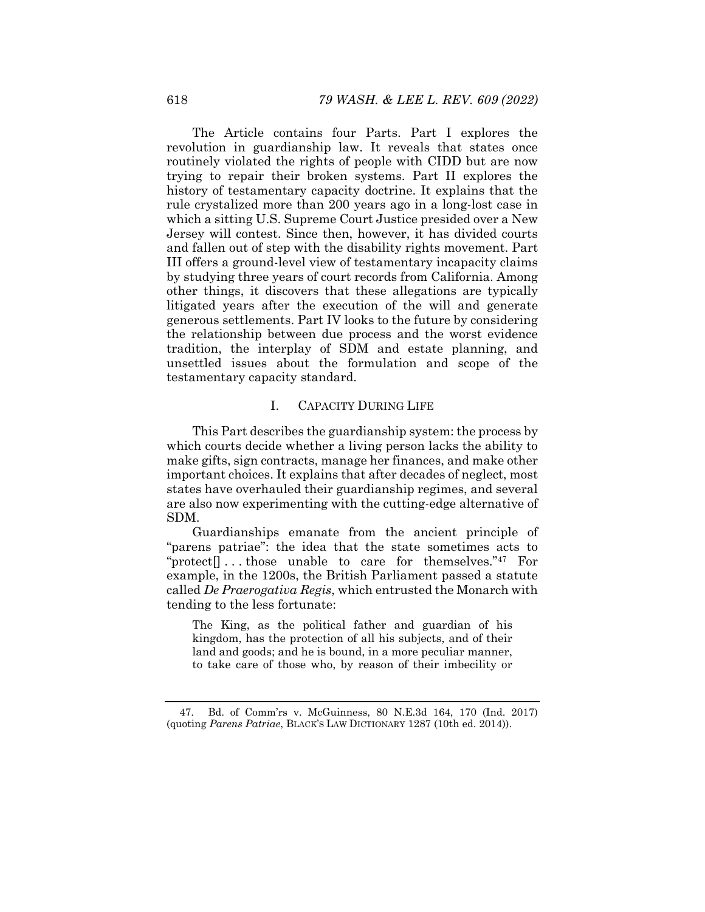The Article contains four Parts. Part I explores the revolution in guardianship law. It reveals that states once routinely violated the rights of people with CIDD but are now trying to repair their broken systems. Part II explores the history of testamentary capacity doctrine. It explains that the rule crystalized more than 200 years ago in a long-lost case in which a sitting U.S. Supreme Court Justice presided over a New Jersey will contest. Since then, however, it has divided courts and fallen out of step with the disability rights movement. Part III offers a ground-level view of testamentary incapacity claims by studying three years of court records from California. Among other things, it discovers that these allegations are typically litigated years after the execution of the will and generate generous settlements. Part IV looks to the future by considering the relationship between due process and the worst evidence tradition, the interplay of SDM and estate planning, and unsettled issues about the formulation and scope of the testamentary capacity standard.

## I. CAPACITY DURING LIFE

This Part describes the guardianship system: the process by which courts decide whether a living person lacks the ability to make gifts, sign contracts, manage her finances, and make other important choices. It explains that after decades of neglect, most states have overhauled their guardianship regimes, and several are also now experimenting with the cutting-edge alternative of SDM.

Guardianships emanate from the ancient principle of "parens patriae": the idea that the state sometimes acts to "protect<sup>[</sup>]...those unable to care for themselves."<sup>47</sup> For example, in the 1200s, the British Parliament passed a statute called *De Praerogativa Regis*, which entrusted the Monarch with tending to the less fortunate:

The King, as the political father and guardian of his kingdom, has the protection of all his subjects, and of their land and goods; and he is bound, in a more peculiar manner, to take care of those who, by reason of their imbecility or

 <sup>47.</sup> Bd. of Comm'rs v. McGuinness, 80 N.E.3d 164, 170 (Ind. 2017) (quoting *Parens Patriae*, BLACK'S LAW DICTIONARY 1287 (10th ed. 2014)).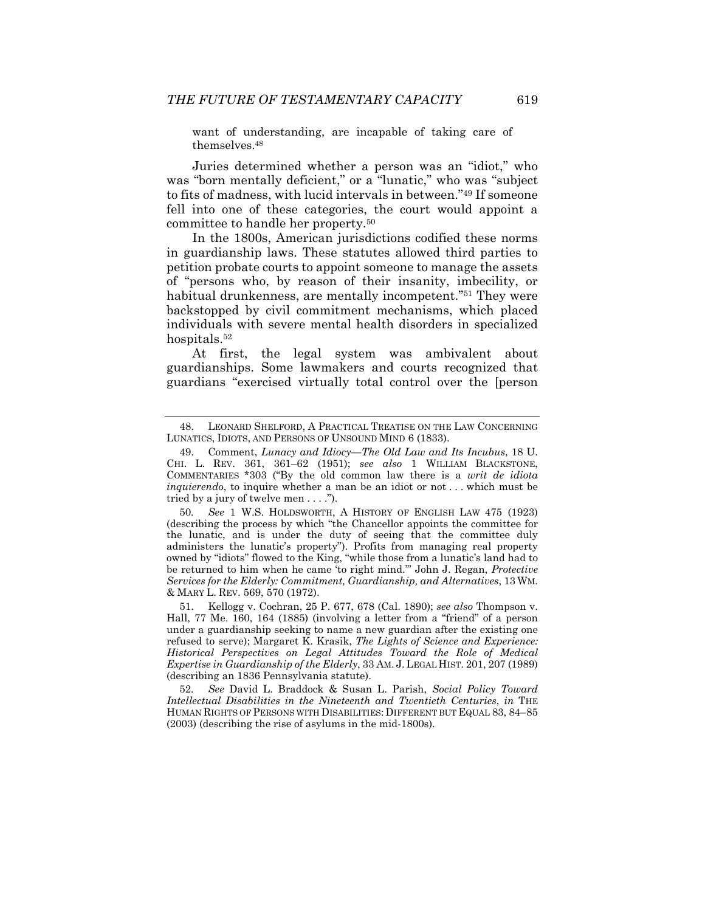want of understanding, are incapable of taking care of themselves.48

Juries determined whether a person was an "idiot," who was "born mentally deficient," or a "lunatic," who was "subject to fits of madness, with lucid intervals in between."49 If someone fell into one of these categories, the court would appoint a committee to handle her property.50

In the 1800s, American jurisdictions codified these norms in guardianship laws. These statutes allowed third parties to petition probate courts to appoint someone to manage the assets of "persons who, by reason of their insanity, imbecility, or habitual drunkenness, are mentally incompetent."<sup>51</sup> They were backstopped by civil commitment mechanisms, which placed individuals with severe mental health disorders in specialized hospitals.<sup>52</sup>

At first, the legal system was ambivalent about guardianships. Some lawmakers and courts recognized that guardians "exercised virtually total control over the [person

50*. See* 1 W.S. HOLDSWORTH, A HISTORY OF ENGLISH LAW 475 (1923) (describing the process by which "the Chancellor appoints the committee for the lunatic, and is under the duty of seeing that the committee duly administers the lunatic's property"). Profits from managing real property owned by "idiots" flowed to the King, "while those from a lunatic's land had to be returned to him when he came 'to right mind.'" John J. Regan, *Protective Services for the Elderly: Commitment, Guardianship, and Alternatives*, 13 WM. & MARY L. REV. 569, 570 (1972).

 51. Kellogg v. Cochran, 25 P. 677, 678 (Cal. 1890); *see also* Thompson v. Hall, 77 Me. 160, 164 (1885) (involving a letter from a "friend" of a person under a guardianship seeking to name a new guardian after the existing one refused to serve); Margaret K. Krasik, *The Lights of Science and Experience: Historical Perspectives on Legal Attitudes Toward the Role of Medical Expertise in Guardianship of the Elderly*, 33 AM. J. LEGAL HIST. 201, 207 (1989) (describing an 1836 Pennsylvania statute).

52*. See* David L. Braddock & Susan L. Parish, *Social Policy Toward Intellectual Disabilities in the Nineteenth and Twentieth Centuries*, *in* THE HUMAN RIGHTS OF PERSONS WITH DISABILITIES: DIFFERENT BUT EQUAL 83, 84–85 (2003) (describing the rise of asylums in the mid-1800s).

 <sup>48.</sup> LEONARD SHELFORD, A PRACTICAL TREATISE ON THE LAW CONCERNING LUNATICS, IDIOTS, AND PERSONS OF UNSOUND MIND 6 (1833).

 <sup>49.</sup> Comment, *Lunacy and Idiocy—The Old Law and Its Incubus*, 18 U. CHI. L. REV. 361, 361–62 (1951); *see also* 1 WILLIAM BLACKSTONE, COMMENTARIES \*303 ("By the old common law there is a *writ de idiota inquierendo*, to inquire whether a man be an idiot or not . . . which must be tried by a jury of twelve men . . . .").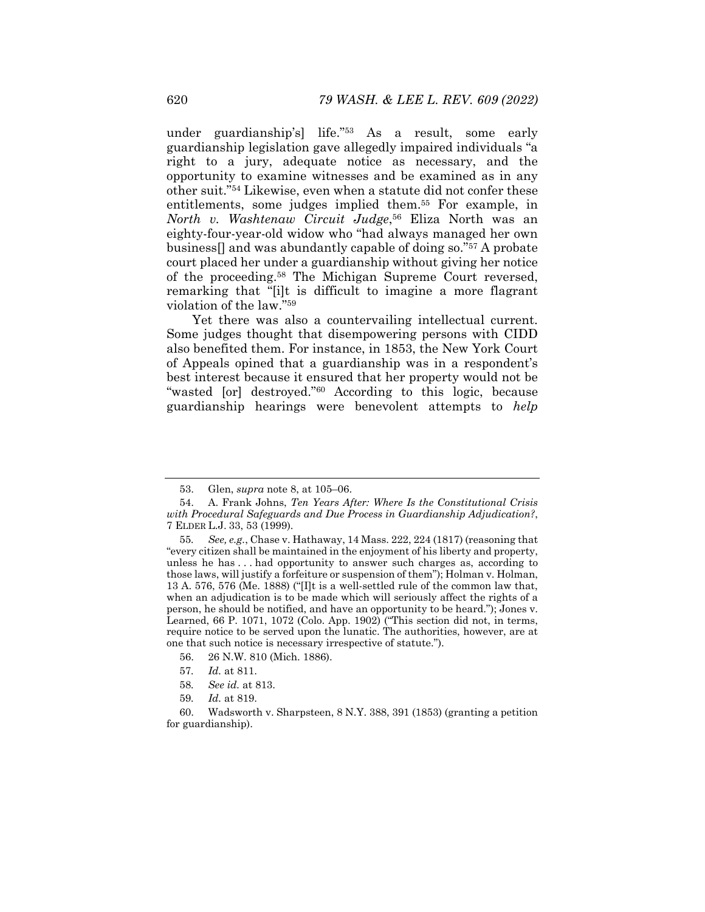under guardianship's] life."53 As a result, some early guardianship legislation gave allegedly impaired individuals "a right to a jury, adequate notice as necessary, and the opportunity to examine witnesses and be examined as in any other suit."54 Likewise, even when a statute did not confer these entitlements, some judges implied them.55 For example, in *North v. Washtenaw Circuit Judge*,56 Eliza North was an eighty-four-year-old widow who "had always managed her own business[] and was abundantly capable of doing so."57 A probate court placed her under a guardianship without giving her notice of the proceeding.58 The Michigan Supreme Court reversed, remarking that "[i]t is difficult to imagine a more flagrant violation of the law."59

Yet there was also a countervailing intellectual current. Some judges thought that disempowering persons with CIDD also benefited them. For instance, in 1853, the New York Court of Appeals opined that a guardianship was in a respondent's best interest because it ensured that her property would not be "wasted [or] destroyed."60 According to this logic, because guardianship hearings were benevolent attempts to *help* 

- 58*. See id.* at 813.
- 59*. Id.* at 819.

 <sup>53.</sup> Glen, *supra* note 8, at 105–06.

 <sup>54.</sup> A. Frank Johns, *Ten Years After: Where Is the Constitutional Crisis with Procedural Safeguards and Due Process in Guardianship Adjudication?*, 7 ELDER L.J. 33, 53 (1999).

<sup>55</sup>*. See, e.g.*, Chase v. Hathaway, 14 Mass. 222, 224 (1817) (reasoning that "every citizen shall be maintained in the enjoyment of his liberty and property, unless he has . . . had opportunity to answer such charges as, according to those laws, will justify a forfeiture or suspension of them"); Holman v. Holman, 13 A. 576, 576 (Me. 1888) ("[I]t is a well-settled rule of the common law that, when an adjudication is to be made which will seriously affect the rights of a person, he should be notified, and have an opportunity to be heard."); Jones v. Learned, 66 P. 1071, 1072 (Colo. App. 1902) ("This section did not, in terms, require notice to be served upon the lunatic. The authorities, however, are at one that such notice is necessary irrespective of statute.").

 <sup>56. 26</sup> N.W. 810 (Mich. 1886).

<sup>57</sup>*. Id.* at 811.

 <sup>60.</sup> Wadsworth v. Sharpsteen, 8 N.Y. 388, 391 (1853) (granting a petition for guardianship).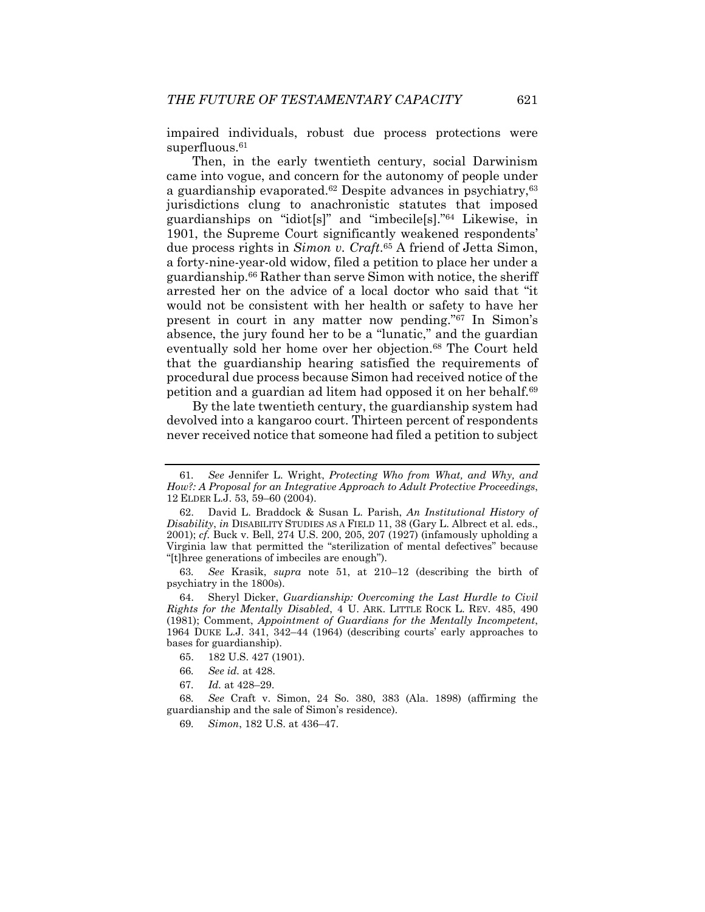impaired individuals, robust due process protections were superfluous.<sup>61</sup>

Then, in the early twentieth century, social Darwinism came into vogue, and concern for the autonomy of people under a guardianship evaporated. $62$  Despite advances in psychiatry,  $63$ jurisdictions clung to anachronistic statutes that imposed guardianships on "idiot[s]" and "imbecile[s]."64 Likewise, in 1901, the Supreme Court significantly weakened respondents' due process rights in *Simon v. Craft*.65 A friend of Jetta Simon, a forty-nine-year-old widow, filed a petition to place her under a guardianship.66 Rather than serve Simon with notice, the sheriff arrested her on the advice of a local doctor who said that "it would not be consistent with her health or safety to have her present in court in any matter now pending."67 In Simon's absence, the jury found her to be a "lunatic," and the guardian eventually sold her home over her objection.68 The Court held that the guardianship hearing satisfied the requirements of procedural due process because Simon had received notice of the petition and a guardian ad litem had opposed it on her behalf.69

By the late twentieth century, the guardianship system had devolved into a kangaroo court. Thirteen percent of respondents never received notice that someone had filed a petition to subject

<sup>61</sup>*. See* Jennifer L. Wright, *Protecting Who from What, and Why, and How?: A Proposal for an Integrative Approach to Adult Protective Proceedings*, 12 ELDER L.J. 53, 59–60 (2004).

 <sup>62.</sup> David L. Braddock & Susan L. Parish, *An Institutional History of Disability*, *in* DISABILITY STUDIES AS A FIELD 11, 38 (Gary L. Albrect et al. eds., 2001); *cf.* Buck v. Bell, 274 U.S. 200, 205, 207 (1927) (infamously upholding a Virginia law that permitted the "sterilization of mental defectives" because "[t]hree generations of imbeciles are enough").

<sup>63</sup>*. See* Krasik, *supra* note 51, at 210–12 (describing the birth of psychiatry in the 1800s).

 <sup>64.</sup> Sheryl Dicker, *Guardianship: Overcoming the Last Hurdle to Civil Rights for the Mentally Disabled*, 4 U. ARK. LITTLE ROCK L. REV. 485, 490 (1981); Comment, *Appointment of Guardians for the Mentally Incompetent*, 1964 DUKE L.J. 341, 342–44 (1964) (describing courts' early approaches to bases for guardianship).

 <sup>65. 182</sup> U.S. 427 (1901).

<sup>66</sup>*. See id.* at 428.

<sup>67</sup>*. Id.* at 428–29.

<sup>68</sup>*. See* Craft v. Simon, 24 So. 380, 383 (Ala. 1898) (affirming the guardianship and the sale of Simon's residence).

<sup>69</sup>*. Simon*, 182 U.S. at 436–47.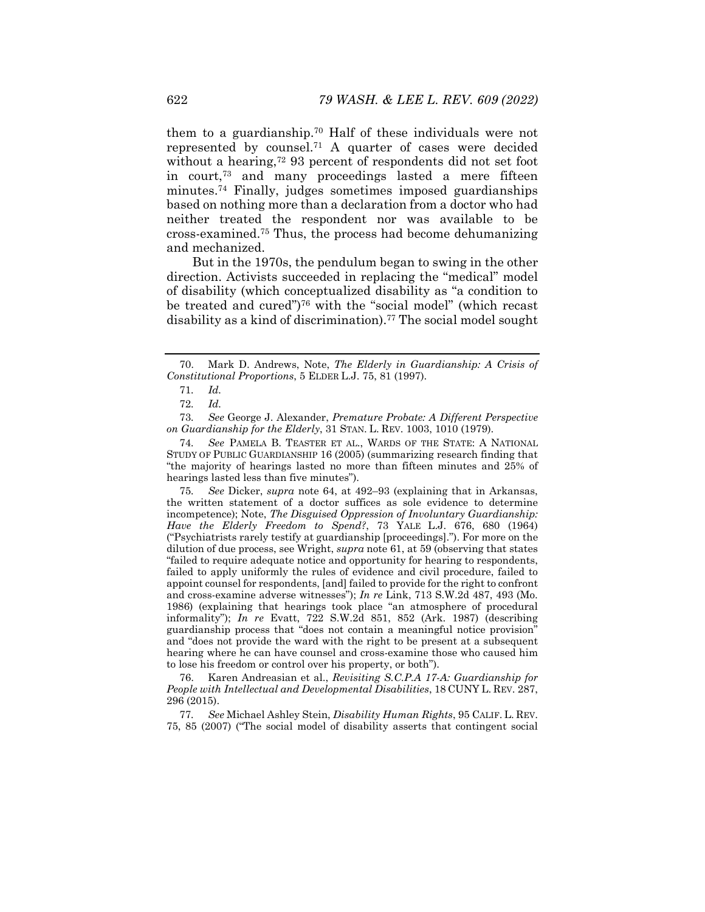them to a guardianship.70 Half of these individuals were not represented by counsel.71 A quarter of cases were decided without a hearing,<sup>72</sup> 93 percent of respondents did not set foot in court,73 and many proceedings lasted a mere fifteen minutes.74 Finally, judges sometimes imposed guardianships based on nothing more than a declaration from a doctor who had neither treated the respondent nor was available to be cross-examined.75 Thus, the process had become dehumanizing and mechanized.

But in the 1970s, the pendulum began to swing in the other direction. Activists succeeded in replacing the "medical" model of disability (which conceptualized disability as "a condition to be treated and cured")76 with the "social model" (which recast disability as a kind of discrimination).<sup>77</sup> The social model sought

75*. See* Dicker, *supra* note 64, at 492–93 (explaining that in Arkansas, the written statement of a doctor suffices as sole evidence to determine incompetence); Note, *The Disguised Oppression of Involuntary Guardianship: Have the Elderly Freedom to Spend?*, 73 YALE L.J. 676, 680 (1964) ("Psychiatrists rarely testify at guardianship [proceedings]."). For more on the dilution of due process, see Wright, *supra* note 61, at 59 (observing that states "failed to require adequate notice and opportunity for hearing to respondents, failed to apply uniformly the rules of evidence and civil procedure, failed to appoint counsel for respondents, [and] failed to provide for the right to confront and cross-examine adverse witnesses"); *In re* Link, 713 S.W.2d 487, 493 (Mo. 1986) (explaining that hearings took place "an atmosphere of procedural informality"); *In re* Evatt, 722 S.W.2d 851, 852 (Ark. 1987) (describing guardianship process that "does not contain a meaningful notice provision" and "does not provide the ward with the right to be present at a subsequent hearing where he can have counsel and cross-examine those who caused him to lose his freedom or control over his property, or both").

 76. Karen Andreasian et al., *Revisiting S.C.P.A 17-A: Guardianship for People with Intellectual and Developmental Disabilities*, 18 CUNY L. REV. 287, 296 (2015).

77*. See* Michael Ashley Stein, *Disability Human Rights*, 95 CALIF. L. REV. 75, 85 (2007) ("The social model of disability asserts that contingent social

 <sup>70.</sup> Mark D. Andrews, Note, *The Elderly in Guardianship: A Crisis of Constitutional Proportions*, 5 ELDER L.J. 75, 81 (1997).

<sup>71</sup>*. Id.*

<sup>72</sup>*. Id.*

<sup>73</sup>*. See* George J. Alexander, *Premature Probate: A Different Perspective on Guardianship for the Elderly*, 31 STAN. L. REV. 1003, 1010 (1979).

<sup>74</sup>*. See* PAMELA B. TEASTER ET AL., WARDS OF THE STATE: A NATIONAL STUDY OF PUBLIC GUARDIANSHIP 16 (2005) (summarizing research finding that "the majority of hearings lasted no more than fifteen minutes and 25% of hearings lasted less than five minutes").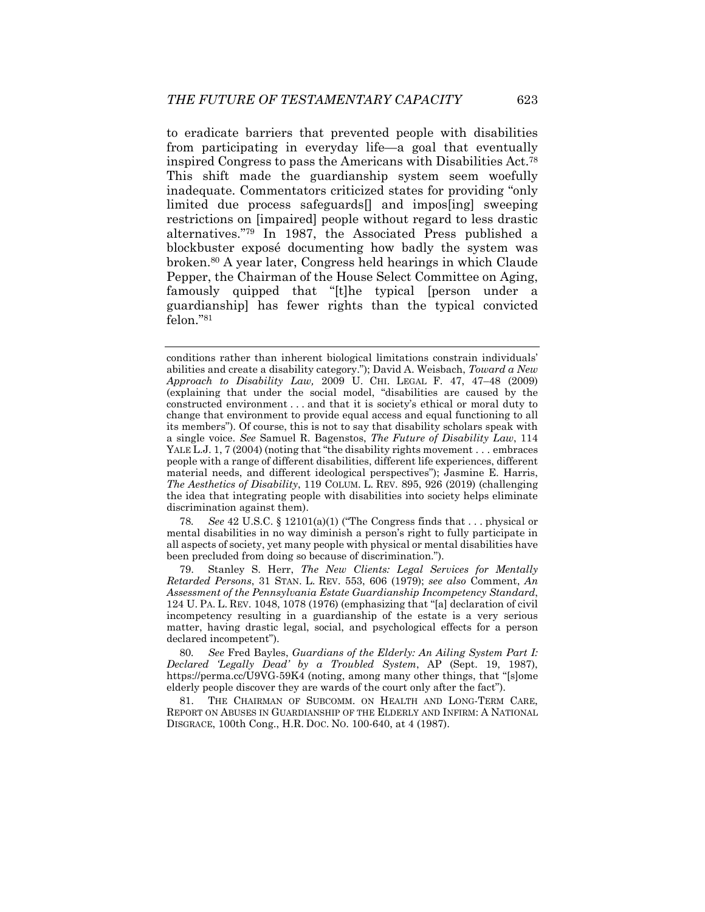to eradicate barriers that prevented people with disabilities from participating in everyday life—a goal that eventually inspired Congress to pass the Americans with Disabilities Act.78 This shift made the guardianship system seem woefully inadequate. Commentators criticized states for providing "only limited due process safeguards[] and impos[ing] sweeping restrictions on [impaired] people without regard to less drastic alternatives."79 In 1987, the Associated Press published a blockbuster exposé documenting how badly the system was broken.80 A year later, Congress held hearings in which Claude Pepper, the Chairman of the House Select Committee on Aging, famously quipped that "[t]he typical [person under a guardianship] has fewer rights than the typical convicted felon."81

78*. See* 42 U.S.C. § 12101(a)(1) ("The Congress finds that . . . physical or mental disabilities in no way diminish a person's right to fully participate in all aspects of society, yet many people with physical or mental disabilities have been precluded from doing so because of discrimination.").

 79. Stanley S. Herr, *The New Clients: Legal Services for Mentally Retarded Persons*, 31 STAN. L. REV. 553, 606 (1979); *see also* Comment, *An Assessment of the Pennsylvania Estate Guardianship Incompetency Standard*, 124 U. PA. L. REV. 1048, 1078 (1976) (emphasizing that "[a] declaration of civil incompetency resulting in a guardianship of the estate is a very serious matter, having drastic legal, social, and psychological effects for a person declared incompetent").

80*. See* Fred Bayles, *Guardians of the Elderly: An Ailing System Part I: Declared 'Legally Dead' by a Troubled System*, AP (Sept. 19, 1987), https://perma.cc/U9VG-59K4 (noting, among many other things, that "[s]ome elderly people discover they are wards of the court only after the fact").

 81. THE CHAIRMAN OF SUBCOMM. ON HEALTH AND LONG-TERM CARE, REPORT ON ABUSES IN GUARDIANSHIP OF THE ELDERLY AND INFIRM: A NATIONAL DISGRACE, 100th Cong., H.R. DOC. NO. 100-640, at 4 (1987).

conditions rather than inherent biological limitations constrain individuals' abilities and create a disability category."); David A. Weisbach, *Toward a New Approach to Disability Law,* 2009 U. CHI. LEGAL F. 47, 47–48 (2009) (explaining that under the social model, "disabilities are caused by the constructed environment . . . and that it is society's ethical or moral duty to change that environment to provide equal access and equal functioning to all its members"). Of course, this is not to say that disability scholars speak with a single voice. *See* Samuel R. Bagenstos, *The Future of Disability Law*, 114 YALE L.J. 1, 7 (2004) (noting that "the disability rights movement . . . embraces people with a range of different disabilities, different life experiences, different material needs, and different ideological perspectives"); Jasmine E. Harris, *The Aesthetics of Disability*, 119 COLUM. L. REV. 895, 926 (2019) (challenging the idea that integrating people with disabilities into society helps eliminate discrimination against them).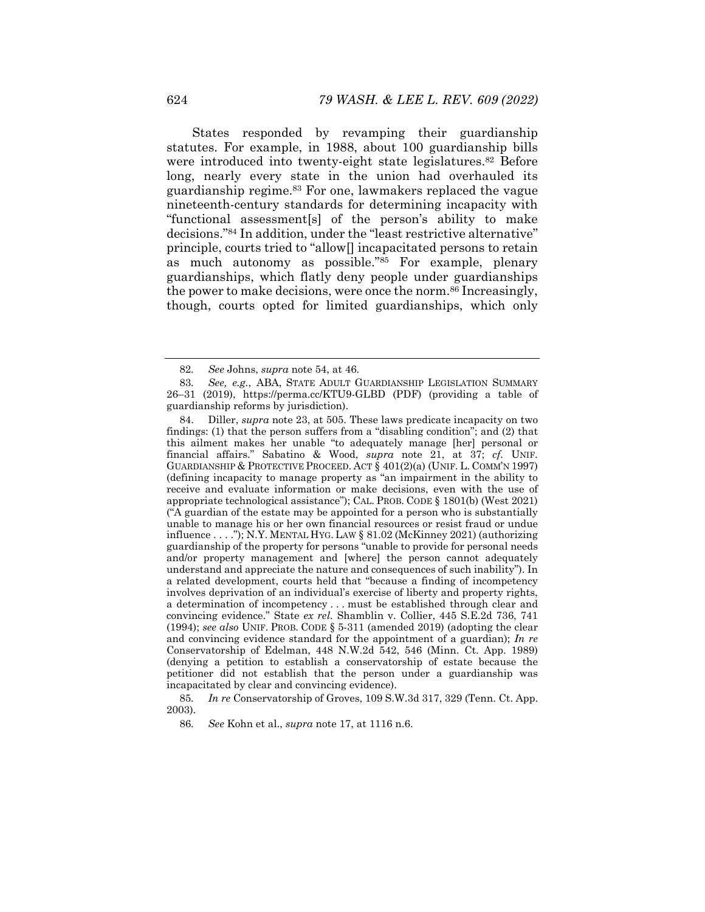States responded by revamping their guardianship statutes. For example, in 1988, about 100 guardianship bills were introduced into twenty-eight state legislatures.<sup>82</sup> Before long, nearly every state in the union had overhauled its guardianship regime.<sup>83</sup> For one, lawmakers replaced the vague nineteenth-century standards for determining incapacity with "functional assessment[s] of the person's ability to make decisions."84 In addition, under the "least restrictive alternative" principle, courts tried to "allow[] incapacitated persons to retain as much autonomy as possible."85 For example, plenary guardianships, which flatly deny people under guardianships the power to make decisions, were once the norm.<sup>86</sup> Increasingly, though, courts opted for limited guardianships, which only

<sup>82</sup>*. See* Johns, *supra* note 54, at 46.

<sup>83</sup>*. See, e.g.*, ABA, STATE ADULT GUARDIANSHIP LEGISLATION SUMMARY 26–31 (2019), https://perma.cc/KTU9-GLBD (PDF) (providing a table of guardianship reforms by jurisdiction).

 <sup>84.</sup> Diller, *supra* note 23, at 505. These laws predicate incapacity on two findings: (1) that the person suffers from a "disabling condition"; and (2) that this ailment makes her unable "to adequately manage [her] personal or financial affairs." Sabatino & Wood, *supra* note 21, at 37; *cf.* UNIF. GUARDIANSHIP & PROTECTIVE PROCEED. ACT  $\bar{\S}$  401(2)(a) (UNIF. L. COMM'N 1997) (defining incapacity to manage property as "an impairment in the ability to receive and evaluate information or make decisions, even with the use of appropriate technological assistance"); CAL. PROB. CODE § 1801(b) (West 2021) ("A guardian of the estate may be appointed for a person who is substantially unable to manage his or her own financial resources or resist fraud or undue influence . . . ."); N.Y. MENTAL HYG. LAW § 81.02 (McKinney 2021) (authorizing guardianship of the property for persons "unable to provide for personal needs and/or property management and [where] the person cannot adequately understand and appreciate the nature and consequences of such inability"). In a related development, courts held that "because a finding of incompetency involves deprivation of an individual's exercise of liberty and property rights, a determination of incompetency . . . must be established through clear and convincing evidence." State *ex rel.* Shamblin v. Collier, 445 S.E.2d 736, 741 (1994); *see also* UNIF. PROB. CODE § 5-311 (amended 2019) (adopting the clear and convincing evidence standard for the appointment of a guardian); *In re* Conservatorship of Edelman, 448 N.W.2d 542, 546 (Minn. Ct. App. 1989) (denying a petition to establish a conservatorship of estate because the petitioner did not establish that the person under a guardianship was incapacitated by clear and convincing evidence).

<sup>85</sup>*. In re* Conservatorship of Groves, 109 S.W.3d 317, 329 (Tenn. Ct. App. 2003).

<sup>86</sup>*. See* Kohn et al., *supra* note 17, at 1116 n.6.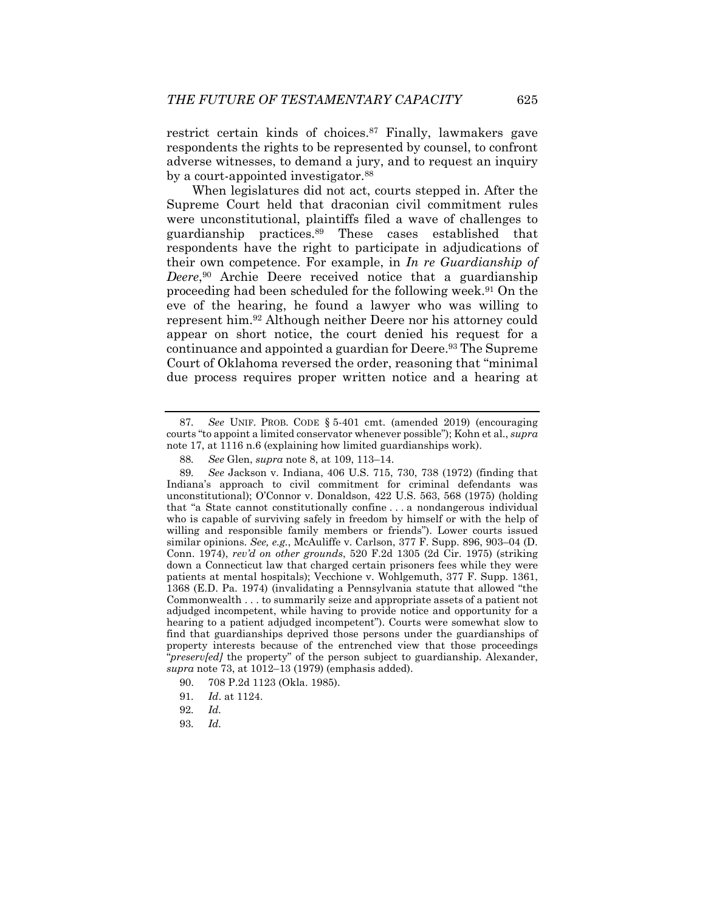restrict certain kinds of choices.87 Finally, lawmakers gave respondents the rights to be represented by counsel, to confront adverse witnesses, to demand a jury, and to request an inquiry by a court-appointed investigator.88

When legislatures did not act, courts stepped in. After the Supreme Court held that draconian civil commitment rules were unconstitutional, plaintiffs filed a wave of challenges to guardianship practices.89 These cases established that respondents have the right to participate in adjudications of their own competence. For example, in *In re Guardianship of Deere*,90 Archie Deere received notice that a guardianship proceeding had been scheduled for the following week.91 On the eve of the hearing, he found a lawyer who was willing to represent him.92 Although neither Deere nor his attorney could appear on short notice, the court denied his request for a continuance and appointed a guardian for Deere.<sup>93</sup> The Supreme Court of Oklahoma reversed the order, reasoning that "minimal due process requires proper written notice and a hearing at

93*. Id.*

<sup>87</sup>*. See* UNIF. PROB. CODE § 5-401 cmt. (amended 2019) (encouraging courts "to appoint a limited conservator whenever possible"); Kohn et al., *supra*  note 17, at 1116 n.6 (explaining how limited guardianships work).

<sup>88</sup>*. See* Glen, *supra* note 8, at 109, 113–14.

<sup>89</sup>*. See* Jackson v. Indiana, 406 U.S. 715, 730, 738 (1972) (finding that Indiana's approach to civil commitment for criminal defendants was unconstitutional); O'Connor v. Donaldson, 422 U.S. 563, 568 (1975) (holding that "a State cannot constitutionally confine . . . a nondangerous individual who is capable of surviving safely in freedom by himself or with the help of willing and responsible family members or friends"). Lower courts issued similar opinions. *See, e.g.*, McAuliffe v. Carlson, 377 F. Supp. 896, 903–04 (D. Conn. 1974), *rev'd on other grounds*, 520 F.2d 1305 (2d Cir. 1975) (striking down a Connecticut law that charged certain prisoners fees while they were patients at mental hospitals); Vecchione v. Wohlgemuth, 377 F. Supp. 1361, 1368 (E.D. Pa. 1974) (invalidating a Pennsylvania statute that allowed "the Commonwealth . . . to summarily seize and appropriate assets of a patient not adjudged incompetent, while having to provide notice and opportunity for a hearing to a patient adjudged incompetent"). Courts were somewhat slow to find that guardianships deprived those persons under the guardianships of property interests because of the entrenched view that those proceedings "*preserv[ed]* the property" of the person subject to guardianship. Alexander, *supra* note 73, at 1012–13 (1979) (emphasis added).

 <sup>90. 708</sup> P.2d 1123 (Okla. 1985).

<sup>91</sup>*. Id*. at 1124.

<sup>92</sup>*. Id.*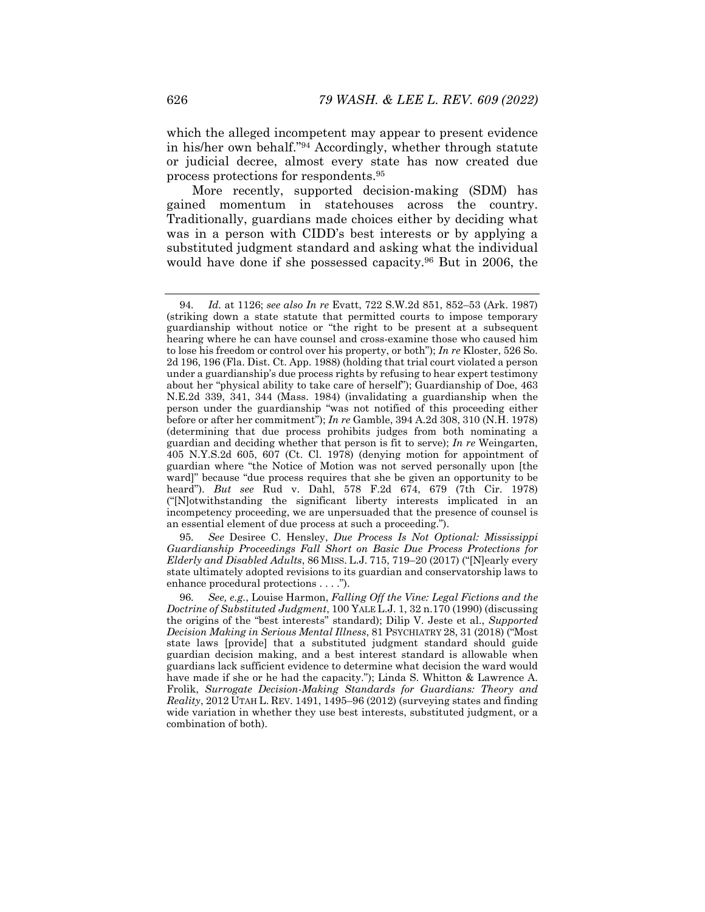which the alleged incompetent may appear to present evidence in his/her own behalf."94 Accordingly, whether through statute or judicial decree, almost every state has now created due process protections for respondents.95

More recently, supported decision-making (SDM) has gained momentum in statehouses across the country. Traditionally, guardians made choices either by deciding what was in a person with CIDD's best interests or by applying a substituted judgment standard and asking what the individual would have done if she possessed capacity.<sup>96</sup> But in 2006, the

95*. See* Desiree C. Hensley, *Due Process Is Not Optional: Mississippi Guardianship Proceedings Fall Short on Basic Due Process Protections for Elderly and Disabled Adults*, 86 MISS. L.J. 715, 719–20 (2017) ("[N]early every state ultimately adopted revisions to its guardian and conservatorship laws to enhance procedural protections . . . .").

<sup>94</sup>*. Id.* at 1126; *see also In re* Evatt, 722 S.W.2d 851, 852–53 (Ark. 1987) (striking down a state statute that permitted courts to impose temporary guardianship without notice or "the right to be present at a subsequent hearing where he can have counsel and cross-examine those who caused him to lose his freedom or control over his property, or both"); *In re* Kloster, 526 So. 2d 196, 196 (Fla. Dist. Ct. App. 1988) (holding that trial court violated a person under a guardianship's due process rights by refusing to hear expert testimony about her "physical ability to take care of herself"); Guardianship of Doe, 463 N.E.2d 339, 341, 344 (Mass. 1984) (invalidating a guardianship when the person under the guardianship "was not notified of this proceeding either before or after her commitment"); *In re* Gamble, 394 A.2d 308, 310 (N.H. 1978) (determining that due process prohibits judges from both nominating a guardian and deciding whether that person is fit to serve); *In re* Weingarten, 405 N.Y.S.2d 605, 607 (Ct. Cl. 1978) (denying motion for appointment of guardian where "the Notice of Motion was not served personally upon [the ward]" because "due process requires that she be given an opportunity to be heard"). *But see* Rud v. Dahl, 578 F.2d 674, 679 (7th Cir. 1978) ("[N]otwithstanding the significant liberty interests implicated in an incompetency proceeding, we are unpersuaded that the presence of counsel is an essential element of due process at such a proceeding.").

<sup>96</sup>*. See, e.g.*, Louise Harmon, *Falling Off the Vine: Legal Fictions and the Doctrine of Substituted Judgment*, 100 YALE L.J. 1, 32 n.170 (1990) (discussing the origins of the "best interests" standard); Dilip V. Jeste et al., *Supported Decision Making in Serious Mental Illness*, 81 PSYCHIATRY 28, 31 (2018) ("Most state laws [provide] that a substituted judgment standard should guide guardian decision making, and a best interest standard is allowable when guardians lack sufficient evidence to determine what decision the ward would have made if she or he had the capacity."); Linda S. Whitton & Lawrence A. Frolik, *Surrogate Decision-Making Standards for Guardians: Theory and Reality*, 2012 UTAH L. REV. 1491, 1495–96 (2012) (surveying states and finding wide variation in whether they use best interests, substituted judgment, or a combination of both).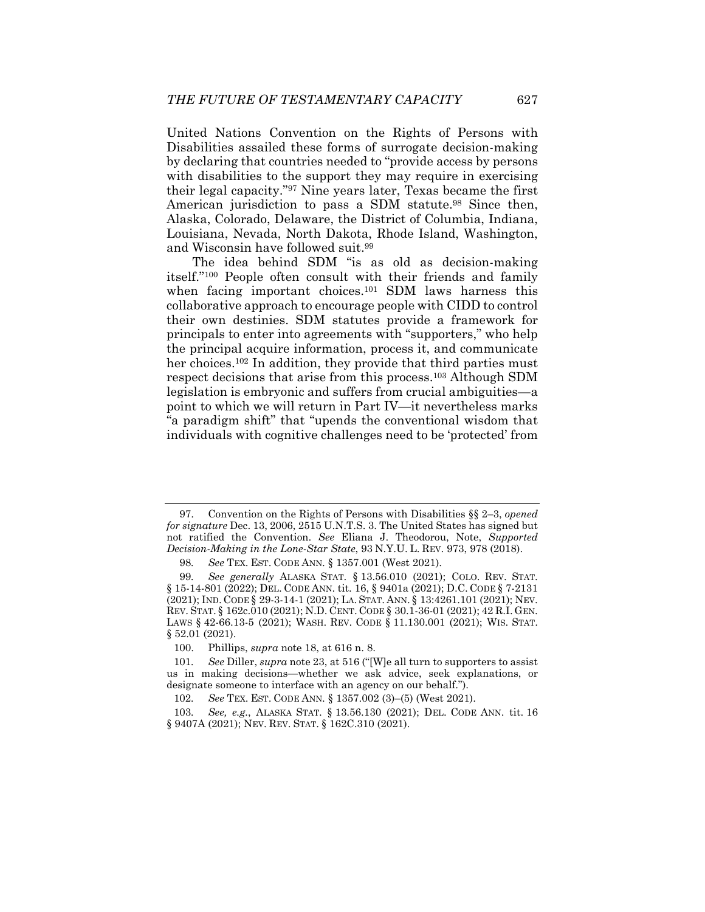United Nations Convention on the Rights of Persons with Disabilities assailed these forms of surrogate decision-making by declaring that countries needed to "provide access by persons with disabilities to the support they may require in exercising their legal capacity."97 Nine years later, Texas became the first American jurisdiction to pass a SDM statute.<sup>98</sup> Since then, Alaska, Colorado, Delaware, the District of Columbia, Indiana, Louisiana, Nevada, North Dakota, Rhode Island, Washington, and Wisconsin have followed suit.99

The idea behind SDM "is as old as decision-making itself."100 People often consult with their friends and family when facing important choices.<sup>101</sup> SDM laws harness this collaborative approach to encourage people with CIDD to control their own destinies. SDM statutes provide a framework for principals to enter into agreements with "supporters," who help the principal acquire information, process it, and communicate her choices.<sup>102</sup> In addition, they provide that third parties must respect decisions that arise from this process.103 Although SDM legislation is embryonic and suffers from crucial ambiguities—a point to which we will return in Part IV—it nevertheless marks "a paradigm shift" that "upends the conventional wisdom that individuals with cognitive challenges need to be 'protected' from

 <sup>97.</sup> Convention on the Rights of Persons with Disabilities §§ 2–3, *opened for signature* Dec. 13, 2006, 2515 U.N.T.S. 3. The United States has signed but not ratified the Convention. *See* Eliana J. Theodorou, Note, *Supported Decision-Making in the Lone-Star State*, 93 N.Y.U. L. REV. 973, 978 (2018).

<sup>98</sup>*. See* TEX. EST. CODE ANN. § 1357.001 (West 2021).

<sup>99</sup>*. See generally* ALASKA STAT. § 13.56.010 (2021); COLO. REV. STAT. § 15-14-801 (2022); DEL. CODE ANN. tit. 16, § 9401a (2021); D.C. CODE § 7-2131 (2021); IND. CODE § 29-3-14-1 (2021); LA. STAT. ANN. § 13:4261.101 (2021); NEV. REV. STAT. § 162c.010 (2021); N.D. CENT. CODE § 30.1-36-01 (2021); 42 R.I. GEN. LAWS § 42-66.13-5 (2021); WASH. REV. CODE § 11.130.001 (2021); WIS. STAT. § 52.01 (2021).

 <sup>100.</sup> Phillips, *supra* note 18, at 616 n. 8.

<sup>101</sup>*. See* Diller, *supra* note 23, at 516 ("[W]e all turn to supporters to assist us in making decisions—whether we ask advice, seek explanations, or designate someone to interface with an agency on our behalf.").

<sup>102</sup>*. See* TEX. EST. CODE ANN. § 1357.002 (3)–(5) (West 2021).

<sup>103</sup>*. See, e.g.*, ALASKA STAT. § 13.56.130 (2021); DEL. CODE ANN. tit. 16 § 9407A (2021); NEV. REV. STAT. § 162C.310 (2021).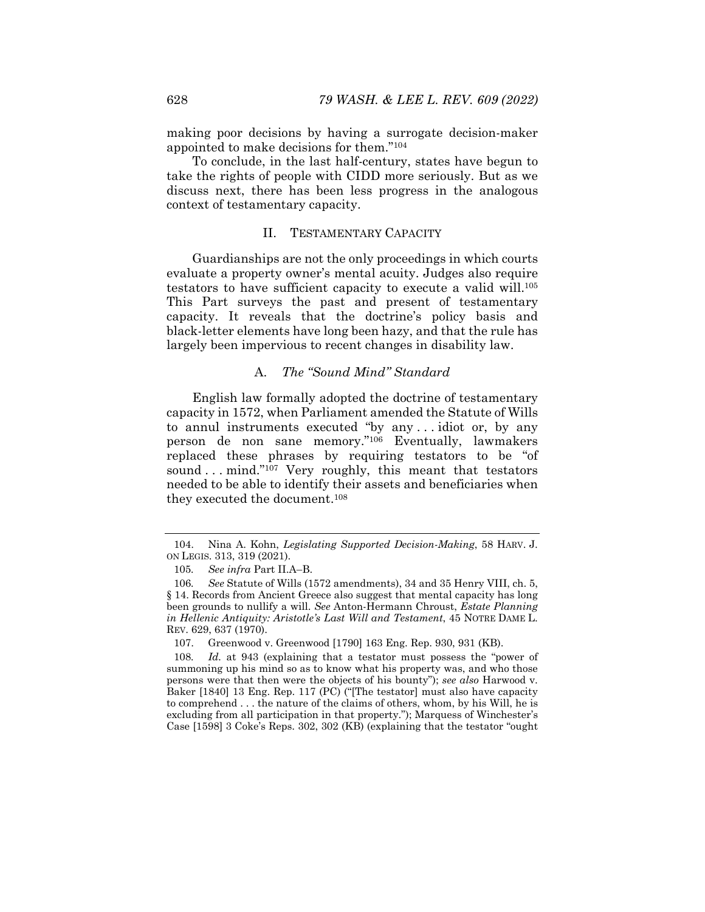making poor decisions by having a surrogate decision-maker appointed to make decisions for them."104

To conclude, in the last half-century, states have begun to take the rights of people with CIDD more seriously. But as we discuss next, there has been less progress in the analogous context of testamentary capacity.

#### II. TESTAMENTARY CAPACITY

Guardianships are not the only proceedings in which courts evaluate a property owner's mental acuity. Judges also require testators to have sufficient capacity to execute a valid will.105 This Part surveys the past and present of testamentary capacity. It reveals that the doctrine's policy basis and black-letter elements have long been hazy, and that the rule has largely been impervious to recent changes in disability law.

## A. *The "Sound Mind" Standard*

English law formally adopted the doctrine of testamentary capacity in 1572, when Parliament amended the Statute of Wills to annul instruments executed "by any . . . idiot or, by any person de non sane memory."106 Eventually, lawmakers replaced these phrases by requiring testators to be "of sound ... mind."<sup>107</sup> Very roughly, this meant that testators needed to be able to identify their assets and beneficiaries when they executed the document.108

 <sup>104.</sup> Nina A. Kohn, *Legislating Supported Decision-Making*, 58 HARV. J. ON LEGIS. 313, 319 (2021).

<sup>105</sup>*. See infra* Part II.A–B.

<sup>106</sup>*. See* Statute of Wills (1572 amendments), 34 and 35 Henry VIII, ch. 5, § 14. Records from Ancient Greece also suggest that mental capacity has long been grounds to nullify a will. *See* Anton-Hermann Chroust, *Estate Planning in Hellenic Antiquity: Aristotle's Last Will and Testament*, 45 NOTRE DAME L. REV. 629, 637 (1970).

 <sup>107.</sup> Greenwood v. Greenwood [1790] 163 Eng. Rep. 930, 931 (KB).

<sup>108</sup>*. Id.* at 943 (explaining that a testator must possess the "power of summoning up his mind so as to know what his property was, and who those persons were that then were the objects of his bounty"); *see also* Harwood v. Baker [1840] 13 Eng. Rep. 117 (PC) ("[The testator] must also have capacity to comprehend . . . the nature of the claims of others, whom, by his Will, he is excluding from all participation in that property."); Marquess of Winchester's Case [1598] 3 Coke's Reps. 302, 302 (KB) (explaining that the testator "ought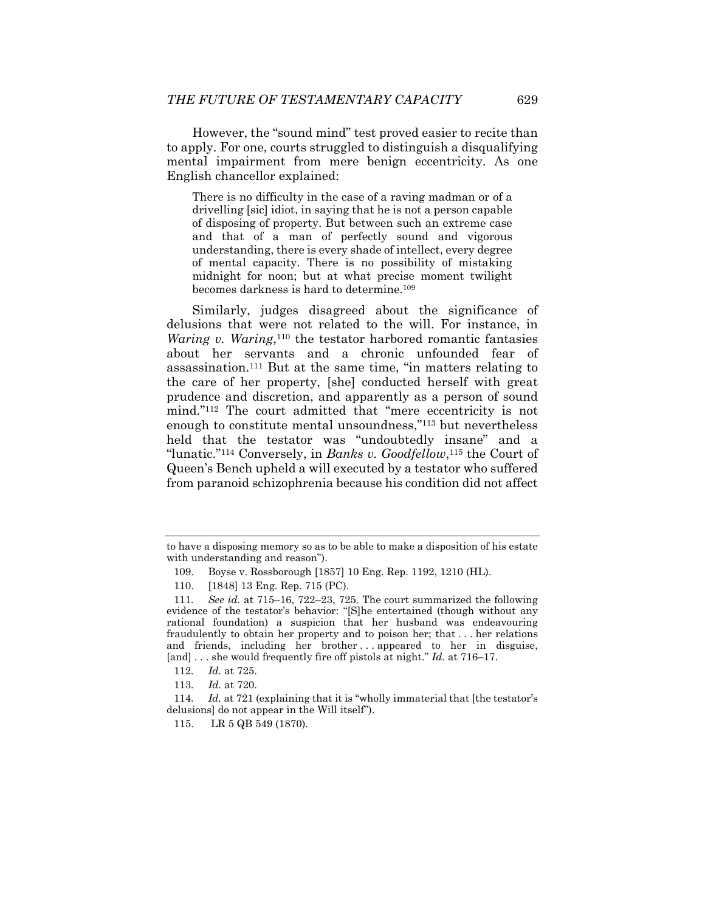However, the "sound mind" test proved easier to recite than to apply. For one, courts struggled to distinguish a disqualifying mental impairment from mere benign eccentricity. As one English chancellor explained:

There is no difficulty in the case of a raving madman or of a drivelling [sic] idiot, in saying that he is not a person capable of disposing of property. But between such an extreme case and that of a man of perfectly sound and vigorous understanding, there is every shade of intellect, every degree of mental capacity. There is no possibility of mistaking midnight for noon; but at what precise moment twilight becomes darkness is hard to determine.109

Similarly, judges disagreed about the significance of delusions that were not related to the will. For instance, in *Waring v. Waring*,<sup>110</sup> the testator harbored romantic fantasies about her servants and a chronic unfounded fear of assassination.111 But at the same time, "in matters relating to the care of her property, [she] conducted herself with great prudence and discretion, and apparently as a person of sound mind."112 The court admitted that "mere eccentricity is not enough to constitute mental unsoundness,"113 but nevertheless held that the testator was "undoubtedly insane" and a "lunatic."<sup>114</sup> Conversely, in *Banks v. Goodfellow*,<sup>115</sup> the Court of Queen's Bench upheld a will executed by a testator who suffered from paranoid schizophrenia because his condition did not affect

to have a disposing memory so as to be able to make a disposition of his estate with understanding and reason").

 <sup>109.</sup> Boyse v. Rossborough [1857] 10 Eng. Rep. 1192, 1210 (HL).

 <sup>110. [1848] 13</sup> Eng. Rep. 715 (PC).

<sup>111</sup>*. See id.* at 715–16, 722–23, 725. The court summarized the following evidence of the testator's behavior: "[S]he entertained (though without any rational foundation) a suspicion that her husband was endeavouring fraudulently to obtain her property and to poison her; that . . . her relations and friends, including her brother . . . appeared to her in disguise, [and] . . . she would frequently fire off pistols at night." *Id.* at 716–17.

<sup>112</sup>*. Id.* at 725.

<sup>113</sup>*. Id.* at 720.

<sup>114</sup>*. Id.* at 721 (explaining that it is "wholly immaterial that [the testator's delusions] do not appear in the Will itself").

 <sup>115.</sup> LR 5 QB 549 (1870).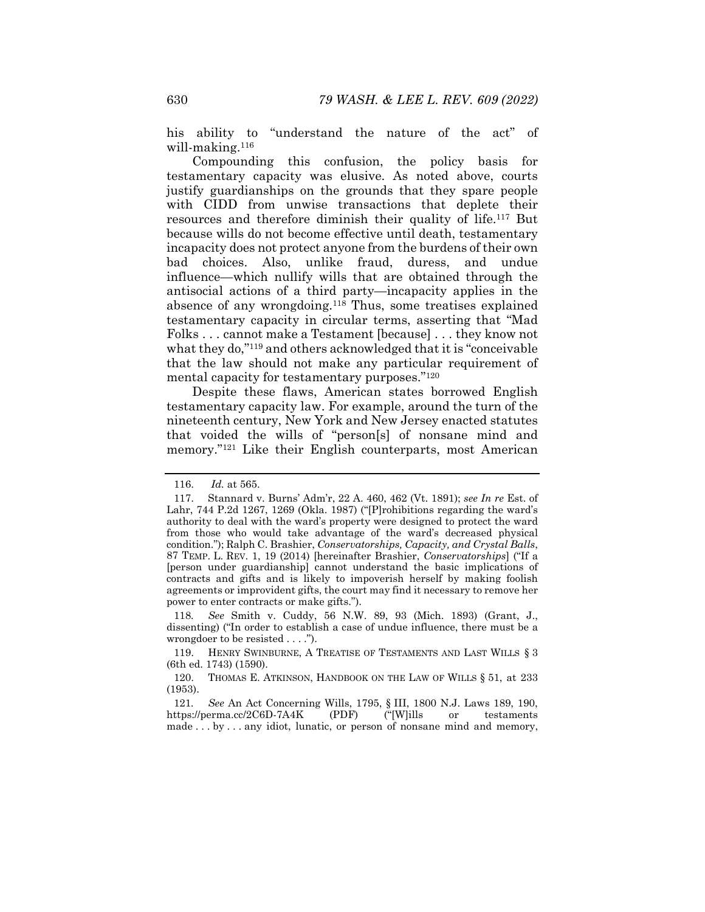his ability to "understand the nature of the act" of will-making.116

Compounding this confusion, the policy basis for testamentary capacity was elusive. As noted above, courts justify guardianships on the grounds that they spare people with CIDD from unwise transactions that deplete their resources and therefore diminish their quality of life.117 But because wills do not become effective until death, testamentary incapacity does not protect anyone from the burdens of their own bad choices. Also, unlike fraud, duress, and undue influence—which nullify wills that are obtained through the antisocial actions of a third party—incapacity applies in the absence of any wrongdoing.118 Thus, some treatises explained testamentary capacity in circular terms, asserting that "Mad Folks . . . cannot make a Testament [because] . . . they know not what they do,"119 and others acknowledged that it is "conceivable that the law should not make any particular requirement of mental capacity for testamentary purposes."120

Despite these flaws, American states borrowed English testamentary capacity law. For example, around the turn of the nineteenth century, New York and New Jersey enacted statutes that voided the wills of "person[s] of nonsane mind and memory."121 Like their English counterparts, most American

118*. See* Smith v. Cuddy, 56 N.W. 89, 93 (Mich. 1893) (Grant, J., dissenting) ("In order to establish a case of undue influence, there must be a wrongdoer to be resisted . . . .").

 <sup>116.</sup> *Id.* at 565.

 <sup>117.</sup> Stannard v. Burns' Adm'r, 22 A. 460, 462 (Vt. 1891); *see In re* Est. of Lahr, 744 P.2d 1267, 1269 (Okla. 1987) ("[P]rohibitions regarding the ward's authority to deal with the ward's property were designed to protect the ward from those who would take advantage of the ward's decreased physical condition."); Ralph C. Brashier, *Conservatorships, Capacity, and Crystal Balls*, 87 TEMP. L. REV. 1, 19 (2014) [hereinafter Brashier, *Conservatorships*] ("If a [person under guardianship] cannot understand the basic implications of contracts and gifts and is likely to impoverish herself by making foolish agreements or improvident gifts, the court may find it necessary to remove her power to enter contracts or make gifts.").

 <sup>119.</sup> HENRY SWINBURNE, A TREATISE OF TESTAMENTS AND LAST WILLS § 3 (6th ed. 1743) (1590).

 <sup>120.</sup> THOMAS E. ATKINSON, HANDBOOK ON THE LAW OF WILLS § 51, at 233 (1953).

<sup>121</sup>*. See* An Act Concerning Wills, 1795, § III, 1800 N.J. Laws 189, 190, https://perma.cc/2C6D-7A4K (PDF) ("[W]ills or testaments made . . . by . . . any idiot, lunatic, or person of nonsane mind and memory,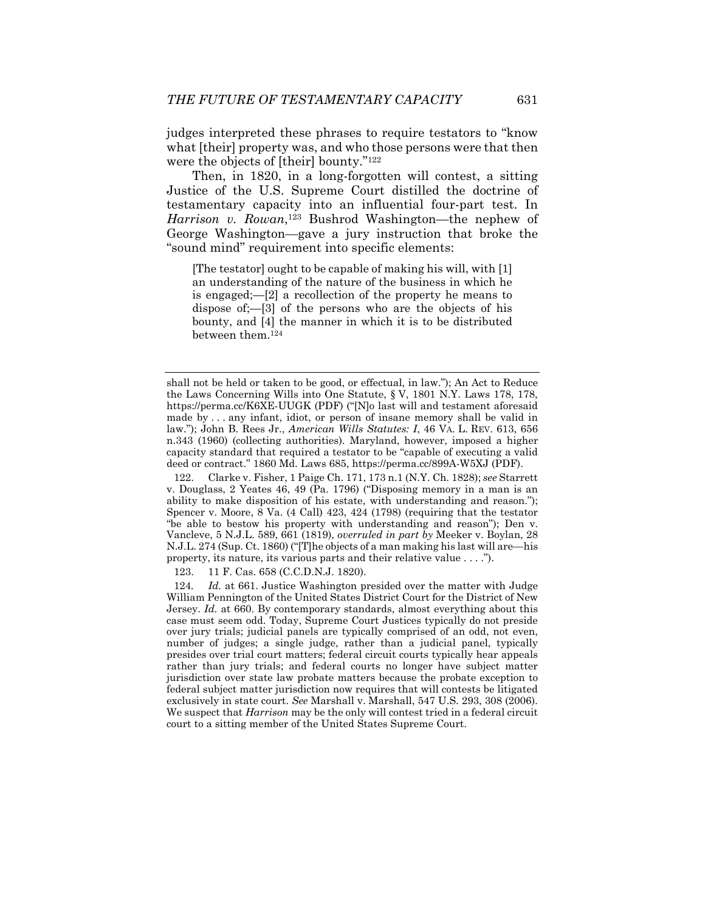judges interpreted these phrases to require testators to "know what [their] property was, and who those persons were that then were the objects of [their] bounty."122

Then, in 1820, in a long-forgotten will contest, a sitting Justice of the U.S. Supreme Court distilled the doctrine of testamentary capacity into an influential four-part test. In *Harrison v. Rowan*,123 Bushrod Washington—the nephew of George Washington—gave a jury instruction that broke the "sound mind" requirement into specific elements:

[The testator] ought to be capable of making his will, with [1] an understanding of the nature of the business in which he is engaged;—[2] a recollection of the property he means to dispose of;—[3] of the persons who are the objects of his bounty, and [4] the manner in which it is to be distributed between them.124

 122. Clarke v. Fisher, 1 Paige Ch. 171, 173 n.1 (N.Y. Ch. 1828); *see* Starrett v. Douglass, 2 Yeates 46, 49 (Pa. 1796) ("Disposing memory in a man is an ability to make disposition of his estate, with understanding and reason."); Spencer v. Moore, 8 Va. (4 Call) 423, 424 (1798) (requiring that the testator "be able to bestow his property with understanding and reason"); Den v. Vancleve, 5 N.J.L. 589, 661 (1819), *overruled in part by* Meeker v. Boylan, 28 N.J.L. 274 (Sup. Ct. 1860) ("[T]he objects of a man making his last will are—his property, its nature, its various parts and their relative value . . . .").

123. 11 F. Cas. 658 (C.C.D.N.J. 1820).

124*. Id.* at 661. Justice Washington presided over the matter with Judge William Pennington of the United States District Court for the District of New Jersey. *Id.* at 660. By contemporary standards, almost everything about this case must seem odd. Today, Supreme Court Justices typically do not preside over jury trials; judicial panels are typically comprised of an odd, not even, number of judges; a single judge, rather than a judicial panel, typically presides over trial court matters; federal circuit courts typically hear appeals rather than jury trials; and federal courts no longer have subject matter jurisdiction over state law probate matters because the probate exception to federal subject matter jurisdiction now requires that will contests be litigated exclusively in state court. *See* Marshall v. Marshall, 547 U.S. 293, 308 (2006). We suspect that *Harrison* may be the only will contest tried in a federal circuit court to a sitting member of the United States Supreme Court.

shall not be held or taken to be good, or effectual, in law."); An Act to Reduce the Laws Concerning Wills into One Statute, § V, 1801 N.Y. Laws 178, 178, https://perma.cc/K6XE-UUGK (PDF) ("[N]o last will and testament aforesaid made by . . . any infant, idiot, or person of insane memory shall be valid in law."); John B. Rees Jr., *American Wills Statutes: I*, 46 VA. L. REV. 613, 656 n.343 (1960) (collecting authorities). Maryland, however, imposed a higher capacity standard that required a testator to be "capable of executing a valid deed or contract." 1860 Md. Laws 685, https://perma.cc/899A-W5XJ (PDF).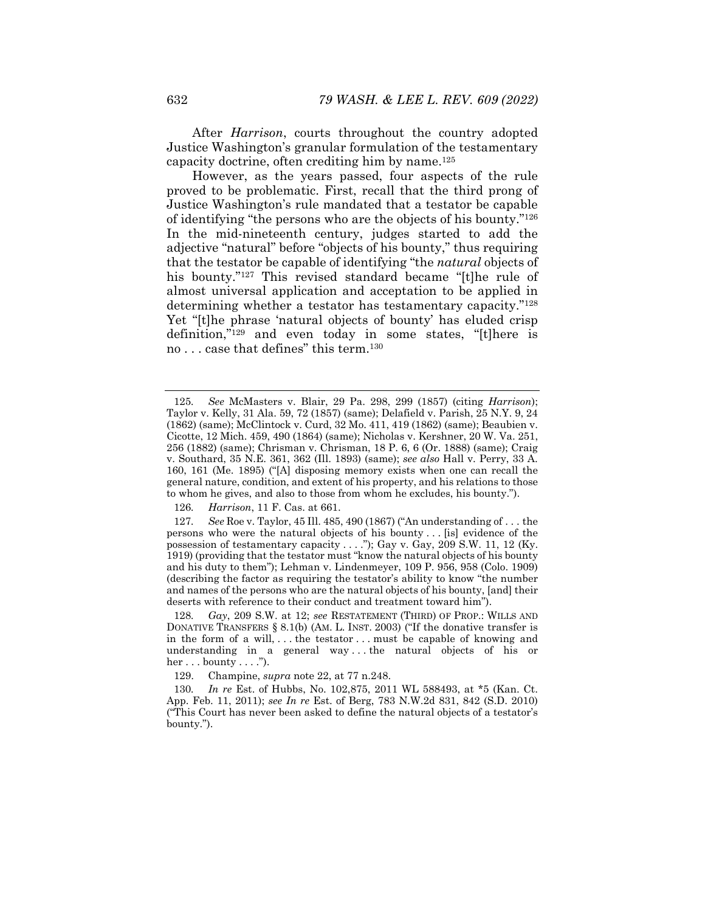After *Harrison*, courts throughout the country adopted Justice Washington's granular formulation of the testamentary capacity doctrine, often crediting him by name.125

However, as the years passed, four aspects of the rule proved to be problematic. First, recall that the third prong of Justice Washington's rule mandated that a testator be capable of identifying "the persons who are the objects of his bounty."126 In the mid-nineteenth century, judges started to add the adjective "natural" before "objects of his bounty," thus requiring that the testator be capable of identifying "the *natural* objects of his bounty."<sup>127</sup> This revised standard became "[t]he rule of almost universal application and acceptation to be applied in determining whether a testator has testamentary capacity."128 Yet "[t]he phrase 'natural objects of bounty' has eluded crisp definition,"129 and even today in some states, "[t]here is no . . . case that defines" this term.130

126*. Harrison*, 11 F. Cas. at 661.

<sup>125</sup>*. See* McMasters v. Blair, 29 Pa. 298, 299 (1857) (citing *Harrison*); Taylor v. Kelly, 31 Ala. 59, 72 (1857) (same); Delafield v. Parish, 25 N.Y. 9, 24 (1862) (same); McClintock v. Curd, 32 Mo. 411, 419 (1862) (same); Beaubien v. Cicotte, 12 Mich. 459, 490 (1864) (same); Nicholas v. Kershner, 20 W. Va. 251, 256 (1882) (same); Chrisman v. Chrisman, 18 P. 6, 6 (Or. 1888) (same); Craig v. Southard, 35 N.E. 361, 362 (Ill. 1893) (same); *see also* Hall v. Perry, 33 A. 160, 161 (Me. 1895) ("[A] disposing memory exists when one can recall the general nature, condition, and extent of his property, and his relations to those to whom he gives, and also to those from whom he excludes, his bounty.").

<sup>127</sup>*. See* Roe v. Taylor, 45 Ill. 485, 490 (1867) ("An understanding of . . . the persons who were the natural objects of his bounty . . . [is] evidence of the possession of testamentary capacity . . . ."); Gay v. Gay,  $209$  S.W. 11, 12 (Ky. 1919) (providing that the testator must "know the natural objects of his bounty and his duty to them"); Lehman v. Lindenmeyer, 109 P. 956, 958 (Colo. 1909) (describing the factor as requiring the testator's ability to know "the number and names of the persons who are the natural objects of his bounty, [and] their deserts with reference to their conduct and treatment toward him").

<sup>128</sup>*. Gay*, 209 S.W. at 12; *see* RESTATEMENT (THIRD) OF PROP.: WILLS AND DONATIVE TRANSFERS § 8.1(b) (AM. L. INST. 2003) ("If the donative transfer is in the form of a will, . . . the testator . . . must be capable of knowing and understanding in a general way . . . the natural objects of his or  $her \dots$  bounty  $\dots$ .").

 <sup>129.</sup> Champine, *supra* note 22, at 77 n.248.

<sup>130</sup>*. In re* Est. of Hubbs, No. 102,875, 2011 WL 588493, at \*5 (Kan. Ct. App. Feb. 11, 2011); *see In re* Est. of Berg, 783 N.W.2d 831, 842 (S.D. 2010) ("This Court has never been asked to define the natural objects of a testator's bounty.").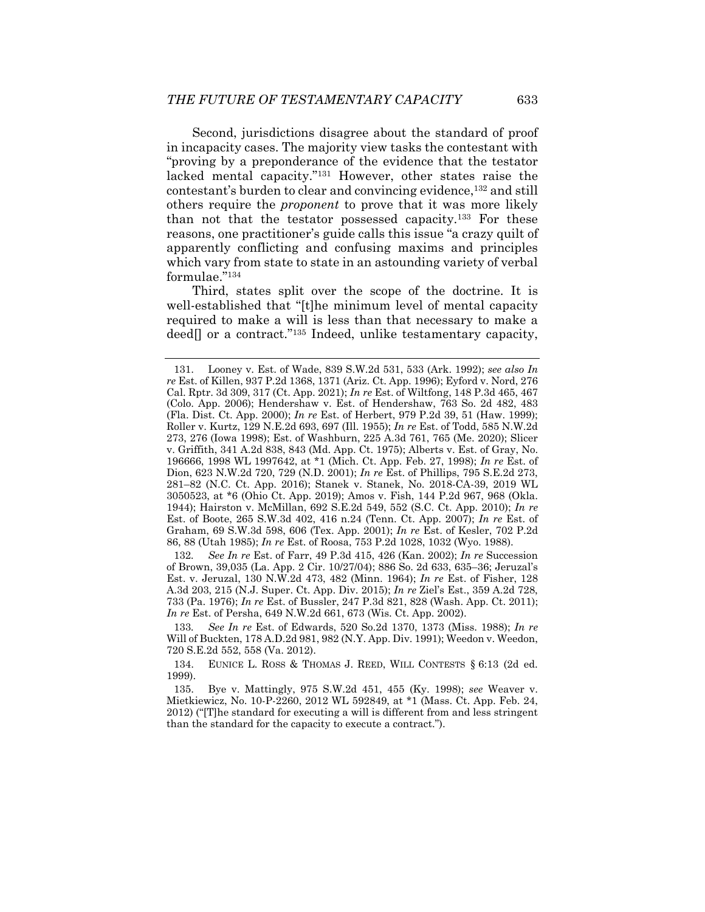Second, jurisdictions disagree about the standard of proof in incapacity cases. The majority view tasks the contestant with "proving by a preponderance of the evidence that the testator lacked mental capacity."131 However, other states raise the contestant's burden to clear and convincing evidence,<sup>132</sup> and still others require the *proponent* to prove that it was more likely than not that the testator possessed capacity.133 For these reasons, one practitioner's guide calls this issue "a crazy quilt of apparently conflicting and confusing maxims and principles which vary from state to state in an astounding variety of verbal formulae."134

Third, states split over the scope of the doctrine. It is well-established that "[t]he minimum level of mental capacity required to make a will is less than that necessary to make a deed<sup>[]</sup> or a contract."<sup>135</sup> Indeed, unlike testamentary capacity,

132*. See In re* Est. of Farr, 49 P.3d 415, 426 (Kan. 2002); *In re* Succession of Brown, 39,035 (La. App. 2 Cir. 10/27/04); 886 So. 2d 633, 635–36; Jeruzal's Est. v. Jeruzal, 130 N.W.2d 473, 482 (Minn. 1964); *In re* Est. of Fisher, 128 A.3d 203, 215 (N.J. Super. Ct. App. Div. 2015); *In re* Ziel's Est., 359 A.2d 728, 733 (Pa. 1976); *In re* Est. of Bussler, 247 P.3d 821, 828 (Wash. App. Ct. 2011); *In re* Est. of Persha, 649 N.W.2d 661, 673 (Wis. Ct. App. 2002).

133*. See In re* Est. of Edwards, 520 So.2d 1370, 1373 (Miss. 1988); *In re*  Will of Buckten, 178 A.D.2d 981, 982 (N.Y. App. Div. 1991); Weedon v. Weedon, 720 S.E.2d 552, 558 (Va. 2012).

 134. EUNICE L. ROSS & THOMAS J. REED, WILL CONTESTS § 6:13 (2d ed. 1999).

 135. Bye v. Mattingly, 975 S.W.2d 451, 455 (Ky. 1998); *see* Weaver v. Mietkiewicz, No. 10-P-2260, 2012 WL 592849, at \*1 (Mass. Ct. App. Feb. 24, 2012) ("[T]he standard for executing a will is different from and less stringent than the standard for the capacity to execute a contract.").

 <sup>131.</sup> Looney v. Est. of Wade, 839 S.W.2d 531, 533 (Ark. 1992); *see also In re* Est. of Killen, 937 P.2d 1368, 1371 (Ariz. Ct. App. 1996); Eyford v. Nord, 276 Cal. Rptr. 3d 309, 317 (Ct. App. 2021); *In re* Est. of Wiltfong, 148 P.3d 465, 467 (Colo. App. 2006); Hendershaw v. Est. of Hendershaw, 763 So. 2d 482, 483 (Fla. Dist. Ct. App. 2000); *In re* Est. of Herbert, 979 P.2d 39, 51 (Haw. 1999); Roller v. Kurtz, 129 N.E.2d 693, 697 (Ill. 1955); *In re* Est. of Todd, 585 N.W.2d 273, 276 (Iowa 1998); Est. of Washburn, 225 A.3d 761, 765 (Me. 2020); Slicer v. Griffith, 341 A.2d 838, 843 (Md. App. Ct. 1975); Alberts v. Est. of Gray, No. 196666, 1998 WL 1997642, at \*1 (Mich. Ct. App. Feb. 27, 1998); *In re* Est. of Dion, 623 N.W.2d 720, 729 (N.D. 2001); *In re* Est. of Phillips, 795 S.E.2d 273, 281–82 (N.C. Ct. App. 2016); Stanek v. Stanek, No. 2018-CA-39, 2019 WL 3050523, at \*6 (Ohio Ct. App. 2019); Amos v. Fish, 144 P.2d 967, 968 (Okla. 1944); Hairston v. McMillan, 692 S.E.2d 549, 552 (S.C. Ct. App. 2010); *In re* Est. of Boote, 265 S.W.3d 402, 416 n.24 (Tenn. Ct. App. 2007); *In re* Est. of Graham, 69 S.W.3d 598, 606 (Tex. App. 2001); *In re* Est. of Kesler, 702 P.2d 86, 88 (Utah 1985); *In re* Est. of Roosa, 753 P.2d 1028, 1032 (Wyo. 1988).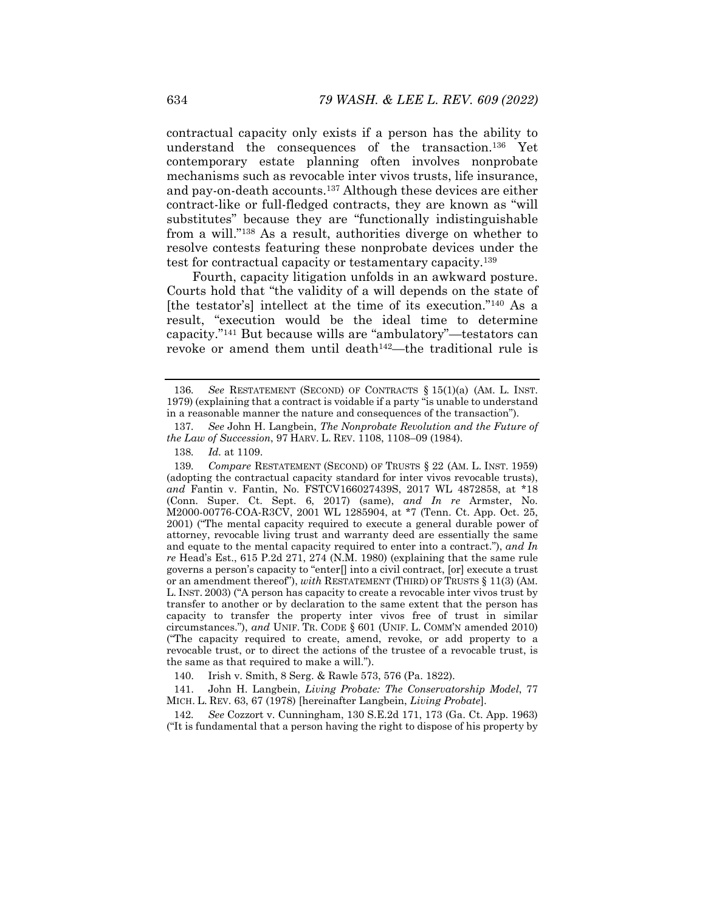contractual capacity only exists if a person has the ability to understand the consequences of the transaction.136 Yet contemporary estate planning often involves nonprobate mechanisms such as revocable inter vivos trusts, life insurance, and pay-on-death accounts.137 Although these devices are either contract-like or full-fledged contracts, they are known as "will substitutes" because they are "functionally indistinguishable from a will."138 As a result, authorities diverge on whether to resolve contests featuring these nonprobate devices under the test for contractual capacity or testamentary capacity.139

Fourth, capacity litigation unfolds in an awkward posture. Courts hold that "the validity of a will depends on the state of [the testator's] intellect at the time of its execution."140 As a result, "execution would be the ideal time to determine capacity."141 But because wills are "ambulatory"—testators can revoke or amend them until death<sup>142</sup>—the traditional rule is

140. Irish v. Smith, 8 Serg. & Rawle 573, 576 (Pa. 1822).

 141. John H. Langbein, *Living Probate: The Conservatorship Model*, 77 MICH. L. REV. 63, 67 (1978) [hereinafter Langbein, *Living Probate*].

142*. See* Cozzort v. Cunningham, 130 S.E.2d 171, 173 (Ga. Ct. App. 1963) ("It is fundamental that a person having the right to dispose of his property by

<sup>136</sup>*. See* RESTATEMENT (SECOND) OF CONTRACTS § 15(1)(a) (AM. L. INST. 1979) (explaining that a contract is voidable if a party "is unable to understand in a reasonable manner the nature and consequences of the transaction").

<sup>137</sup>*. See* John H. Langbein, *The Nonprobate Revolution and the Future of the Law of Succession*, 97 HARV. L. REV. 1108, 1108–09 (1984).

<sup>138</sup>*. Id.* at 1109.

<sup>139</sup>*. Compare* RESTATEMENT (SECOND) OF TRUSTS § 22 (AM. L. INST. 1959) (adopting the contractual capacity standard for inter vivos revocable trusts), *and* Fantin v. Fantin, No. FSTCV166027439S, 2017 WL 4872858, at \*18 (Conn. Super. Ct. Sept. 6, 2017) (same), *and In re* Armster, No. M2000-00776-COA-R3CV, 2001 WL 1285904, at \*7 (Tenn. Ct. App. Oct. 25, 2001) ("The mental capacity required to execute a general durable power of attorney, revocable living trust and warranty deed are essentially the same and equate to the mental capacity required to enter into a contract."), *and In re* Head's Est., 615 P.2d 271, 274 (N.M. 1980) (explaining that the same rule governs a person's capacity to "enter[] into a civil contract, [or] execute a trust or an amendment thereof"), *with* RESTATEMENT (THIRD) OF TRUSTS § 11(3) (AM. L. INST. 2003) ("A person has capacity to create a revocable inter vivos trust by transfer to another or by declaration to the same extent that the person has capacity to transfer the property inter vivos free of trust in similar circumstances."), *and* UNIF. TR. CODE § 601 (UNIF. L. COMM'N amended 2010) ("The capacity required to create, amend, revoke, or add property to a revocable trust, or to direct the actions of the trustee of a revocable trust, is the same as that required to make a will.").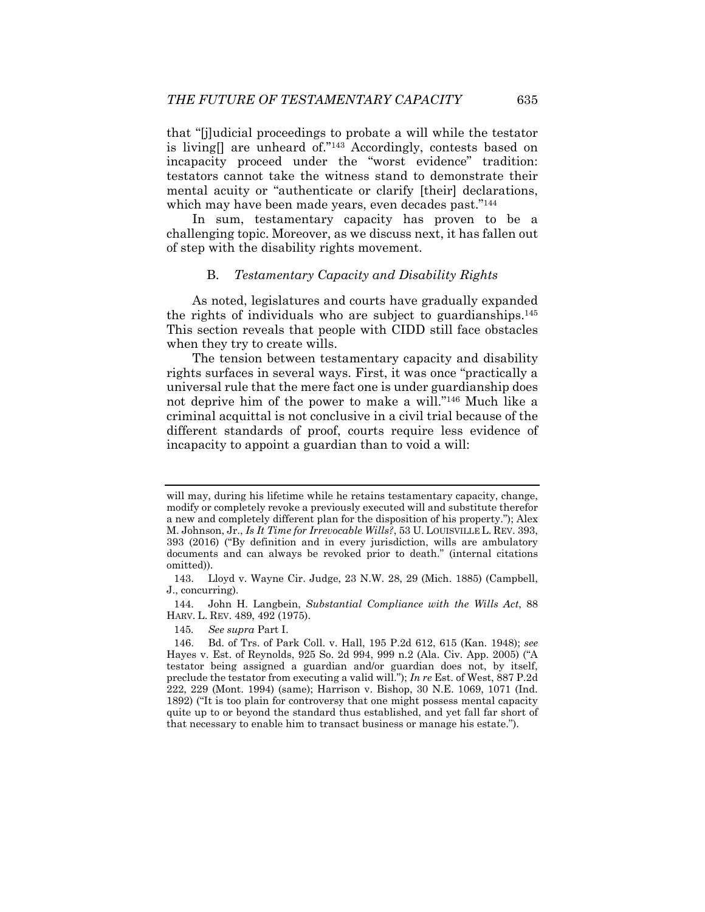that "[j]udicial proceedings to probate a will while the testator is living[] are unheard of."143 Accordingly, contests based on incapacity proceed under the "worst evidence" tradition: testators cannot take the witness stand to demonstrate their mental acuity or "authenticate or clarify [their] declarations, which may have been made years, even decades past."<sup>144</sup>

In sum, testamentary capacity has proven to be a challenging topic. Moreover, as we discuss next, it has fallen out of step with the disability rights movement.

# B. *Testamentary Capacity and Disability Rights*

As noted, legislatures and courts have gradually expanded the rights of individuals who are subject to guardianships.145 This section reveals that people with CIDD still face obstacles when they try to create wills.

The tension between testamentary capacity and disability rights surfaces in several ways. First, it was once "practically a universal rule that the mere fact one is under guardianship does not deprive him of the power to make a will."146 Much like a criminal acquittal is not conclusive in a civil trial because of the different standards of proof, courts require less evidence of incapacity to appoint a guardian than to void a will:

 144. John H. Langbein, *Substantial Compliance with the Wills Act*, 88 HARV. L. REV. 489, 492 (1975).

145*. See supra* Part I.

will may, during his lifetime while he retains testamentary capacity, change, modify or completely revoke a previously executed will and substitute therefor a new and completely different plan for the disposition of his property."); Alex M. Johnson, Jr., *Is It Time for Irrevocable Wills?*, 53 U. LOUISVILLE L. REV. 393, 393 (2016) ("By definition and in every jurisdiction, wills are ambulatory documents and can always be revoked prior to death." (internal citations omitted)).

 <sup>143.</sup> Lloyd v. Wayne Cir. Judge, 23 N.W. 28, 29 (Mich. 1885) (Campbell, J., concurring).

 <sup>146.</sup> Bd. of Trs. of Park Coll. v. Hall, 195 P.2d 612, 615 (Kan. 1948); *see*  Hayes v. Est. of Reynolds, 925 So. 2d 994, 999 n.2 (Ala. Civ. App. 2005) ("A testator being assigned a guardian and/or guardian does not, by itself, preclude the testator from executing a valid will."); *In re* Est. of West, 887 P.2d 222, 229 (Mont. 1994) (same); Harrison v. Bishop, 30 N.E. 1069, 1071 (Ind. 1892) ("It is too plain for controversy that one might possess mental capacity quite up to or beyond the standard thus established, and yet fall far short of that necessary to enable him to transact business or manage his estate.").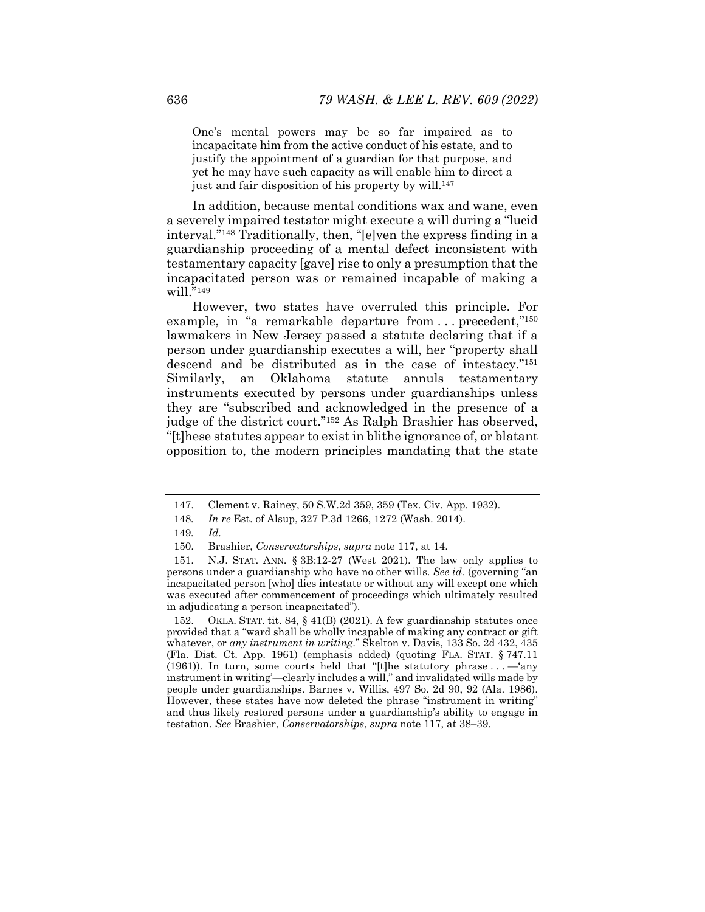One's mental powers may be so far impaired as to incapacitate him from the active conduct of his estate, and to justify the appointment of a guardian for that purpose, and yet he may have such capacity as will enable him to direct a just and fair disposition of his property by will.147

In addition, because mental conditions wax and wane, even a severely impaired testator might execute a will during a "lucid interval."148 Traditionally, then, "[e]ven the express finding in a guardianship proceeding of a mental defect inconsistent with testamentary capacity [gave] rise to only a presumption that the incapacitated person was or remained incapable of making a will. $"^{149}$ 

However, two states have overruled this principle. For example, in "a remarkable departure from ... precedent,"<sup>150</sup> lawmakers in New Jersey passed a statute declaring that if a person under guardianship executes a will, her "property shall descend and be distributed as in the case of intestacy."151 Similarly, an Oklahoma statute annuls testamentary instruments executed by persons under guardianships unless they are "subscribed and acknowledged in the presence of a judge of the district court."152 As Ralph Brashier has observed, "[t]hese statutes appear to exist in blithe ignorance of, or blatant opposition to, the modern principles mandating that the state

 <sup>147.</sup> Clement v. Rainey, 50 S.W.2d 359, 359 (Tex. Civ. App. 1932).

<sup>148</sup>*. In re* Est. of Alsup, 327 P.3d 1266, 1272 (Wash. 2014).

<sup>149</sup>*. Id.*

 <sup>150.</sup> Brashier, *Conservatorships*, *supra* note 117, at 14.

 <sup>151.</sup> N.J. STAT. ANN. § 3B:12-27 (West 2021). The law only applies to persons under a guardianship who have no other wills. *See id.* (governing "an incapacitated person [who] dies intestate or without any will except one which was executed after commencement of proceedings which ultimately resulted in adjudicating a person incapacitated").

 <sup>152.</sup> OKLA. STAT. tit. 84, § 41(B) (2021). A few guardianship statutes once provided that a "ward shall be wholly incapable of making any contract or gift whatever, or *any instrument in writing*." Skelton v. Davis, 133 So. 2d 432, 435 (Fla. Dist. Ct. App. 1961) (emphasis added) (quoting FLA. STAT. § 747.11 (1961)). In turn, some courts held that "[t]he statutory phrase . . . —'any instrument in writing'—clearly includes a will," and invalidated wills made by people under guardianships. Barnes v. Willis, 497 So. 2d 90, 92 (Ala. 1986). However, these states have now deleted the phrase "instrument in writing" and thus likely restored persons under a guardianship's ability to engage in testation. *See* Brashier, *Conservatorships*, *supra* note 117, at 38–39.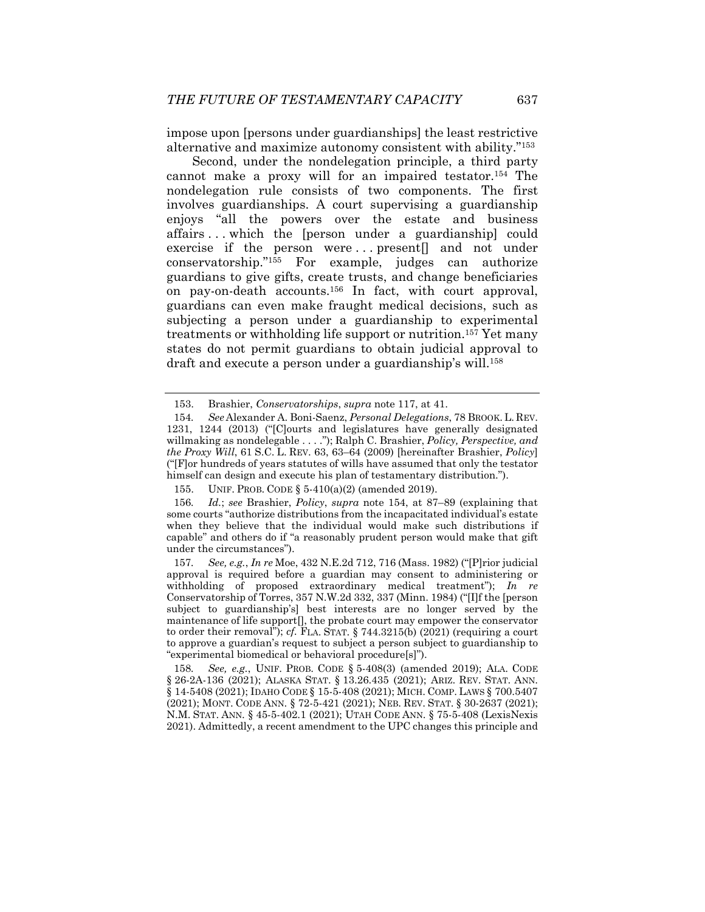impose upon [persons under guardianships] the least restrictive alternative and maximize autonomy consistent with ability."153

Second, under the nondelegation principle, a third party cannot make a proxy will for an impaired testator.154 The nondelegation rule consists of two components. The first involves guardianships. A court supervising a guardianship enjoys "all the powers over the estate and business affairs . . . which the [person under a guardianship] could exercise if the person were ... present[] and not under conservatorship."155 For example, judges can authorize guardians to give gifts, create trusts, and change beneficiaries on pay-on-death accounts.156 In fact, with court approval, guardians can even make fraught medical decisions, such as subjecting a person under a guardianship to experimental treatments or withholding life support or nutrition.157 Yet many states do not permit guardians to obtain judicial approval to draft and execute a person under a guardianship's will.<sup>158</sup>

 <sup>153.</sup> Brashier, *Conservatorships*, *supra* note 117, at 41.

<sup>154</sup>*. See* Alexander A. Boni-Saenz, *Personal Delegations*, 78 BROOK. L. REV. 1231, 1244 (2013) ("[C]ourts and legislatures have generally designated willmaking as nondelegable . . . ."); Ralph C. Brashier, *Policy, Perspective, and the Proxy Will*, 61 S.C. L. REV. 63, 63–64 (2009) [hereinafter Brashier, *Policy*] ("[F]or hundreds of years statutes of wills have assumed that only the testator himself can design and execute his plan of testamentary distribution.").

 <sup>155.</sup> UNIF. PROB. CODE § 5-410(a)(2) (amended 2019).

<sup>156</sup>*. Id.*; *see* Brashier, *Policy*, *supra* note 154, at 87–89 (explaining that some courts "authorize distributions from the incapacitated individual's estate when they believe that the individual would make such distributions if capable" and others do if "a reasonably prudent person would make that gift under the circumstances").

<sup>157</sup>*. See, e.g.*, *In re* Moe, 432 N.E.2d 712, 716 (Mass. 1982) ("[P]rior judicial approval is required before a guardian may consent to administering or withholding of proposed extraordinary medical treatment"); *In re* Conservatorship of Torres, 357 N.W.2d 332, 337 (Minn. 1984) ("[I]f the [person subject to guardianship's] best interests are no longer served by the maintenance of life support[], the probate court may empower the conservator to order their removal"); *cf.* FLA. STAT. § 744.3215(b) (2021) (requiring a court to approve a guardian's request to subject a person subject to guardianship to "experimental biomedical or behavioral procedure[s]").

<sup>158</sup>*. See, e.g.*, UNIF. PROB. CODE § 5-408(3) (amended 2019); ALA. CODE § 26-2A-136 (2021); ALASKA STAT. § 13.26.435 (2021); ARIZ. REV. STAT. ANN. § 14-5408 (2021); IDAHO CODE § 15-5-408 (2021); MICH. COMP. LAWS § 700.5407 (2021); MONT. CODE ANN. § 72-5-421 (2021); NEB. REV. STAT. § 30-2637 (2021); N.M. STAT. ANN. § 45-5-402.1 (2021); UTAH CODE ANN. § 75-5-408 (LexisNexis 2021). Admittedly, a recent amendment to the UPC changes this principle and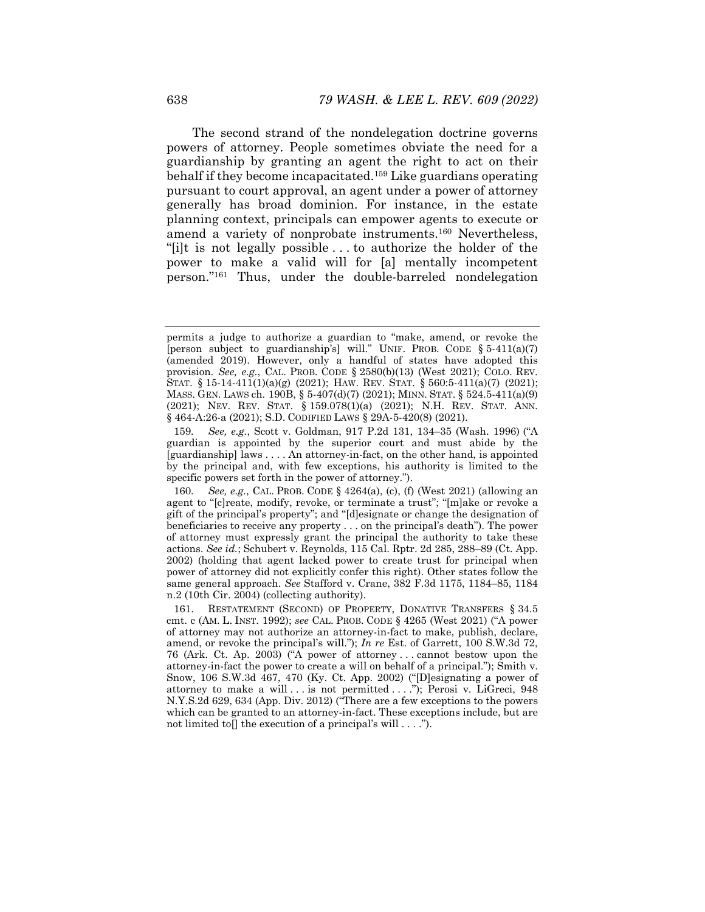The second strand of the nondelegation doctrine governs powers of attorney. People sometimes obviate the need for a guardianship by granting an agent the right to act on their behalf if they become incapacitated.159 Like guardians operating pursuant to court approval, an agent under a power of attorney generally has broad dominion. For instance, in the estate planning context, principals can empower agents to execute or amend a variety of nonprobate instruments.160 Nevertheless, "[i]t is not legally possible . . . to authorize the holder of the power to make a valid will for [a] mentally incompetent person."161 Thus, under the double-barreled nondelegation

permits a judge to authorize a guardian to "make, amend, or revoke the [person subject to guardianship's] will." UNIF. PROB. CODE § 5-411(a)(7) (amended 2019). However, only a handful of states have adopted this provision. *See, e.g.*, CAL. PROB. CODE § 2580(b)(13) (West 2021); COLO. REV. STAT. § 15-14-411(1)(a)(g) (2021); HAW. REV. STAT. § 560:5-411(a)(7) (2021); MASS. GEN. LAWS ch. 190B, § 5-407(d)(7) (2021); MINN. STAT. § 524.5-411(a)(9) (2021); NEV. REV. STAT. § 159.078(1)(a) (2021); N.H. REV. STAT. ANN. § 464-A:26-a (2021); S.D. CODIFIED LAWS § 29A-5-420(8) (2021).

<sup>159</sup>*. See, e.g.*, Scott v. Goldman, 917 P.2d 131, 134–35 (Wash. 1996) ("A guardian is appointed by the superior court and must abide by the [guardianship] laws . . . . An attorney-in-fact, on the other hand, is appointed by the principal and, with few exceptions, his authority is limited to the specific powers set forth in the power of attorney.").

<sup>160</sup>*. See, e.g.*, CAL. PROB. CODE § 4264(a), (c), (f) (West 2021) (allowing an agent to "[c]reate, modify, revoke, or terminate a trust"; "[m]ake or revoke a gift of the principal's property"; and "[d]esignate or change the designation of beneficiaries to receive any property . . . on the principal's death"). The power of attorney must expressly grant the principal the authority to take these actions. *See id.*; Schubert v. Reynolds, 115 Cal. Rptr. 2d 285, 288–89 (Ct. App. 2002) (holding that agent lacked power to create trust for principal when power of attorney did not explicitly confer this right). Other states follow the same general approach. *See* Stafford v. Crane, 382 F.3d 1175, 1184–85, 1184 n.2 (10th Cir. 2004) (collecting authority).

 <sup>161.</sup> RESTATEMENT (SECOND) OF PROPERTY, DONATIVE TRANSFERS § 34.5 cmt. c (AM. L. INST. 1992); *see* CAL. PROB. CODE § 4265 (West 2021) ("A power of attorney may not authorize an attorney-in-fact to make, publish, declare, amend, or revoke the principal's will."); *In re* Est. of Garrett, 100 S.W.3d 72, 76 (Ark. Ct. Ap. 2003) ("A power of attorney . . . cannot bestow upon the attorney-in-fact the power to create a will on behalf of a principal."); Smith v. Snow, 106 S.W.3d 467, 470 (Ky. Ct. App. 2002) ("[D]esignating a power of attorney to make a will . . . is not permitted . . . ."); Perosi v. LiGreci, 948 N.Y.S.2d 629, 634 (App. Div. 2012) ("There are a few exceptions to the powers which can be granted to an attorney-in-fact. These exceptions include, but are not limited to  $\left[ \right]$  the execution of a principal's will  $\dots$ ").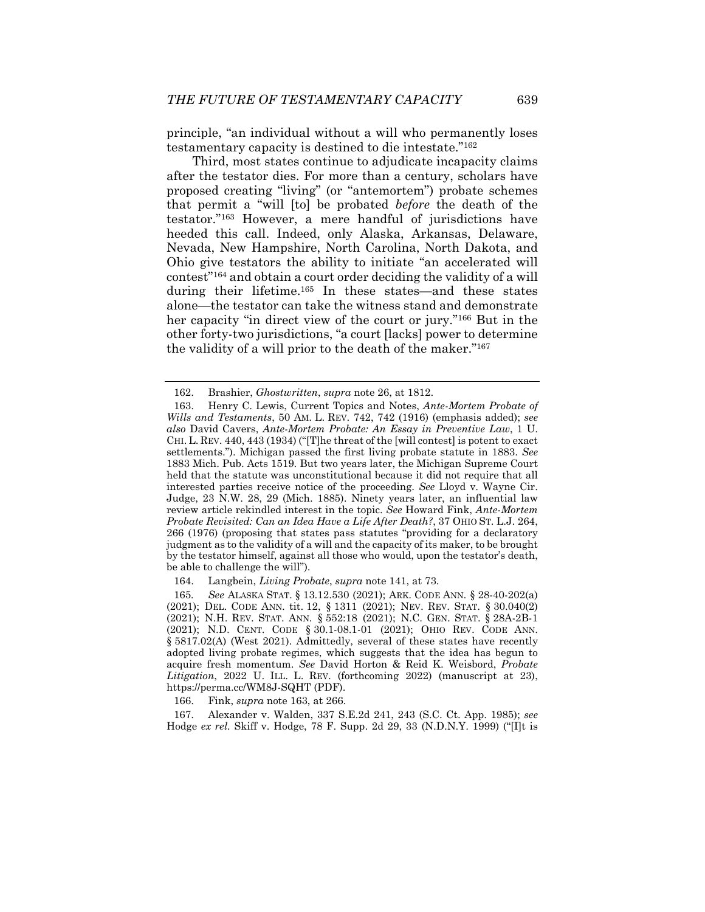principle, "an individual without a will who permanently loses testamentary capacity is destined to die intestate."162

Third, most states continue to adjudicate incapacity claims after the testator dies. For more than a century, scholars have proposed creating "living" (or "antemortem") probate schemes that permit a "will [to] be probated *before* the death of the testator."163 However, a mere handful of jurisdictions have heeded this call. Indeed, only Alaska, Arkansas, Delaware, Nevada, New Hampshire, North Carolina, North Dakota, and Ohio give testators the ability to initiate "an accelerated will contest"164 and obtain a court order deciding the validity of a will during their lifetime.165 In these states—and these states alone—the testator can take the witness stand and demonstrate her capacity "in direct view of the court or jury."166 But in the other forty-two jurisdictions, "a court [lacks] power to determine the validity of a will prior to the death of the maker."167

164. Langbein, *Living Probate*, *supra* note 141, at 73.

165*. See* ALASKA STAT. § 13.12.530 (2021); ARK. CODE ANN. § 28-40-202(a) (2021); DEL. CODE ANN. tit. 12, § 1311 (2021); NEV. REV. STAT. § 30.040(2) (2021); N.H. REV. STAT. ANN. § 552:18 (2021); N.C. GEN. STAT. § 28A-2B-1 (2021); N.D. CENT. CODE § 30.1-08.1-01 (2021); OHIO REV. CODE ANN. § 5817.02(A) (West 2021). Admittedly, several of these states have recently adopted living probate regimes, which suggests that the idea has begun to acquire fresh momentum. *See* David Horton & Reid K. Weisbord, *Probate Litigation*, 2022 U. ILL. L. REV. (forthcoming 2022) (manuscript at 23), https://perma.cc/WM8J-SQHT (PDF).

166. Fink, *supra* note 163, at 266.

 167. Alexander v. Walden, 337 S.E.2d 241, 243 (S.C. Ct. App. 1985); *see*  Hodge *ex rel.* Skiff v. Hodge, 78 F. Supp. 2d 29, 33 (N.D.N.Y. 1999) ("[I]t is

 <sup>162.</sup> Brashier, *Ghostwritten*, *supra* note 26, at 1812.

 <sup>163.</sup> Henry C. Lewis, Current Topics and Notes, *Ante-Mortem Probate of Wills and Testaments*, 50 AM. L. REV. 742, 742 (1916) (emphasis added); *see also* David Cavers, *Ante-Mortem Probate: An Essay in Preventive Law*, 1 U. CHI. L. REV. 440, 443 (1934) ("[T]he threat of the [will contest] is potent to exact settlements."). Michigan passed the first living probate statute in 1883. *See*  1883 Mich. Pub. Acts 1519. But two years later, the Michigan Supreme Court held that the statute was unconstitutional because it did not require that all interested parties receive notice of the proceeding. *See* Lloyd v. Wayne Cir. Judge, 23 N.W. 28, 29 (Mich. 1885). Ninety years later, an influential law review article rekindled interest in the topic. *See* Howard Fink, *Ante-Mortem Probate Revisited: Can an Idea Have a Life After Death?*, 37 OHIO ST. L.J. 264, 266 (1976) (proposing that states pass statutes "providing for a declaratory judgment as to the validity of a will and the capacity of its maker, to be brought by the testator himself, against all those who would, upon the testator's death, be able to challenge the will").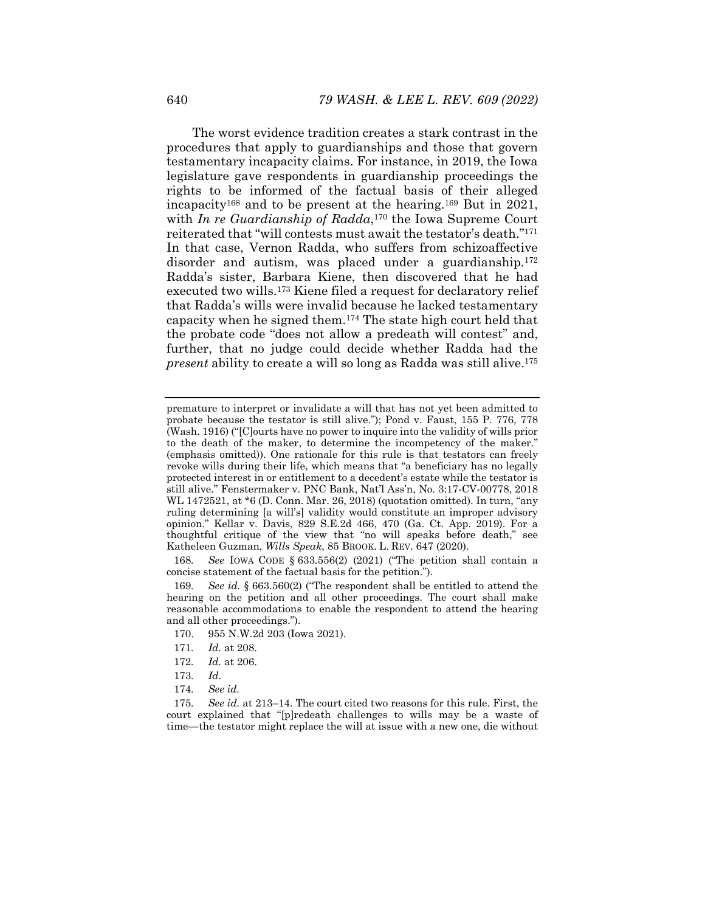The worst evidence tradition creates a stark contrast in the procedures that apply to guardianships and those that govern testamentary incapacity claims. For instance, in 2019, the Iowa legislature gave respondents in guardianship proceedings the rights to be informed of the factual basis of their alleged incapacity168 and to be present at the hearing.169 But in 2021, with *In re Guardianship of Radda*,<sup>170</sup> the Iowa Supreme Court reiterated that "will contests must await the testator's death."171 In that case, Vernon Radda, who suffers from schizoaffective disorder and autism, was placed under a guardianship.<sup>172</sup> Radda's sister, Barbara Kiene, then discovered that he had executed two wills.173 Kiene filed a request for declaratory relief that Radda's wills were invalid because he lacked testamentary capacity when he signed them.174 The state high court held that the probate code "does not allow a predeath will contest" and, further, that no judge could decide whether Radda had the *present* ability to create a will so long as Radda was still alive.175

168*. See* IOWA CODE § 633.556(2) (2021) ("The petition shall contain a concise statement of the factual basis for the petition.").

169*. See id.* § 663.560(2) ("The respondent shall be entitled to attend the hearing on the petition and all other proceedings. The court shall make reasonable accommodations to enable the respondent to attend the hearing and all other proceedings.").

- 170. 955 N.W.2d 203 (Iowa 2021).
- 171*. Id.* at 208.
- 172*. Id.* at 206.
- 173*. Id*.
- 174*. See id.*

175*. See id.* at 213–14. The court cited two reasons for this rule. First, the court explained that "[p]redeath challenges to wills may be a waste of time—the testator might replace the will at issue with a new one, die without

premature to interpret or invalidate a will that has not yet been admitted to probate because the testator is still alive."); Pond v. Faust, 155 P. 776, 778 (Wash. 1916) ("[C]ourts have no power to inquire into the validity of wills prior to the death of the maker, to determine the incompetency of the maker." (emphasis omitted)). One rationale for this rule is that testators can freely revoke wills during their life, which means that "a beneficiary has no legally protected interest in or entitlement to a decedent's estate while the testator is still alive." Fenstermaker v. PNC Bank, Nat'l Ass'n, No. 3:17-CV-00778, 2018 WL 1472521, at \*6 (D. Conn. Mar. 26, 2018) (quotation omitted). In turn, "any ruling determining [a will's] validity would constitute an improper advisory opinion." Kellar v. Davis, 829 S.E.2d 466, 470 (Ga. Ct. App. 2019). For a thoughtful critique of the view that "no will speaks before death," see Katheleen Guzman, *Wills Speak*, 85 BROOK. L. REV. 647 (2020).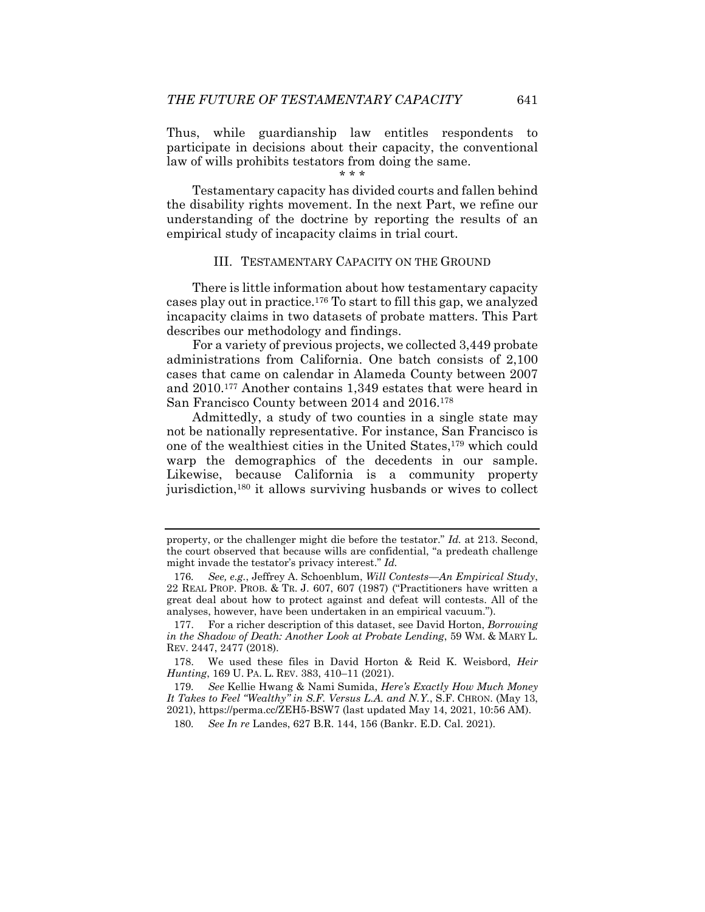Thus, while guardianship law entitles respondents to participate in decisions about their capacity, the conventional law of wills prohibits testators from doing the same.

\* \* \*

Testamentary capacity has divided courts and fallen behind the disability rights movement. In the next Part, we refine our understanding of the doctrine by reporting the results of an empirical study of incapacity claims in trial court.

#### III. TESTAMENTARY CAPACITY ON THE GROUND

There is little information about how testamentary capacity cases play out in practice.176 To start to fill this gap, we analyzed incapacity claims in two datasets of probate matters. This Part describes our methodology and findings.

For a variety of previous projects, we collected 3,449 probate administrations from California. One batch consists of 2,100 cases that came on calendar in Alameda County between 2007 and 2010.177 Another contains 1,349 estates that were heard in San Francisco County between 2014 and 2016.178

Admittedly, a study of two counties in a single state may not be nationally representative. For instance, San Francisco is one of the wealthiest cities in the United States,179 which could warp the demographics of the decedents in our sample. Likewise, because California is a community property jurisdiction,180 it allows surviving husbands or wives to collect

property, or the challenger might die before the testator." *Id.* at 213. Second, the court observed that because wills are confidential, "a predeath challenge might invade the testator's privacy interest." *Id.*

<sup>176</sup>*. See, e.g.*, Jeffrey A. Schoenblum, *Will Contests—An Empirical Study*, 22 REAL PROP. PROB. & TR. J. 607, 607 (1987) ("Practitioners have written a great deal about how to protect against and defeat will contests. All of the analyses, however, have been undertaken in an empirical vacuum.").

 <sup>177.</sup> For a richer description of this dataset, see David Horton, *Borrowing in the Shadow of Death: Another Look at Probate Lending*, 59 WM. & MARY L. REV. 2447, 2477 (2018).

 <sup>178.</sup> We used these files in David Horton & Reid K. Weisbord, *Heir Hunting*, 169 U. PA. L. REV. 383, 410–11 (2021).

<sup>179</sup>*. See* Kellie Hwang & Nami Sumida, *Here's Exactly How Much Money It Takes to Feel "Wealthy" in S.F. Versus L.A. and N.Y.*, S.F. CHRON. (May 13, 2021), https://perma.cc/ZEH5-BSW7 (last updated May 14, 2021, 10:56 AM).

<sup>180</sup>*. See In re* Landes, 627 B.R. 144, 156 (Bankr. E.D. Cal. 2021).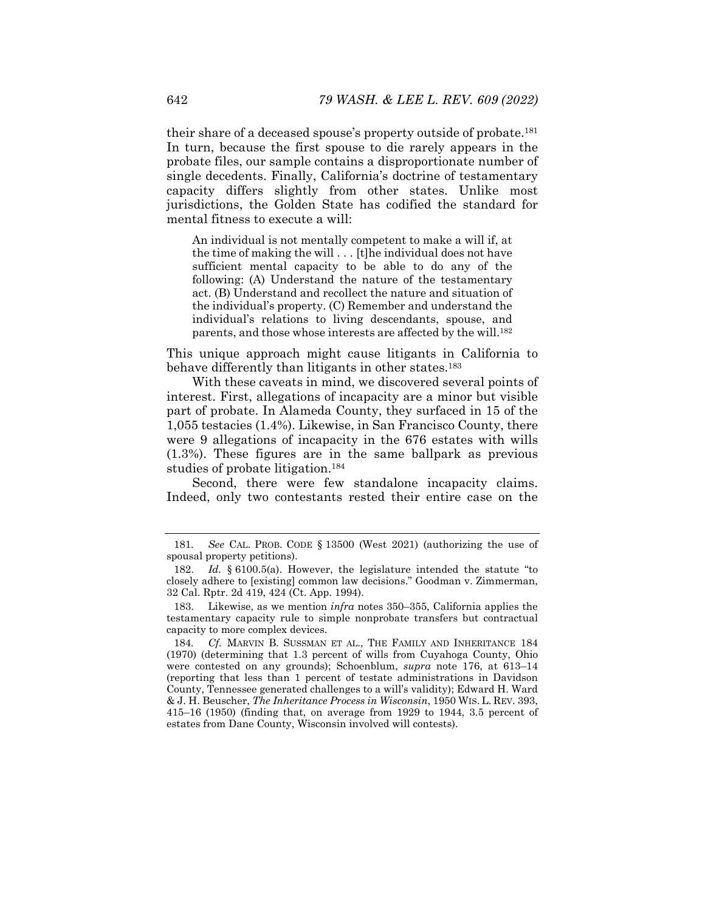their share of a deceased spouse's property outside of probate.181 In turn, because the first spouse to die rarely appears in the probate files, our sample contains a disproportionate number of single decedents. Finally, California's doctrine of testamentary capacity differs slightly from other states. Unlike most jurisdictions, the Golden State has codified the standard for mental fitness to execute a will:

An individual is not mentally competent to make a will if, at the time of making the will . . . [t]he individual does not have sufficient mental capacity to be able to do any of the following: (A) Understand the nature of the testamentary act. (B) Understand and recollect the nature and situation of the individual's property. (C) Remember and understand the individual's relations to living descendants, spouse, and parents, and those whose interests are affected by the will.182

This unique approach might cause litigants in California to behave differently than litigants in other states.<sup>183</sup>

With these caveats in mind, we discovered several points of interest. First, allegations of incapacity are a minor but visible part of probate. In Alameda County, they surfaced in 15 of the 1,055 testacies (1.4%). Likewise, in San Francisco County, there were 9 allegations of incapacity in the 676 estates with wills (1.3%). These figures are in the same ballpark as previous studies of probate litigation.184

Second, there were few standalone incapacity claims. Indeed, only two contestants rested their entire case on the

<sup>181</sup>*. See* CAL. PROB. CODE § 13500 (West 2021) (authorizing the use of spousal property petitions).

 <sup>182.</sup> *Id.* § 6100.5(a). However, the legislature intended the statute "to closely adhere to [existing] common law decisions." Goodman v. Zimmerman, 32 Cal. Rptr. 2d 419, 424 (Ct. App. 1994).

 <sup>183.</sup> Likewise, as we mention *infra* notes 350–355, California applies the testamentary capacity rule to simple nonprobate transfers but contractual capacity to more complex devices.

<sup>184</sup>*. Cf.* MARVIN B. SUSSMAN ET AL., THE FAMILY AND INHERITANCE 184 (1970) (determining that 1.3 percent of wills from Cuyahoga County, Ohio were contested on any grounds); Schoenblum, *supra* note 176, at 613–14 (reporting that less than 1 percent of testate administrations in Davidson County, Tennessee generated challenges to a will's validity); Edward H. Ward & J. H. Beuscher, *The Inheritance Process in Wisconsin*, 1950 WIS. L. REV. 393, 415–16 (1950) (finding that, on average from 1929 to 1944, 3.5 percent of estates from Dane County, Wisconsin involved will contests).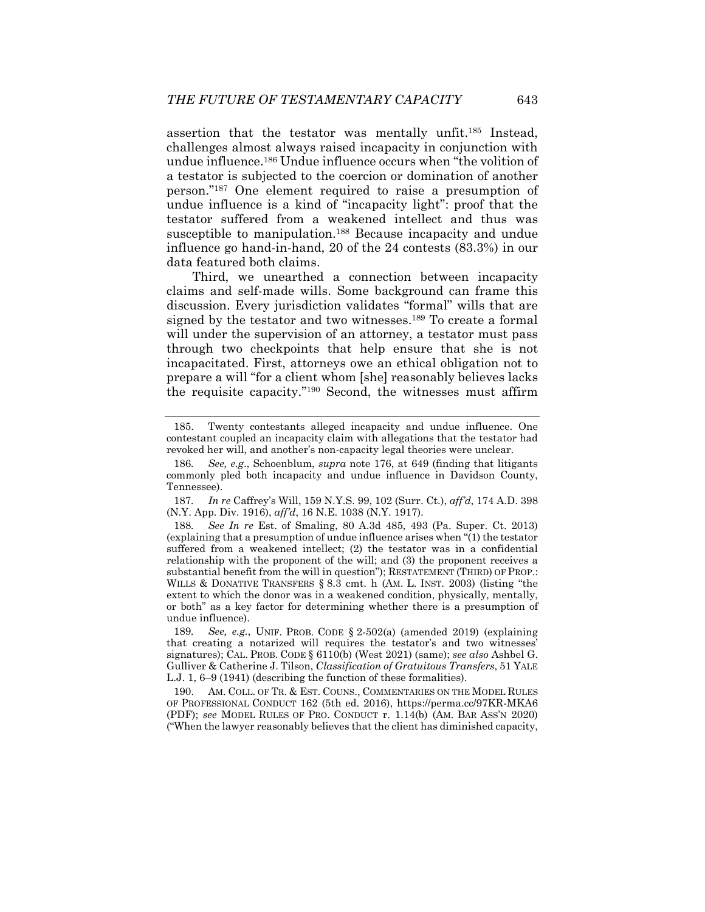assertion that the testator was mentally unfit.185 Instead, challenges almost always raised incapacity in conjunction with undue influence.186 Undue influence occurs when "the volition of a testator is subjected to the coercion or domination of another person."187 One element required to raise a presumption of undue influence is a kind of "incapacity light": proof that the testator suffered from a weakened intellect and thus was susceptible to manipulation.<sup>188</sup> Because incapacity and undue influence go hand-in-hand, 20 of the 24 contests (83.3%) in our data featured both claims.

Third, we unearthed a connection between incapacity claims and self-made wills. Some background can frame this discussion. Every jurisdiction validates "formal" wills that are signed by the testator and two witnesses.<sup>189</sup> To create a formal will under the supervision of an attorney, a testator must pass through two checkpoints that help ensure that she is not incapacitated. First, attorneys owe an ethical obligation not to prepare a will "for a client whom [she] reasonably believes lacks the requisite capacity."190 Second, the witnesses must affirm

187*. In re* Caffrey's Will, 159 N.Y.S. 99, 102 (Surr. Ct.), *aff'd*, 174 A.D. 398 (N.Y. App. Div. 1916), *aff'd*, 16 N.E. 1038 (N.Y. 1917).

See In re Est. of Smaling, 80 A.3d 485, 493 (Pa. Super. Ct. 2013) (explaining that a presumption of undue influence arises when "(1) the testator suffered from a weakened intellect; (2) the testator was in a confidential relationship with the proponent of the will; and (3) the proponent receives a substantial benefit from the will in question"); RESTATEMENT (THIRD) OF PROP.: WILLS & DONATIVE TRANSFERS § 8.3 cmt. h (AM. L. INST. 2003) (listing "the extent to which the donor was in a weakened condition, physically, mentally, or both" as a key factor for determining whether there is a presumption of undue influence).

189*. See, e.g.*, UNIF. PROB. CODE § 2-502(a) (amended 2019) (explaining that creating a notarized will requires the testator's and two witnesses' signatures); CAL. PROB. CODE § 6110(b) (West 2021) (same); *see also* Ashbel G. Gulliver & Catherine J. Tilson, *Classification of Gratuitous Transfers*, 51 YALE L.J. 1, 6–9 (1941) (describing the function of these formalities).

 190. AM. COLL. OF TR. & EST. COUNS., COMMENTARIES ON THE MODEL RULES OF PROFESSIONAL CONDUCT 162 (5th ed. 2016), https://perma.cc/97KR-MKA6 (PDF); *see* MODEL RULES OF PRO. CONDUCT r. 1.14(b) (AM. BAR ASS'N 2020) ("When the lawyer reasonably believes that the client has diminished capacity,

 <sup>185.</sup> Twenty contestants alleged incapacity and undue influence. One contestant coupled an incapacity claim with allegations that the testator had revoked her will, and another's non-capacity legal theories were unclear.

<sup>186</sup>*. See, e.g*., Schoenblum, *supra* note 176, at 649 (finding that litigants commonly pled both incapacity and undue influence in Davidson County, Tennessee).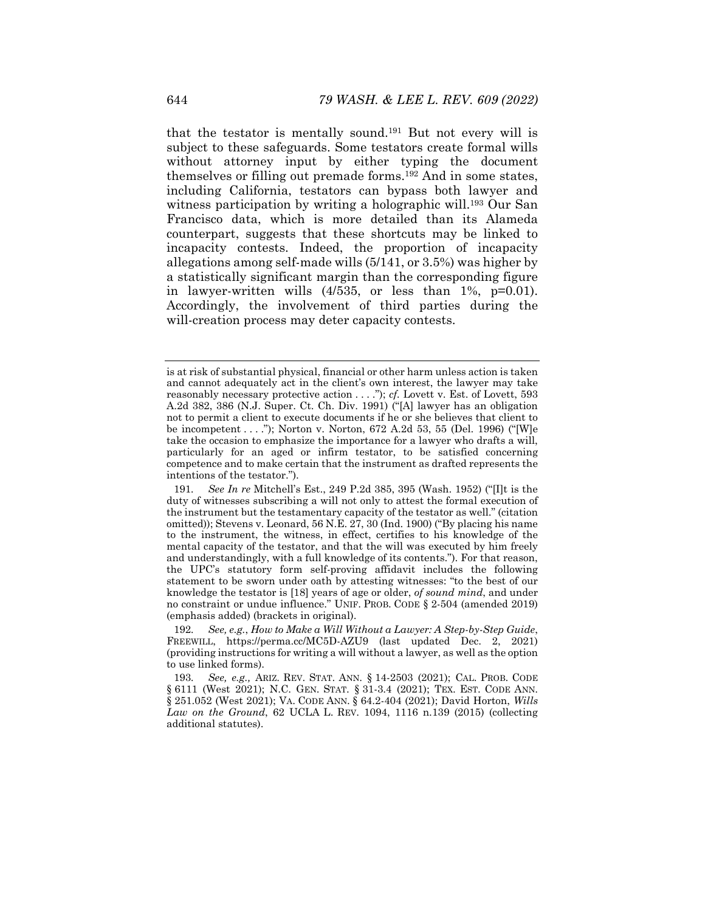that the testator is mentally sound.191 But not every will is subject to these safeguards. Some testators create formal wills without attorney input by either typing the document themselves or filling out premade forms.192 And in some states, including California, testators can bypass both lawyer and witness participation by writing a holographic will.<sup>193</sup> Our San Francisco data, which is more detailed than its Alameda counterpart, suggests that these shortcuts may be linked to incapacity contests. Indeed, the proportion of incapacity allegations among self-made wills (5/141, or 3.5%) was higher by a statistically significant margin than the corresponding figure in lawyer-written wills  $(4/535, or less than 1\%, p=0.01)$ . Accordingly, the involvement of third parties during the will-creation process may deter capacity contests.

is at risk of substantial physical, financial or other harm unless action is taken and cannot adequately act in the client's own interest, the lawyer may take reasonably necessary protective action . . . ."); *cf.* Lovett v. Est. of Lovett, 593 A.2d 382, 386 (N.J. Super. Ct. Ch. Div. 1991) ("[A] lawyer has an obligation not to permit a client to execute documents if he or she believes that client to be incompetent . . . ."); Norton v. Norton, 672 A.2d 53, 55 (Del. 1996) ("[W]e take the occasion to emphasize the importance for a lawyer who drafts a will, particularly for an aged or infirm testator, to be satisfied concerning competence and to make certain that the instrument as drafted represents the intentions of the testator.").

<sup>191</sup>*. See In re* Mitchell's Est., 249 P.2d 385, 395 (Wash. 1952) ("[I]t is the duty of witnesses subscribing a will not only to attest the formal execution of the instrument but the testamentary capacity of the testator as well." (citation omitted)); Stevens v. Leonard, 56 N.E. 27, 30 (Ind. 1900) ("By placing his name to the instrument, the witness, in effect, certifies to his knowledge of the mental capacity of the testator, and that the will was executed by him freely and understandingly, with a full knowledge of its contents."). For that reason, the UPC's statutory form self-proving affidavit includes the following statement to be sworn under oath by attesting witnesses: "to the best of our knowledge the testator is [18] years of age or older, *of sound mind*, and under no constraint or undue influence." UNIF. PROB. CODE § 2-504 (amended 2019) (emphasis added) (brackets in original).

<sup>192</sup>*. See, e.g.*, *How to Make a Will Without a Lawyer: A Step-by-Step Guide*, FREEWILL, https://perma.cc/MC5D-AZU9 (last updated Dec. 2, 2021) (providing instructions for writing a will without a lawyer, as well as the option to use linked forms).

<sup>193</sup>*. See, e.g.,* ARIZ. REV. STAT. ANN. § 14-2503 (2021); CAL. PROB. CODE § 6111 (West 2021); N.C. GEN. STAT. § 31-3.4 (2021); TEX. EST. CODE ANN. § 251.052 (West 2021); VA. CODE ANN. § 64.2-404 (2021); David Horton, *Wills Law on the Ground*, 62 UCLA L. REV. 1094, 1116 n.139 (2015) (collecting additional statutes).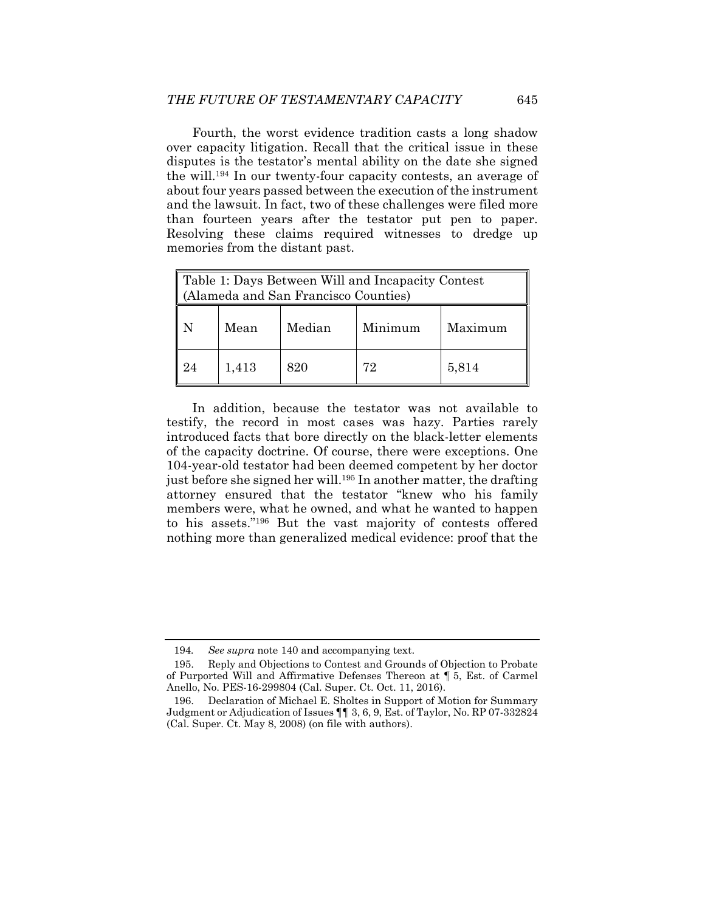Fourth, the worst evidence tradition casts a long shadow over capacity litigation. Recall that the critical issue in these disputes is the testator's mental ability on the date she signed the will.194 In our twenty-four capacity contests, an average of about four years passed between the execution of the instrument and the lawsuit. In fact, two of these challenges were filed more than fourteen years after the testator put pen to paper. Resolving these claims required witnesses to dredge up memories from the distant past.

| Table 1: Days Between Will and Incapacity Contest<br>(Alameda and San Francisco Counties) |       |        |         |         |  |  |
|-------------------------------------------------------------------------------------------|-------|--------|---------|---------|--|--|
|                                                                                           | Mean  | Median | Minimum | Maximum |  |  |
|                                                                                           | 1,413 | 820    | 79.     | 5,814   |  |  |

In addition, because the testator was not available to testify, the record in most cases was hazy. Parties rarely introduced facts that bore directly on the black-letter elements of the capacity doctrine. Of course, there were exceptions. One 104-year-old testator had been deemed competent by her doctor just before she signed her will.<sup>195</sup> In another matter, the drafting attorney ensured that the testator "knew who his family members were, what he owned, and what he wanted to happen to his assets."196 But the vast majority of contests offered nothing more than generalized medical evidence: proof that the

<sup>194</sup>*. See supra* note 140 and accompanying text.

 <sup>195.</sup> Reply and Objections to Contest and Grounds of Objection to Probate of Purported Will and Affirmative Defenses Thereon at ¶ 5, Est. of Carmel Anello, No. PES-16-299804 (Cal. Super. Ct. Oct. 11, 2016).

 <sup>196.</sup> Declaration of Michael E. Sholtes in Support of Motion for Summary Judgment or Adjudication of Issues ¶¶ 3, 6, 9, Est. of Taylor, No. RP 07-332824 (Cal. Super. Ct. May 8, 2008) (on file with authors).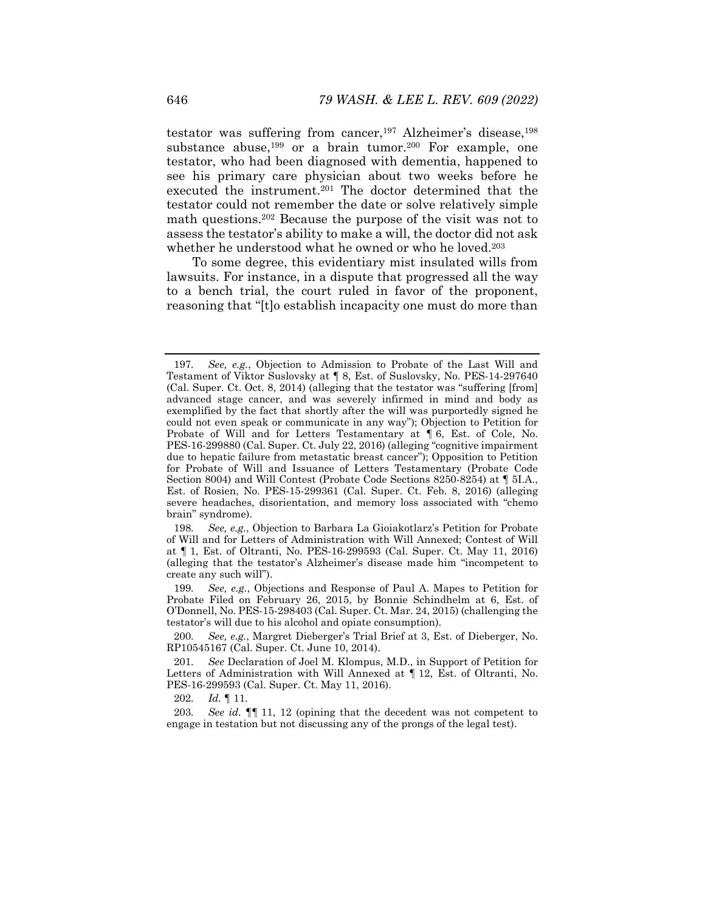testator was suffering from cancer,<sup>197</sup> Alzheimer's disease,<sup>198</sup> substance abuse,<sup>199</sup> or a brain tumor.<sup>200</sup> For example, one testator, who had been diagnosed with dementia, happened to see his primary care physician about two weeks before he executed the instrument.201 The doctor determined that the testator could not remember the date or solve relatively simple math questions.202 Because the purpose of the visit was not to assess the testator's ability to make a will, the doctor did not ask whether he understood what he owned or who he loved.203

To some degree, this evidentiary mist insulated wills from lawsuits. For instance, in a dispute that progressed all the way to a bench trial, the court ruled in favor of the proponent, reasoning that "[t]o establish incapacity one must do more than

<sup>197</sup>*. See, e.g.*, Objection to Admission to Probate of the Last Will and Testament of Viktor Suslovsky at ¶ 8, Est. of Suslovsky, No. PES-14-297640 (Cal. Super. Ct. Oct. 8, 2014) (alleging that the testator was "suffering [from] advanced stage cancer, and was severely infirmed in mind and body as exemplified by the fact that shortly after the will was purportedly signed he could not even speak or communicate in any way"); Objection to Petition for Probate of Will and for Letters Testamentary at ¶ 6, Est. of Cole, No. PES-16-299880 (Cal. Super. Ct. July 22, 2016) (alleging "cognitive impairment due to hepatic failure from metastatic breast cancer"); Opposition to Petition for Probate of Will and Issuance of Letters Testamentary (Probate Code Section 8004) and Will Contest (Probate Code Sections 8250-8254) at ¶ 5I.A., Est. of Rosien, No. PES-15-299361 (Cal. Super. Ct. Feb. 8, 2016) (alleging severe headaches, disorientation, and memory loss associated with "chemo brain" syndrome).

<sup>198</sup>*. See, e.g.*, Objection to Barbara La Gioiakotlarz's Petition for Probate of Will and for Letters of Administration with Will Annexed; Contest of Will at ¶ 1, Est. of Oltranti, No. PES-16-299593 (Cal. Super. Ct. May 11, 2016) (alleging that the testator's Alzheimer's disease made him "incompetent to create any such will").

<sup>199</sup>*. See, e.g.*, Objections and Response of Paul A. Mapes to Petition for Probate Filed on February 26, 2015, by Bonnie Schindhelm at 6, Est. of O'Donnell, No. PES-15-298403 (Cal. Super. Ct. Mar. 24, 2015) (challenging the testator's will due to his alcohol and opiate consumption).

<sup>200</sup>*. See, e.g.*, Margret Dieberger's Trial Brief at 3, Est. of Dieberger, No. RP10545167 (Cal. Super. Ct. June 10, 2014).

<sup>201</sup>*. See* Declaration of Joel M. Klompus, M.D., in Support of Petition for Letters of Administration with Will Annexed at ¶ 12, Est. of Oltranti, No. PES-16-299593 (Cal. Super. Ct. May 11, 2016).

<sup>202</sup>*. Id.* ¶ 11.

<sup>203</sup>*. See id.* ¶¶ 11, 12 (opining that the decedent was not competent to engage in testation but not discussing any of the prongs of the legal test).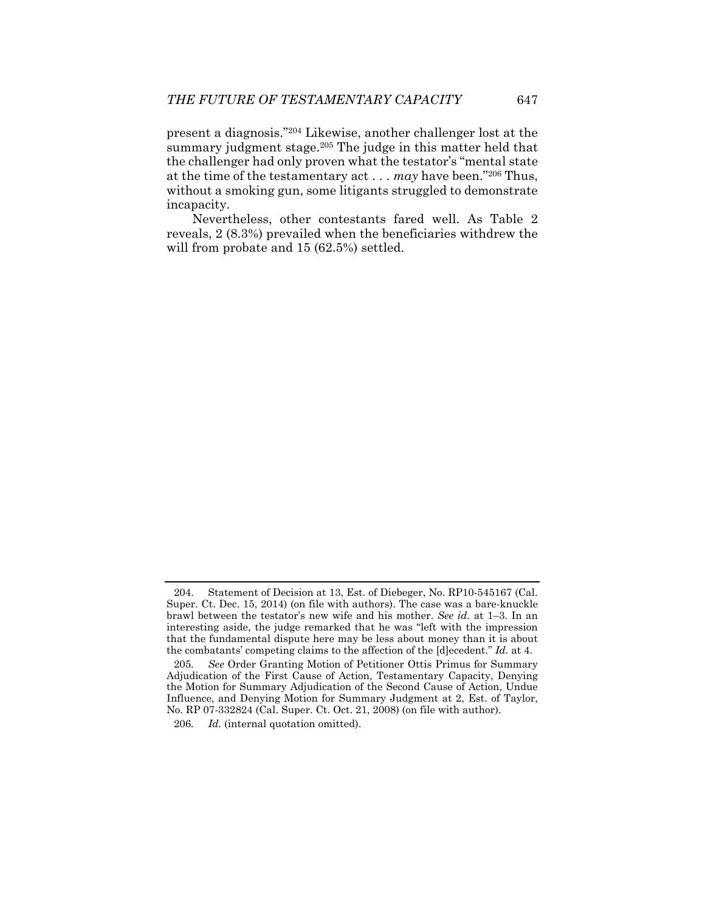present a diagnosis."204 Likewise, another challenger lost at the summary judgment stage.<sup>205</sup> The judge in this matter held that the challenger had only proven what the testator's "mental state at the time of the testamentary act . . . *may* have been."206 Thus, without a smoking gun, some litigants struggled to demonstrate incapacity.

Nevertheless, other contestants fared well. As Table 2 reveals, 2 (8.3%) prevailed when the beneficiaries withdrew the will from probate and 15 (62.5%) settled.

 <sup>204.</sup> Statement of Decision at 13, Est. of Diebeger, No. RP10-545167 (Cal. Super. Ct. Dec. 15, 2014) (on file with authors). The case was a bare-knuckle brawl between the testator's new wife and his mother. *See id.* at 1–3. In an interesting aside, the judge remarked that he was "left with the impression that the fundamental dispute here may be less about money than it is about the combatants' competing claims to the affection of the [d]ecedent." *Id.* at 4.

<sup>205</sup>*. See* Order Granting Motion of Petitioner Ottis Primus for Summary Adjudication of the First Cause of Action, Testamentary Capacity, Denying the Motion for Summary Adjudication of the Second Cause of Action, Undue Influence, and Denying Motion for Summary Judgment at 2, Est. of Taylor, No. RP 07-332824 (Cal. Super. Ct. Oct. 21, 2008) (on file with author).

<sup>206</sup>*. Id.* (internal quotation omitted).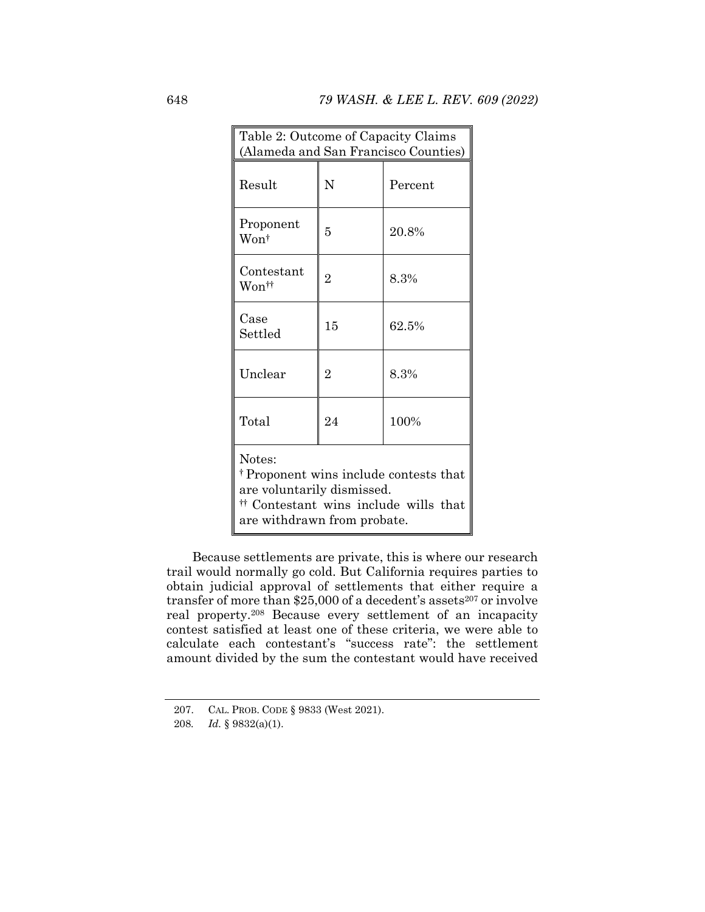| Table 2: Outcome of Capacity Claims<br>(Alameda and San Francisco Counties)                                                                                      |                |         |  |  |  |  |
|------------------------------------------------------------------------------------------------------------------------------------------------------------------|----------------|---------|--|--|--|--|
| Result                                                                                                                                                           | N              | Percent |  |  |  |  |
| Proponent<br>Wont                                                                                                                                                | 5              | 20.8%   |  |  |  |  |
| Contestant<br>Won††                                                                                                                                              | $\overline{2}$ | 8.3%    |  |  |  |  |
| Case<br>Settled                                                                                                                                                  | 15             | 62.5%   |  |  |  |  |
| Unclear                                                                                                                                                          | $\overline{2}$ | 8.3%    |  |  |  |  |
| Total                                                                                                                                                            | 24             | 100%    |  |  |  |  |
| Notes:<br><sup>†</sup> Proponent wins include contests that<br>are voluntarily dismissed.<br># Contestant wins include wills that<br>are withdrawn from probate. |                |         |  |  |  |  |

Because settlements are private, this is where our research trail would normally go cold. But California requires parties to obtain judicial approval of settlements that either require a transfer of more than \$25,000 of a decedent's assets<sup>207</sup> or involve real property.208 Because every settlement of an incapacity contest satisfied at least one of these criteria, we were able to calculate each contestant's "success rate": the settlement amount divided by the sum the contestant would have received

 <sup>207.</sup> CAL. PROB. CODE § 9833 (West 2021).

<sup>208</sup>*. Id.* § 9832(a)(1).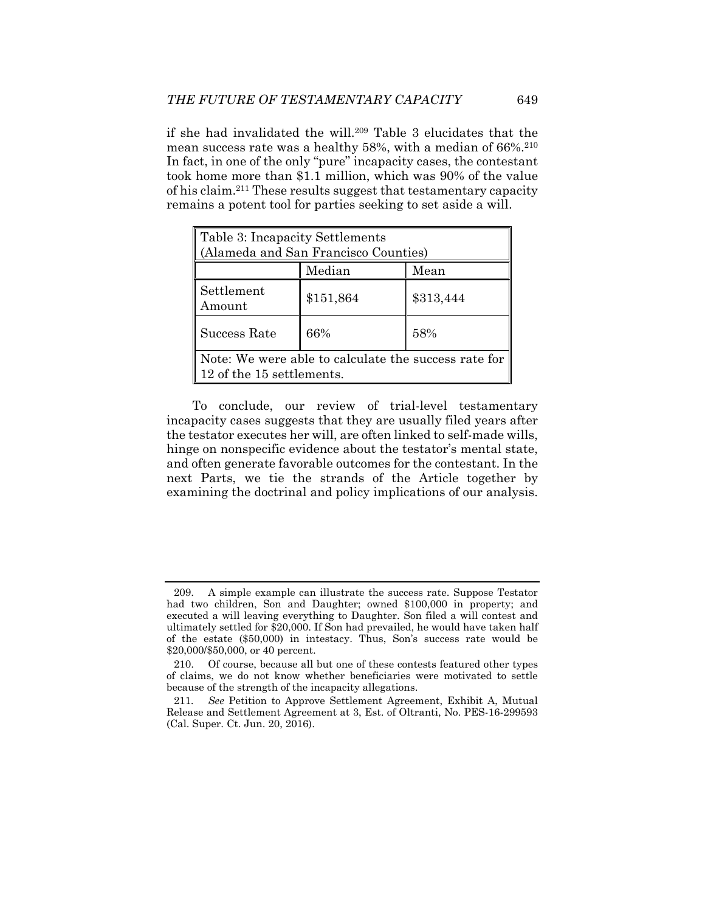if she had invalidated the will.209 Table 3 elucidates that the mean success rate was a healthy 58%, with a median of 66%.210 In fact, in one of the only "pure" incapacity cases, the contestant took home more than \$1.1 million, which was 90% of the value of his claim.211 These results suggest that testamentary capacity remains a potent tool for parties seeking to set aside a will.

| Table 3: Incapacity Settlements<br>(Alameda and San Francisco Counties)           |           |           |  |  |  |
|-----------------------------------------------------------------------------------|-----------|-----------|--|--|--|
|                                                                                   | Median    | Mean      |  |  |  |
| Settlement<br>Amount                                                              | \$151,864 | \$313,444 |  |  |  |
| Success Rate                                                                      | 66%       | 58%       |  |  |  |
| Note: We were able to calculate the success rate for<br>12 of the 15 settlements. |           |           |  |  |  |

To conclude, our review of trial-level testamentary incapacity cases suggests that they are usually filed years after the testator executes her will, are often linked to self-made wills, hinge on nonspecific evidence about the testator's mental state, and often generate favorable outcomes for the contestant. In the next Parts, we tie the strands of the Article together by examining the doctrinal and policy implications of our analysis.

 <sup>209.</sup> A simple example can illustrate the success rate. Suppose Testator had two children, Son and Daughter; owned \$100,000 in property; and executed a will leaving everything to Daughter. Son filed a will contest and ultimately settled for \$20,000. If Son had prevailed, he would have taken half of the estate (\$50,000) in intestacy. Thus, Son's success rate would be \$20,000/\$50,000, or 40 percent.

 <sup>210.</sup> Of course, because all but one of these contests featured other types of claims, we do not know whether beneficiaries were motivated to settle because of the strength of the incapacity allegations.

<sup>211</sup>*. See* Petition to Approve Settlement Agreement, Exhibit A, Mutual Release and Settlement Agreement at 3, Est. of Oltranti, No. PES-16-299593 (Cal. Super. Ct. Jun. 20, 2016).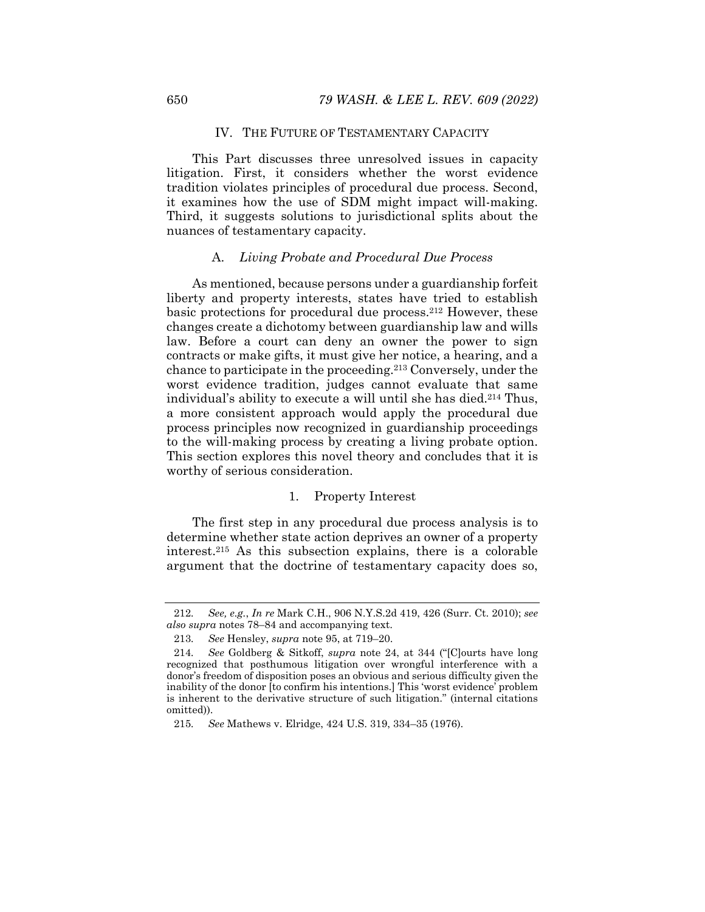## IV. THE FUTURE OF TESTAMENTARY CAPACITY

This Part discusses three unresolved issues in capacity litigation. First, it considers whether the worst evidence tradition violates principles of procedural due process. Second, it examines how the use of SDM might impact will-making. Third, it suggests solutions to jurisdictional splits about the nuances of testamentary capacity.

## A. *Living Probate and Procedural Due Process*

As mentioned, because persons under a guardianship forfeit liberty and property interests, states have tried to establish basic protections for procedural due process.212 However, these changes create a dichotomy between guardianship law and wills law. Before a court can deny an owner the power to sign contracts or make gifts, it must give her notice, a hearing, and a chance to participate in the proceeding.213 Conversely, under the worst evidence tradition, judges cannot evaluate that same individual's ability to execute a will until she has died.214 Thus, a more consistent approach would apply the procedural due process principles now recognized in guardianship proceedings to the will-making process by creating a living probate option. This section explores this novel theory and concludes that it is worthy of serious consideration.

## 1. Property Interest

The first step in any procedural due process analysis is to determine whether state action deprives an owner of a property interest.215 As this subsection explains, there is a colorable argument that the doctrine of testamentary capacity does so,

<sup>212</sup>*. See, e.g.*, *In re* Mark C.H., 906 N.Y.S.2d 419, 426 (Surr. Ct. 2010); *see also supra* notes 78–84 and accompanying text.

<sup>213</sup>*. See* Hensley, *supra* note 95, at 719–20.

<sup>214</sup>*. See* Goldberg & Sitkoff, *supra* note 24, at 344 ("[C]ourts have long recognized that posthumous litigation over wrongful interference with a donor's freedom of disposition poses an obvious and serious difficulty given the inability of the donor [to confirm his intentions.] This 'worst evidence' problem is inherent to the derivative structure of such litigation." (internal citations omitted)).

<sup>215</sup>*. See* Mathews v. Elridge, 424 U.S. 319, 334–35 (1976).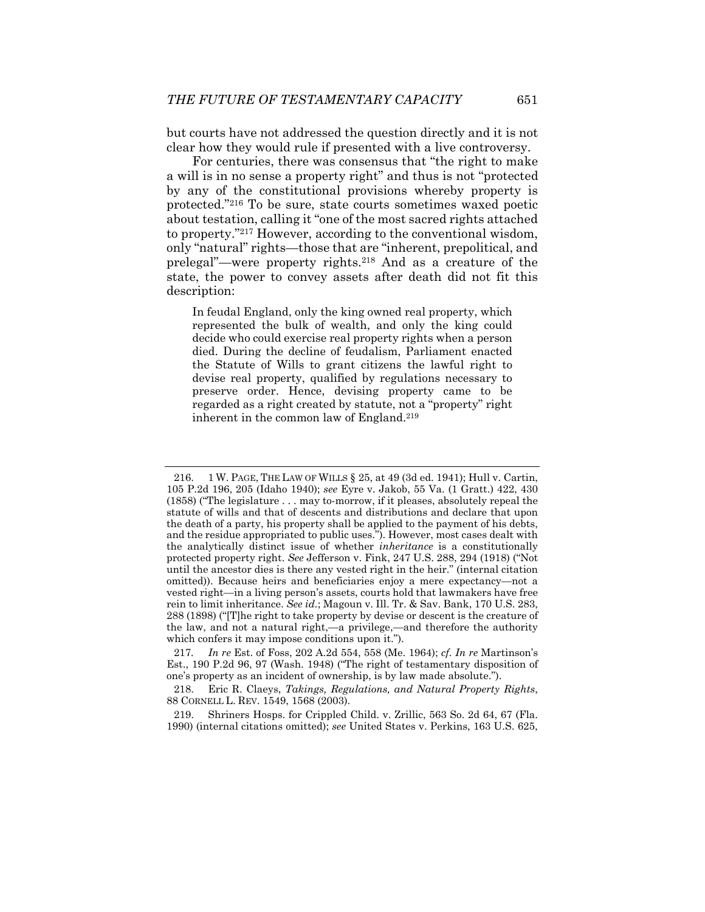but courts have not addressed the question directly and it is not clear how they would rule if presented with a live controversy.

For centuries, there was consensus that "the right to make a will is in no sense a property right" and thus is not "protected by any of the constitutional provisions whereby property is protected."216 To be sure, state courts sometimes waxed poetic about testation, calling it "one of the most sacred rights attached to property."217 However, according to the conventional wisdom, only "natural" rights—those that are "inherent, prepolitical, and prelegal"—were property rights.218 And as a creature of the state, the power to convey assets after death did not fit this description:

In feudal England, only the king owned real property, which represented the bulk of wealth, and only the king could decide who could exercise real property rights when a person died. During the decline of feudalism, Parliament enacted the Statute of Wills to grant citizens the lawful right to devise real property, qualified by regulations necessary to preserve order. Hence, devising property came to be regarded as a right created by statute, not a "property" right inherent in the common law of England.219

 219. Shriners Hosps. for Crippled Child. v. Zrillic, 563 So. 2d 64, 67 (Fla. 1990) (internal citations omitted); *see* United States v. Perkins, 163 U.S. 625,

 <sup>216. 1</sup> W. PAGE, THE LAW OF WILLS § 25, at 49 (3d ed. 1941); Hull v. Cartin, 105 P.2d 196, 205 (Idaho 1940); *see* Eyre v. Jakob, 55 Va. (1 Gratt.) 422, 430 (1858) ("The legislature . . . may to-morrow, if it pleases, absolutely repeal the statute of wills and that of descents and distributions and declare that upon the death of a party, his property shall be applied to the payment of his debts, and the residue appropriated to public uses."). However, most cases dealt with the analytically distinct issue of whether *inheritance* is a constitutionally protected property right. *See* Jefferson v. Fink, 247 U.S. 288, 294 (1918) ("Not until the ancestor dies is there any vested right in the heir." (internal citation omitted)). Because heirs and beneficiaries enjoy a mere expectancy—not a vested right—in a living person's assets, courts hold that lawmakers have free rein to limit inheritance. *See id.*; Magoun v. Ill. Tr. & Sav. Bank, 170 U.S. 283, 288 (1898) ("[T]he right to take property by devise or descent is the creature of the law, and not a natural right,—a privilege,—and therefore the authority which confers it may impose conditions upon it.").

<sup>217</sup>*. In re* Est. of Foss, 202 A.2d 554, 558 (Me. 1964); *cf. In re* Martinson's Est., 190 P.2d 96, 97 (Wash. 1948) ("The right of testamentary disposition of one's property as an incident of ownership, is by law made absolute.").

 <sup>218.</sup> Eric R. Claeys, *Takings, Regulations, and Natural Property Rights*, 88 CORNELL L. REV. 1549, 1568 (2003).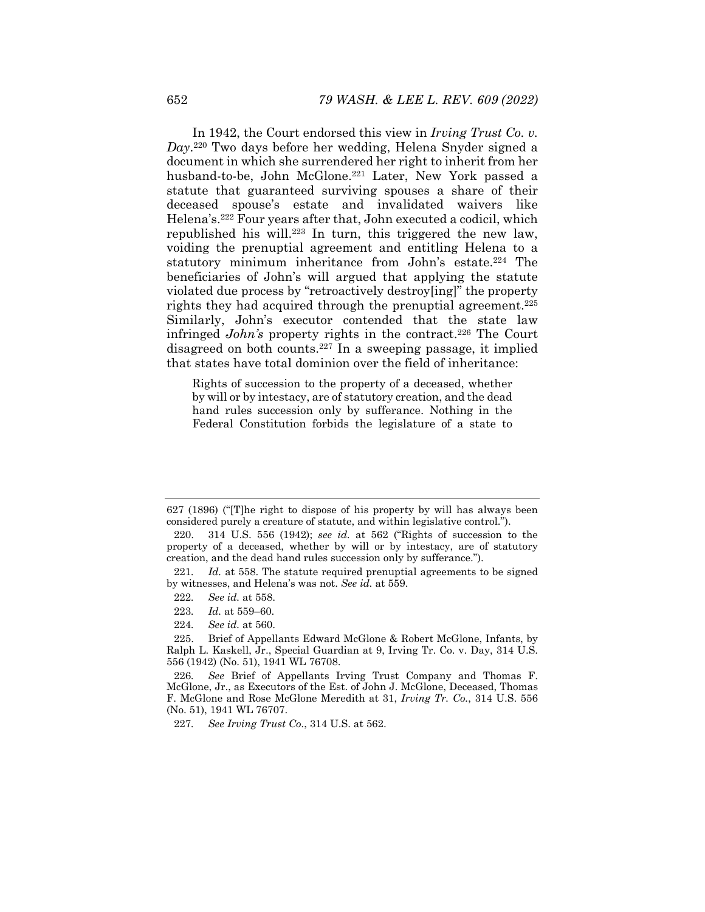In 1942, the Court endorsed this view in *Irving Trust Co. v. Day*.220 Two days before her wedding, Helena Snyder signed a document in which she surrendered her right to inherit from her husband-to-be, John McGlone.<sup>221</sup> Later, New York passed a statute that guaranteed surviving spouses a share of their deceased spouse's estate and invalidated waivers like Helena's.222 Four years after that, John executed a codicil, which republished his will.223 In turn, this triggered the new law, voiding the prenuptial agreement and entitling Helena to a statutory minimum inheritance from John's estate.<sup>224</sup> The beneficiaries of John's will argued that applying the statute violated due process by "retroactively destroy[ing]" the property rights they had acquired through the prenuptial agreement.<sup>225</sup> Similarly, John's executor contended that the state law infringed *John's* property rights in the contract.<sup>226</sup> The Court disagreed on both counts.227 In a sweeping passage, it implied that states have total dominion over the field of inheritance:

Rights of succession to the property of a deceased, whether by will or by intestacy, are of statutory creation, and the dead hand rules succession only by sufferance. Nothing in the Federal Constitution forbids the legislature of a state to

- 222*. See id.* at 558.
- 223*. Id.* at 559–60.
- 224*. See id.* at 560.

227*. See Irving Trust Co.*, 314 U.S. at 562.

<sup>627 (1896) (&</sup>quot;[T]he right to dispose of his property by will has always been considered purely a creature of statute, and within legislative control.").

 <sup>220. 314</sup> U.S. 556 (1942); *see id.* at 562 ("Rights of succession to the property of a deceased, whether by will or by intestacy, are of statutory creation, and the dead hand rules succession only by sufferance.").

<sup>221.</sup> Id. at 558. The statute required prenuptial agreements to be signed by witnesses, and Helena's was not. *See id.* at 559.

 <sup>225.</sup> Brief of Appellants Edward McGlone & Robert McGlone, Infants, by Ralph L. Kaskell, Jr., Special Guardian at 9, Irving Tr. Co. v. Day, 314 U.S. 556 (1942) (No. 51), 1941 WL 76708.

<sup>226</sup>*. See* Brief of Appellants Irving Trust Company and Thomas F. McGlone, Jr., as Executors of the Est. of John J. McGlone, Deceased, Thomas F. McGlone and Rose McGlone Meredith at 31, *Irving Tr. Co.*, 314 U.S. 556 (No. 51), 1941 WL 76707.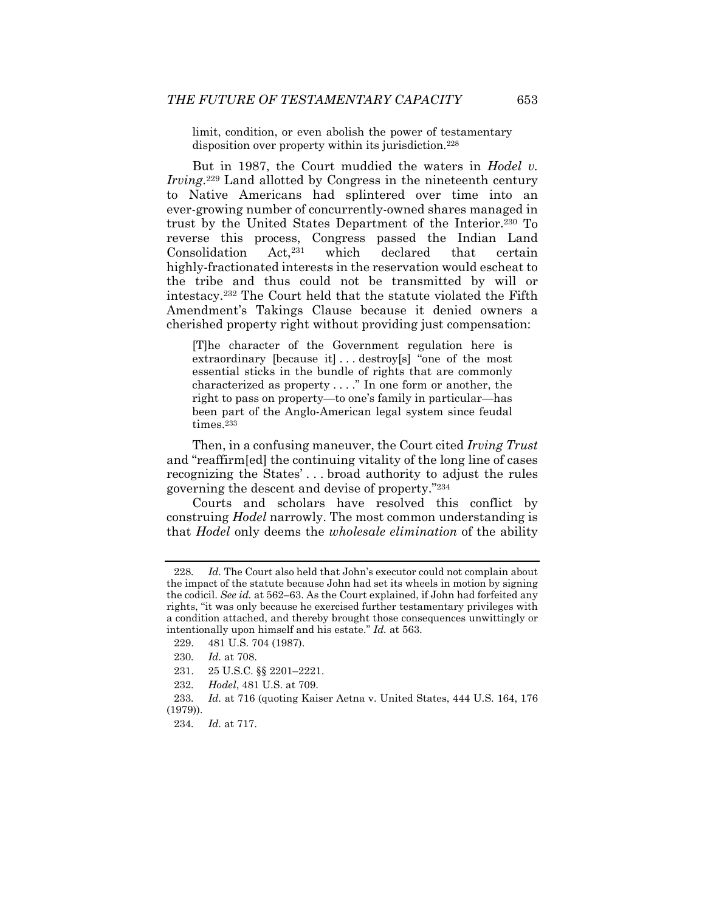limit, condition, or even abolish the power of testamentary disposition over property within its jurisdiction.228

But in 1987, the Court muddied the waters in *Hodel v. Irving*.229 Land allotted by Congress in the nineteenth century to Native Americans had splintered over time into an ever-growing number of concurrently-owned shares managed in trust by the United States Department of the Interior.230 To reverse this process, Congress passed the Indian Land<br>Consolidation Act.<sup>231</sup> which declared that certain Consolidation Act,231 which declared that certain highly-fractionated interests in the reservation would escheat to the tribe and thus could not be transmitted by will or intestacy.232 The Court held that the statute violated the Fifth Amendment's Takings Clause because it denied owners a cherished property right without providing just compensation:

[T]he character of the Government regulation here is extraordinary [because it] . . . destroy[s] "one of the most essential sticks in the bundle of rights that are commonly characterized as property . . . ." In one form or another, the right to pass on property—to one's family in particular—has been part of the Anglo-American legal system since feudal times.233

Then, in a confusing maneuver, the Court cited *Irving Trust* and "reaffirm[ed] the continuing vitality of the long line of cases recognizing the States' . . . broad authority to adjust the rules governing the descent and devise of property."234

Courts and scholars have resolved this conflict by construing *Hodel* narrowly. The most common understanding is that *Hodel* only deems the *wholesale elimination* of the ability

<sup>228</sup>*. Id.* The Court also held that John's executor could not complain about the impact of the statute because John had set its wheels in motion by signing the codicil. *See id.* at 562–63. As the Court explained, if John had forfeited any rights, "it was only because he exercised further testamentary privileges with a condition attached, and thereby brought those consequences unwittingly or intentionally upon himself and his estate." *Id.* at 563.

 <sup>229. 481</sup> U.S. 704 (1987).

<sup>230</sup>*. Id.* at 708.

 <sup>231. 25</sup> U.S.C. §§ 2201–2221.

<sup>232</sup>*. Hodel*, 481 U.S. at 709.

<sup>233</sup>*. Id.* at 716 (quoting Kaiser Aetna v. United States, 444 U.S. 164, 176 (1979)).

<sup>234</sup>*. Id.* at 717.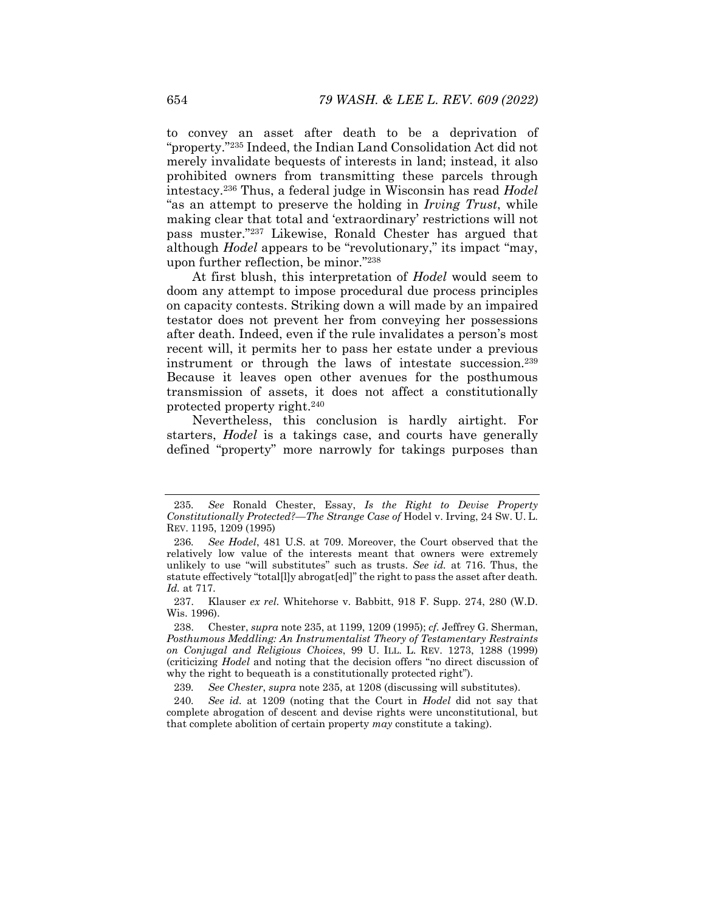to convey an asset after death to be a deprivation of "property."235 Indeed, the Indian Land Consolidation Act did not merely invalidate bequests of interests in land; instead, it also prohibited owners from transmitting these parcels through intestacy.236 Thus, a federal judge in Wisconsin has read *Hodel* "as an attempt to preserve the holding in *Irving Trust*, while making clear that total and 'extraordinary' restrictions will not pass muster."237 Likewise, Ronald Chester has argued that although *Hodel* appears to be "revolutionary," its impact "may, upon further reflection, be minor."238

At first blush, this interpretation of *Hodel* would seem to doom any attempt to impose procedural due process principles on capacity contests. Striking down a will made by an impaired testator does not prevent her from conveying her possessions after death. Indeed, even if the rule invalidates a person's most recent will, it permits her to pass her estate under a previous instrument or through the laws of intestate succession.239 Because it leaves open other avenues for the posthumous transmission of assets, it does not affect a constitutionally protected property right.240

Nevertheless, this conclusion is hardly airtight. For starters, *Hodel* is a takings case, and courts have generally defined "property" more narrowly for takings purposes than

<sup>235</sup>*. See* Ronald Chester, Essay, *Is the Right to Devise Property Constitutionally Protected?—The Strange Case of* Hodel v. Irving, 24 SW. U. L. REV. 1195, 1209 (1995)

<sup>236</sup>*. See Hodel*, 481 U.S. at 709. Moreover, the Court observed that the relatively low value of the interests meant that owners were extremely unlikely to use "will substitutes" such as trusts. *See id.* at 716. Thus, the statute effectively "total[l]y abrogat[ed]" the right to pass the asset after death*. Id.* at 717.

 <sup>237.</sup> Klauser *ex rel.* Whitehorse v. Babbitt, 918 F. Supp. 274, 280 (W.D. Wis. 1996).

 <sup>238.</sup> Chester, *supra* note 235, at 1199, 1209 (1995); *cf.* Jeffrey G. Sherman, *Posthumous Meddling: An Instrumentalist Theory of Testamentary Restraints on Conjugal and Religious Choices*, 99 U. ILL. L. REV. 1273, 1288 (1999) (criticizing *Hodel* and noting that the decision offers "no direct discussion of why the right to bequeath is a constitutionally protected right").

<sup>239</sup>*. See Chester*, *supra* note 235, at 1208 (discussing will substitutes).

<sup>240</sup>*. See id.* at 1209 (noting that the Court in *Hodel* did not say that complete abrogation of descent and devise rights were unconstitutional, but that complete abolition of certain property *may* constitute a taking).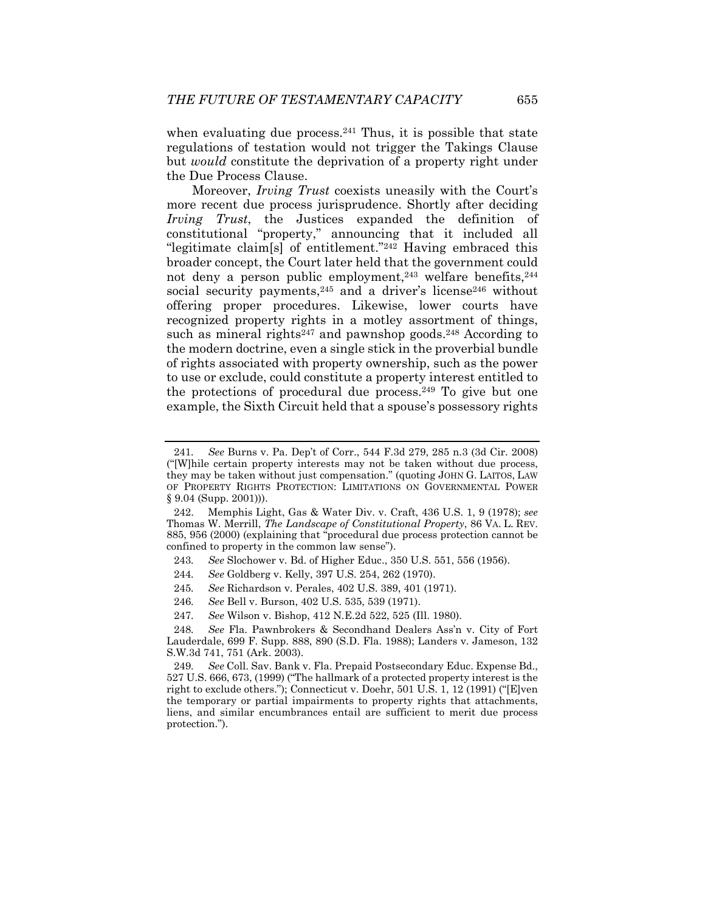when evaluating due process. $241$  Thus, it is possible that state regulations of testation would not trigger the Takings Clause but *would* constitute the deprivation of a property right under the Due Process Clause.

Moreover, *Irving Trust* coexists uneasily with the Court's more recent due process jurisprudence. Shortly after deciding *Irving Trust*, the Justices expanded the definition of constitutional "property," announcing that it included all "legitimate claim[s] of entitlement."242 Having embraced this broader concept, the Court later held that the government could not deny a person public employment,<sup>243</sup> welfare benefits,  $244$ social security payments, $245$  and a driver's license $246$  without offering proper procedures. Likewise, lower courts have recognized property rights in a motley assortment of things, such as mineral rights<sup>247</sup> and pawnshop goods.<sup>248</sup> According to the modern doctrine, even a single stick in the proverbial bundle of rights associated with property ownership, such as the power to use or exclude, could constitute a property interest entitled to the protections of procedural due process.249 To give but one example, the Sixth Circuit held that a spouse's possessory rights

- 243*. See* Slochower v. Bd. of Higher Educ., 350 U.S. 551, 556 (1956).
- 244*. See* Goldberg v. Kelly, 397 U.S. 254, 262 (1970).
- 245*. See* Richardson v. Perales, 402 U.S. 389, 401 (1971).
- 246*. See* Bell v. Burson, 402 U.S. 535, 539 (1971).
- 247*. See* Wilson v. Bishop, 412 N.E.2d 522, 525 (Ill. 1980).

<sup>241</sup>*. See* Burns v. Pa. Dep't of Corr., 544 F.3d 279, 285 n.3 (3d Cir. 2008) ("[W]hile certain property interests may not be taken without due process, they may be taken without just compensation." (quoting JOHN G. LAITOS, LAW OF PROPERTY RIGHTS PROTECTION: LIMITATIONS ON GOVERNMENTAL POWER § 9.04 (Supp. 2001))).

 <sup>242.</sup> Memphis Light, Gas & Water Div. v. Craft, 436 U.S. 1, 9 (1978); *see*  Thomas W. Merrill, *The Landscape of Constitutional Property*, 86 VA. L. REV. 885, 956 (2000) (explaining that "procedural due process protection cannot be confined to property in the common law sense").

<sup>248</sup>*. See* Fla. Pawnbrokers & Secondhand Dealers Ass'n v. City of Fort Lauderdale, 699 F. Supp. 888, 890 (S.D. Fla. 1988); Landers v. Jameson, 132 S.W.3d 741, 751 (Ark. 2003).

<sup>249</sup>*. See* Coll. Sav. Bank v. Fla. Prepaid Postsecondary Educ. Expense Bd., 527 U.S. 666, 673, (1999) ("The hallmark of a protected property interest is the right to exclude others."); Connecticut v. Doehr, 501 U.S. 1, 12 (1991) ("[E]ven the temporary or partial impairments to property rights that attachments, liens, and similar encumbrances entail are sufficient to merit due process protection.").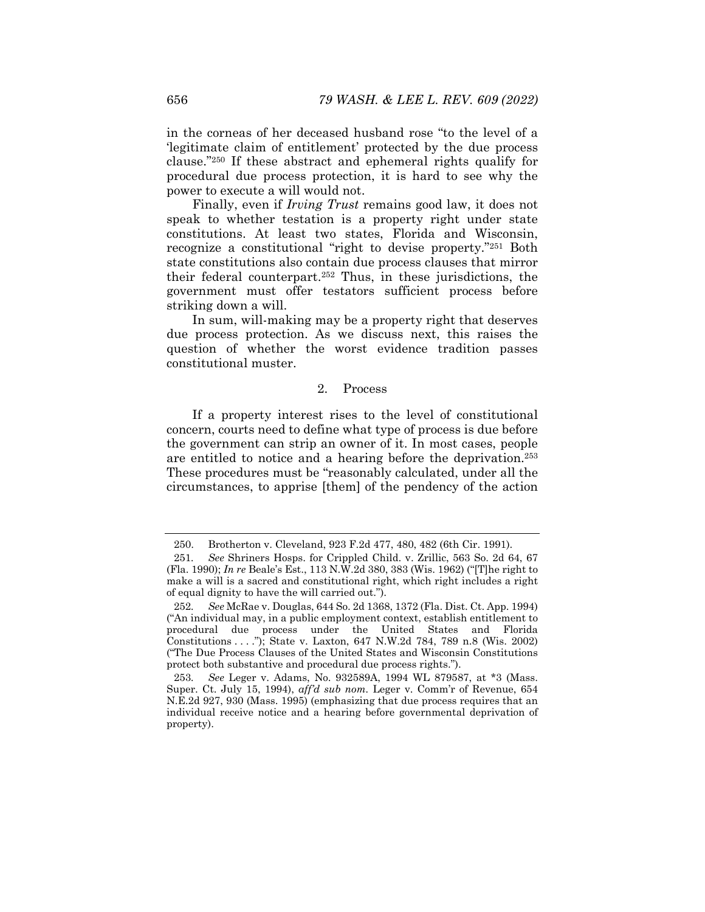in the corneas of her deceased husband rose "to the level of a 'legitimate claim of entitlement' protected by the due process clause."250 If these abstract and ephemeral rights qualify for procedural due process protection, it is hard to see why the power to execute a will would not.

Finally, even if *Irving Trust* remains good law, it does not speak to whether testation is a property right under state constitutions. At least two states, Florida and Wisconsin, recognize a constitutional "right to devise property."251 Both state constitutions also contain due process clauses that mirror their federal counterpart.252 Thus, in these jurisdictions, the government must offer testators sufficient process before striking down a will.

In sum, will-making may be a property right that deserves due process protection. As we discuss next, this raises the question of whether the worst evidence tradition passes constitutional muster.

### 2. Process

If a property interest rises to the level of constitutional concern, courts need to define what type of process is due before the government can strip an owner of it. In most cases, people are entitled to notice and a hearing before the deprivation.253 These procedures must be "reasonably calculated, under all the circumstances, to apprise [them] of the pendency of the action

 <sup>250.</sup> Brotherton v. Cleveland, 923 F.2d 477, 480, 482 (6th Cir. 1991).

<sup>251</sup>*. See* Shriners Hosps. for Crippled Child. v. Zrillic, 563 So. 2d 64, 67 (Fla. 1990); *In re* Beale's Est., 113 N.W.2d 380, 383 (Wis. 1962) ("[T]he right to make a will is a sacred and constitutional right, which right includes a right of equal dignity to have the will carried out.").

<sup>252</sup>*. See* McRae v. Douglas, 644 So. 2d 1368, 1372 (Fla. Dist. Ct. App. 1994) ("An individual may, in a public employment context, establish entitlement to procedural due process under the United States and Florida Constitutions . . . ."); State v. Laxton, 647 N.W.2d 784, 789 n.8 (Wis. 2002) ("The Due Process Clauses of the United States and Wisconsin Constitutions protect both substantive and procedural due process rights.").

<sup>253</sup>*. See* Leger v. Adams, No. 932589A, 1994 WL 879587, at \*3 (Mass. Super. Ct. July 15, 1994), *aff'd sub nom.* Leger v. Comm'r of Revenue, 654 N.E.2d 927, 930 (Mass. 1995) (emphasizing that due process requires that an individual receive notice and a hearing before governmental deprivation of property).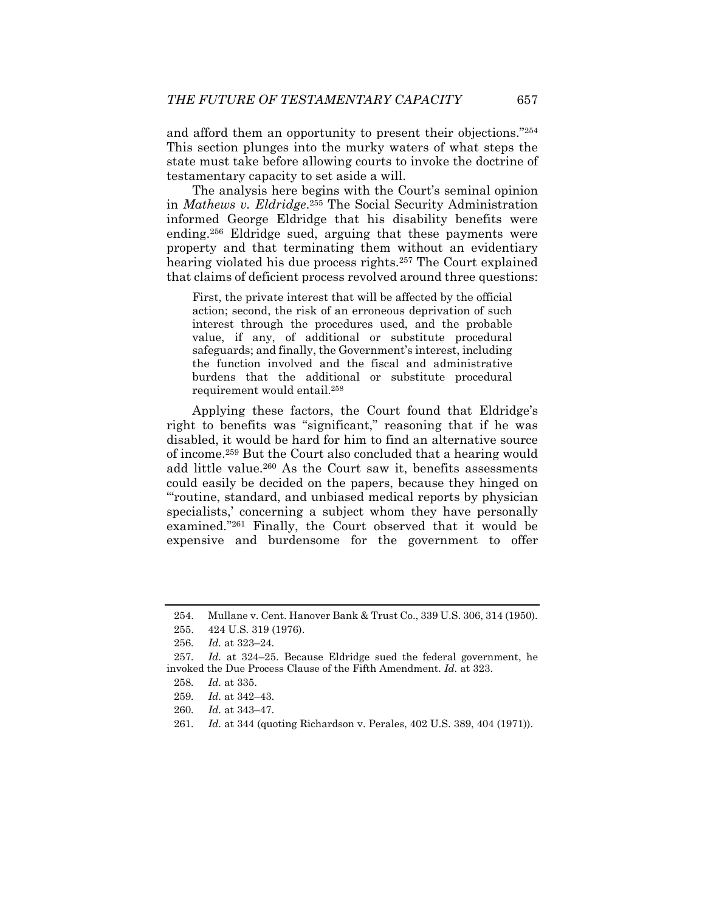and afford them an opportunity to present their objections."254 This section plunges into the murky waters of what steps the state must take before allowing courts to invoke the doctrine of testamentary capacity to set aside a will.

The analysis here begins with the Court's seminal opinion in *Mathews v. Eldridge*.255 The Social Security Administration informed George Eldridge that his disability benefits were ending.256 Eldridge sued, arguing that these payments were property and that terminating them without an evidentiary hearing violated his due process rights.<sup>257</sup> The Court explained that claims of deficient process revolved around three questions:

First, the private interest that will be affected by the official action; second, the risk of an erroneous deprivation of such interest through the procedures used, and the probable value, if any, of additional or substitute procedural safeguards; and finally, the Government's interest, including the function involved and the fiscal and administrative burdens that the additional or substitute procedural requirement would entail.258

Applying these factors, the Court found that Eldridge's right to benefits was "significant," reasoning that if he was disabled, it would be hard for him to find an alternative source of income.259 But the Court also concluded that a hearing would add little value.260 As the Court saw it, benefits assessments could easily be decided on the papers, because they hinged on "'routine, standard, and unbiased medical reports by physician specialists,' concerning a subject whom they have personally examined."261 Finally, the Court observed that it would be expensive and burdensome for the government to offer

 <sup>254.</sup> Mullane v. Cent. Hanover Bank & Trust Co., 339 U.S. 306, 314 (1950).

 <sup>255. 424</sup> U.S. 319 (1976).

<sup>256</sup>*. Id.* at 323–24.

<sup>257</sup>*. Id.* at 324–25. Because Eldridge sued the federal government, he invoked the Due Process Clause of the Fifth Amendment. *Id.* at 323.

<sup>258</sup>*. Id.* at 335.

<sup>259</sup>*. Id.* at 342–43.

<sup>260</sup>*. Id.* at 343–47.

<sup>261</sup>*. Id.* at 344 (quoting Richardson v. Perales, 402 U.S. 389, 404 (1971)).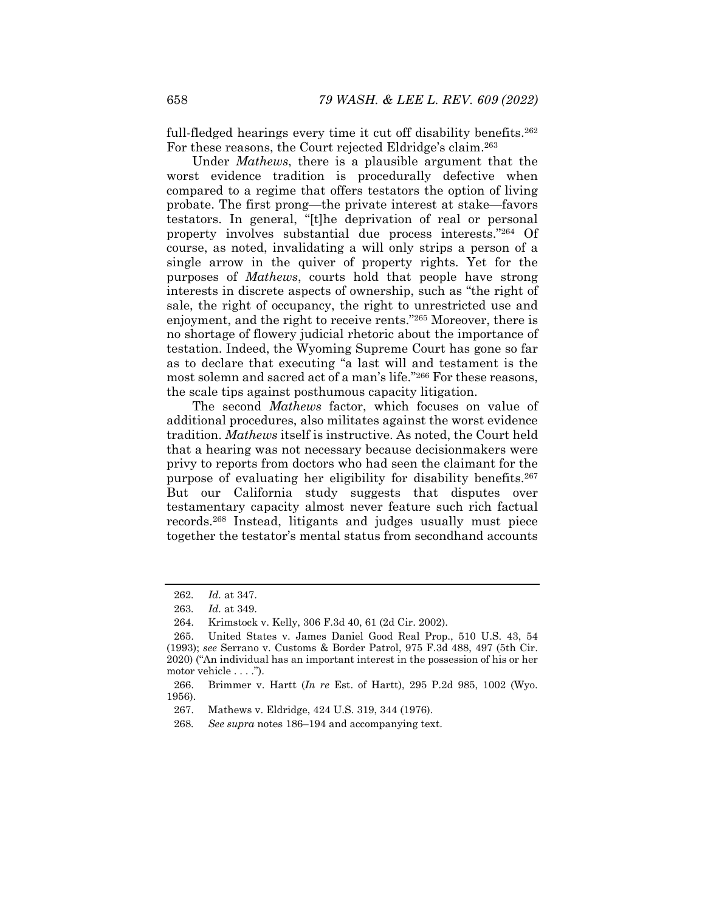full-fledged hearings every time it cut off disability benefits.<sup>262</sup> For these reasons, the Court rejected Eldridge's claim.<sup>263</sup>

Under *Mathews*, there is a plausible argument that the worst evidence tradition is procedurally defective when compared to a regime that offers testators the option of living probate. The first prong—the private interest at stake—favors testators. In general, "[t]he deprivation of real or personal property involves substantial due process interests."264 Of course, as noted, invalidating a will only strips a person of a single arrow in the quiver of property rights. Yet for the purposes of *Mathews*, courts hold that people have strong interests in discrete aspects of ownership, such as "the right of sale, the right of occupancy, the right to unrestricted use and enjoyment, and the right to receive rents."265 Moreover, there is no shortage of flowery judicial rhetoric about the importance of testation. Indeed, the Wyoming Supreme Court has gone so far as to declare that executing "a last will and testament is the most solemn and sacred act of a man's life."266 For these reasons, the scale tips against posthumous capacity litigation.

The second *Mathews* factor, which focuses on value of additional procedures, also militates against the worst evidence tradition. *Mathews* itself is instructive. As noted, the Court held that a hearing was not necessary because decisionmakers were privy to reports from doctors who had seen the claimant for the purpose of evaluating her eligibility for disability benefits.267 But our California study suggests that disputes over testamentary capacity almost never feature such rich factual records.268 Instead, litigants and judges usually must piece together the testator's mental status from secondhand accounts

<sup>262</sup>*. Id.* at 347.

<sup>263</sup>*. Id.* at 349.

 <sup>264.</sup> Krimstock v. Kelly, 306 F.3d 40, 61 (2d Cir. 2002).

 <sup>265.</sup> United States v. James Daniel Good Real Prop., 510 U.S. 43, 54 (1993); *see* Serrano v. Customs & Border Patrol, 975 F.3d 488, 497 (5th Cir. 2020) ("An individual has an important interest in the possession of his or her motor vehicle . . . .").

 <sup>266.</sup> Brimmer v. Hartt (*In re* Est. of Hartt), 295 P.2d 985, 1002 (Wyo. 1956).

 <sup>267.</sup> Mathews v. Eldridge, 424 U.S. 319, 344 (1976).

<sup>268</sup>*. See supra* notes 186–194 and accompanying text.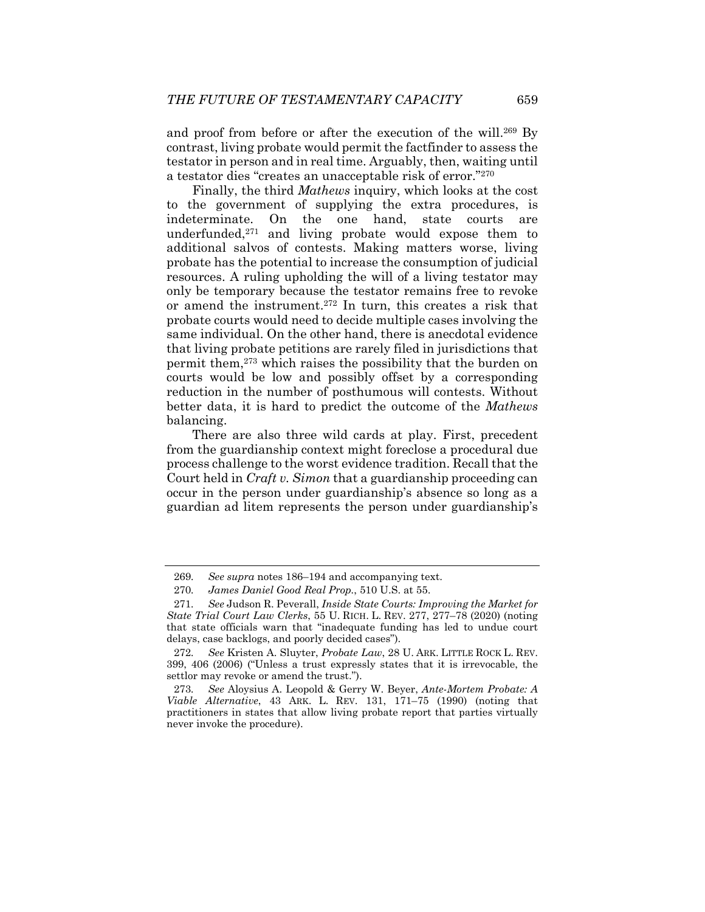and proof from before or after the execution of the will.<sup>269</sup> By contrast, living probate would permit the factfinder to assess the testator in person and in real time. Arguably, then, waiting until a testator dies "creates an unacceptable risk of error."270

Finally, the third *Mathews* inquiry, which looks at the cost to the government of supplying the extra procedures, is indeterminate. On the one hand, state courts are underfunded, $271$  and living probate would expose them to additional salvos of contests. Making matters worse, living probate has the potential to increase the consumption of judicial resources. A ruling upholding the will of a living testator may only be temporary because the testator remains free to revoke or amend the instrument.272 In turn, this creates a risk that probate courts would need to decide multiple cases involving the same individual. On the other hand, there is anecdotal evidence that living probate petitions are rarely filed in jurisdictions that permit them,273 which raises the possibility that the burden on courts would be low and possibly offset by a corresponding reduction in the number of posthumous will contests. Without better data, it is hard to predict the outcome of the *Mathews*  balancing.

There are also three wild cards at play. First, precedent from the guardianship context might foreclose a procedural due process challenge to the worst evidence tradition. Recall that the Court held in *Craft v. Simon* that a guardianship proceeding can occur in the person under guardianship's absence so long as a guardian ad litem represents the person under guardianship's

<sup>269</sup>*. See supra* notes 186–194 and accompanying text.

<sup>270</sup>*. James Daniel Good Real Prop.*, 510 U.S. at 55.

<sup>271</sup>*. See* Judson R. Peverall, *Inside State Courts: Improving the Market for State Trial Court Law Clerks*, 55 U. RICH. L. REV. 277, 277–78 (2020) (noting that state officials warn that "inadequate funding has led to undue court delays, case backlogs, and poorly decided cases").

<sup>272</sup>*. See* Kristen A. Sluyter, *Probate Law*, 28 U. ARK. LITTLE ROCK L. REV. 399, 406 (2006) ("Unless a trust expressly states that it is irrevocable, the settlor may revoke or amend the trust.").

<sup>273</sup>*. See* Aloysius A. Leopold & Gerry W. Beyer, *Ante-Mortem Probate: A Viable Alternative*, 43 ARK. L. REV. 131, 171–75 (1990) (noting that practitioners in states that allow living probate report that parties virtually never invoke the procedure).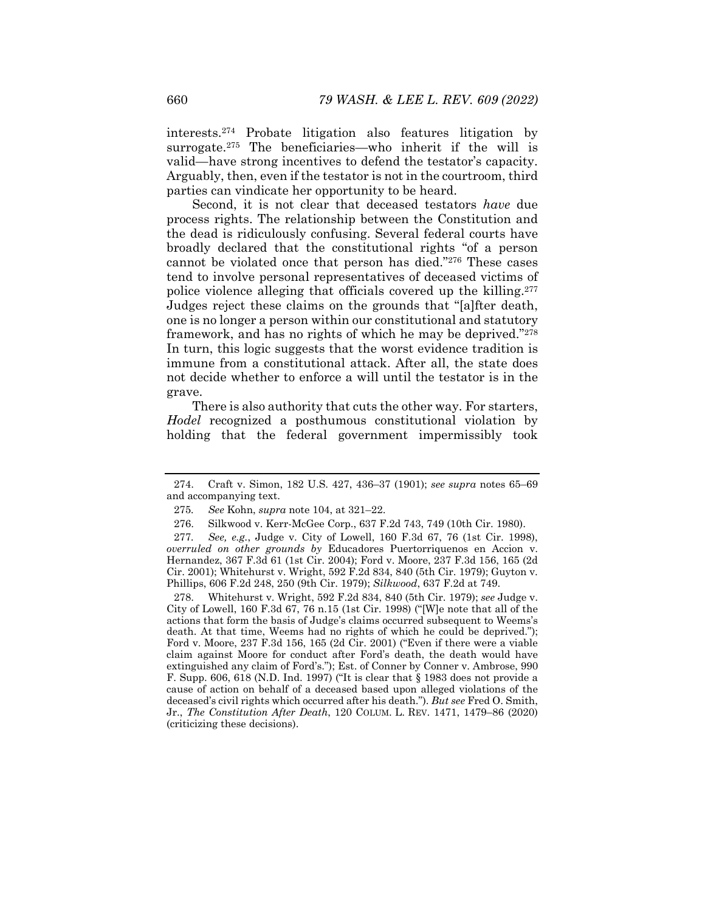interests.274 Probate litigation also features litigation by surrogate.275 The beneficiaries—who inherit if the will is valid—have strong incentives to defend the testator's capacity. Arguably, then, even if the testator is not in the courtroom, third parties can vindicate her opportunity to be heard.

Second, it is not clear that deceased testators *have* due process rights. The relationship between the Constitution and the dead is ridiculously confusing. Several federal courts have broadly declared that the constitutional rights "of a person cannot be violated once that person has died."276 These cases tend to involve personal representatives of deceased victims of police violence alleging that officials covered up the killing.277 Judges reject these claims on the grounds that "[a]fter death, one is no longer a person within our constitutional and statutory framework, and has no rights of which he may be deprived."278 In turn, this logic suggests that the worst evidence tradition is immune from a constitutional attack. After all, the state does not decide whether to enforce a will until the testator is in the grave.

There is also authority that cuts the other way. For starters, *Hodel* recognized a posthumous constitutional violation by holding that the federal government impermissibly took

 278. Whitehurst v. Wright, 592 F.2d 834, 840 (5th Cir. 1979); *see* Judge v. City of Lowell, 160 F.3d 67, 76 n.15 (1st Cir. 1998) ("[W]e note that all of the actions that form the basis of Judge's claims occurred subsequent to Weems's death. At that time, Weems had no rights of which he could be deprived."); Ford v. Moore, 237 F.3d 156, 165 (2d Cir. 2001) ("Even if there were a viable claim against Moore for conduct after Ford's death, the death would have extinguished any claim of Ford's."); Est. of Conner by Conner v. Ambrose, 990 F. Supp. 606, 618 (N.D. Ind. 1997) ("It is clear that § 1983 does not provide a cause of action on behalf of a deceased based upon alleged violations of the deceased's civil rights which occurred after his death."). *But see* Fred O. Smith, Jr., *The Constitution After Death*, 120 COLUM. L. REV. 1471, 1479–86 (2020) (criticizing these decisions).

 <sup>274.</sup> Craft v. Simon, 182 U.S. 427, 436–37 (1901); *see supra* notes 65–69 and accompanying text.

<sup>275</sup>*. See* Kohn, *supra* note 104, at 321–22.

 <sup>276.</sup> Silkwood v. Kerr-McGee Corp., 637 F.2d 743, 749 (10th Cir. 1980).

<sup>277</sup>*. See, e.g.*, Judge v. City of Lowell, 160 F.3d 67, 76 (1st Cir. 1998), *overruled on other grounds by* Educadores Puertorriquenos en Accion v. Hernandez, 367 F.3d 61 (1st Cir. 2004); Ford v. Moore, 237 F.3d 156, 165 (2d Cir. 2001); Whitehurst v. Wright, 592 F.2d 834, 840 (5th Cir. 1979); Guyton v. Phillips, 606 F.2d 248, 250 (9th Cir. 1979); *Silkwood*, 637 F.2d at 749.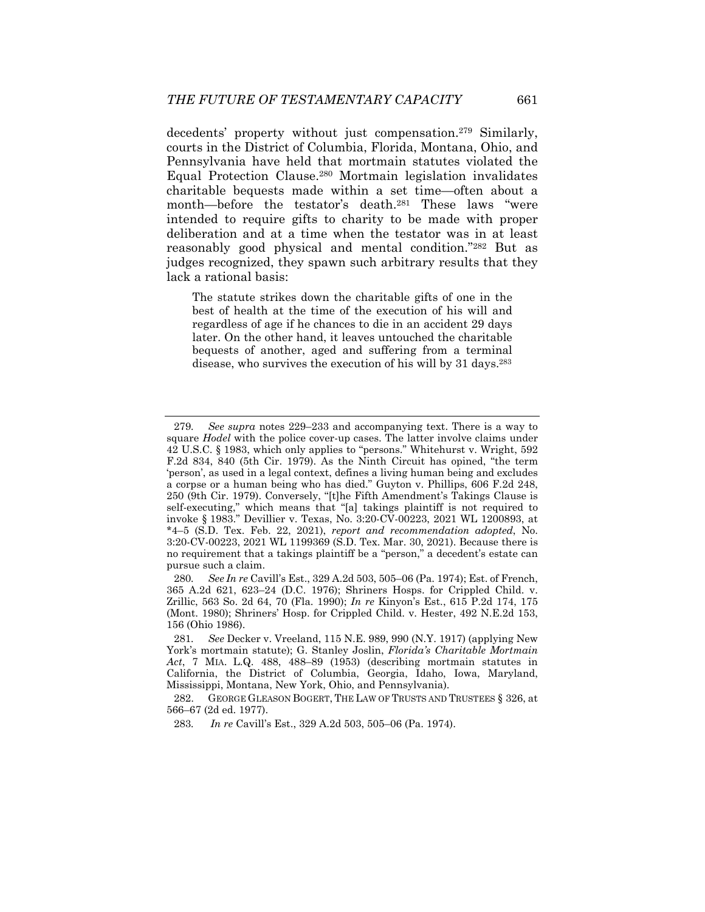decedents' property without just compensation.<sup>279</sup> Similarly, courts in the District of Columbia, Florida, Montana, Ohio, and Pennsylvania have held that mortmain statutes violated the Equal Protection Clause.280 Mortmain legislation invalidates charitable bequests made within a set time—often about a month—before the testator's death.281 These laws "were intended to require gifts to charity to be made with proper deliberation and at a time when the testator was in at least reasonably good physical and mental condition."282 But as judges recognized, they spawn such arbitrary results that they lack a rational basis:

The statute strikes down the charitable gifts of one in the best of health at the time of the execution of his will and regardless of age if he chances to die in an accident 29 days later. On the other hand, it leaves untouched the charitable bequests of another, aged and suffering from a terminal disease, who survives the execution of his will by 31 days.283

<sup>279</sup>*. See supra* notes 229–233 and accompanying text. There is a way to square *Hodel* with the police cover-up cases. The latter involve claims under 42 U.S.C. § 1983, which only applies to "persons." Whitehurst v. Wright, 592 F.2d 834, 840 (5th Cir. 1979). As the Ninth Circuit has opined, "the term 'person', as used in a legal context, defines a living human being and excludes a corpse or a human being who has died." Guyton v. Phillips, 606 F.2d 248, 250 (9th Cir. 1979). Conversely, "[t]he Fifth Amendment's Takings Clause is self-executing," which means that "[a] takings plaintiff is not required to invoke § 1983." Devillier v. Texas, No. 3:20-CV-00223, 2021 WL 1200893, at \*4–5 (S.D. Tex. Feb. 22, 2021), *report and recommendation adopted*, No. 3:20-CV-00223, 2021 WL 1199369 (S.D. Tex. Mar. 30, 2021). Because there is no requirement that a takings plaintiff be a "person," a decedent's estate can pursue such a claim.

<sup>280</sup>*. See In re* Cavill's Est., 329 A.2d 503, 505–06 (Pa. 1974); Est. of French, 365 A.2d 621, 623–24 (D.C. 1976); Shriners Hosps. for Crippled Child. v. Zrillic, 563 So. 2d 64, 70 (Fla. 1990); *In re* Kinyon's Est., 615 P.2d 174, 175 (Mont. 1980); Shriners' Hosp. for Crippled Child. v. Hester, 492 N.E.2d 153, 156 (Ohio 1986).

<sup>281</sup>*. See* Decker v. Vreeland, 115 N.E. 989, 990 (N.Y. 1917) (applying New York's mortmain statute); G. Stanley Joslin, *Florida's Charitable Mortmain Act*, 7 MIA. L.Q. 488, 488–89 (1953) (describing mortmain statutes in California, the District of Columbia, Georgia, Idaho, Iowa, Maryland, Mississippi, Montana, New York, Ohio, and Pennsylvania).

<sup>282.</sup> GEORGE GLEASON BOGERT, THE LAW OF TRUSTS AND TRUSTEES § 326, at 566–67 (2d ed. 1977).

<sup>283</sup>*. In re* Cavill's Est., 329 A.2d 503, 505–06 (Pa. 1974).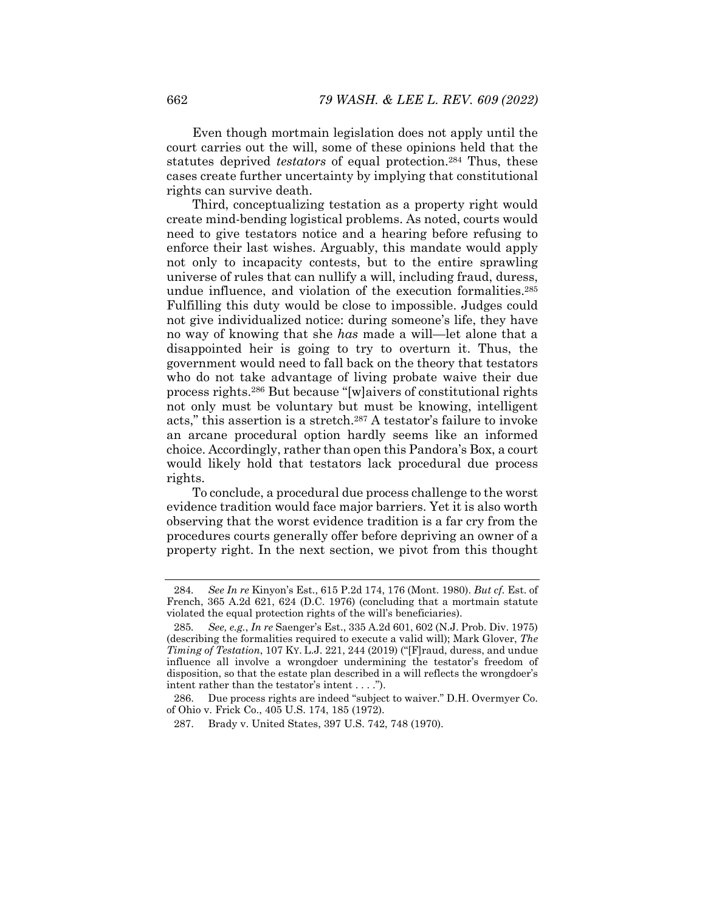Even though mortmain legislation does not apply until the court carries out the will, some of these opinions held that the statutes deprived *testators* of equal protection.284 Thus, these cases create further uncertainty by implying that constitutional rights can survive death.

Third, conceptualizing testation as a property right would create mind-bending logistical problems. As noted, courts would need to give testators notice and a hearing before refusing to enforce their last wishes. Arguably, this mandate would apply not only to incapacity contests, but to the entire sprawling universe of rules that can nullify a will, including fraud, duress, undue influence, and violation of the execution formalities.285 Fulfilling this duty would be close to impossible. Judges could not give individualized notice: during someone's life, they have no way of knowing that she *has* made a will—let alone that a disappointed heir is going to try to overturn it. Thus, the government would need to fall back on the theory that testators who do not take advantage of living probate waive their due process rights.286 But because "[w]aivers of constitutional rights not only must be voluntary but must be knowing, intelligent acts," this assertion is a stretch.287 A testator's failure to invoke an arcane procedural option hardly seems like an informed choice. Accordingly, rather than open this Pandora's Box, a court would likely hold that testators lack procedural due process rights.

To conclude, a procedural due process challenge to the worst evidence tradition would face major barriers. Yet it is also worth observing that the worst evidence tradition is a far cry from the procedures courts generally offer before depriving an owner of a property right. In the next section, we pivot from this thought

<sup>284</sup>*. See In re* Kinyon's Est., 615 P.2d 174, 176 (Mont. 1980). *But cf.* Est. of French, 365 A.2d 621, 624 (D.C. 1976) (concluding that a mortmain statute violated the equal protection rights of the will's beneficiaries).

<sup>285</sup>*. See, e.g.*, *In re* Saenger's Est., 335 A.2d 601, 602 (N.J. Prob. Div. 1975) (describing the formalities required to execute a valid will); Mark Glover, *The Timing of Testation*, 107 KY. L.J. 221, 244 (2019) ("[F]raud, duress, and undue influence all involve a wrongdoer undermining the testator's freedom of disposition, so that the estate plan described in a will reflects the wrongdoer's intent rather than the testator's intent . . . .").

 <sup>286.</sup> Due process rights are indeed "subject to waiver." D.H. Overmyer Co. of Ohio v. Frick Co., 405 U.S. 174, 185 (1972).

 <sup>287.</sup> Brady v. United States, 397 U.S. 742, 748 (1970).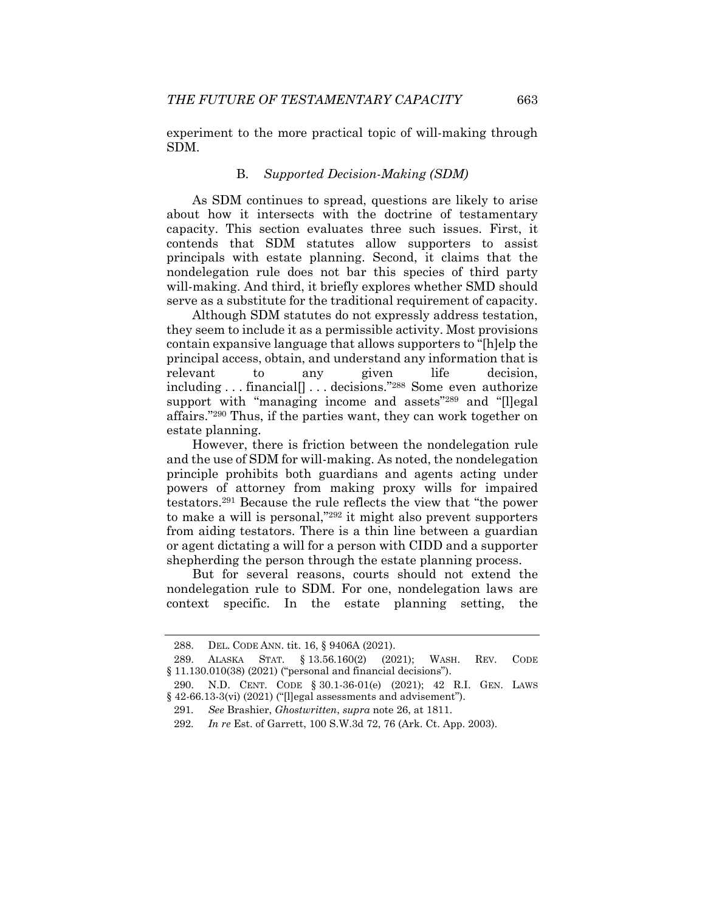experiment to the more practical topic of will-making through SDM.

#### B. *Supported Decision-Making (SDM)*

As SDM continues to spread, questions are likely to arise about how it intersects with the doctrine of testamentary capacity. This section evaluates three such issues. First, it contends that SDM statutes allow supporters to assist principals with estate planning. Second, it claims that the nondelegation rule does not bar this species of third party will-making. And third, it briefly explores whether SMD should serve as a substitute for the traditional requirement of capacity.

Although SDM statutes do not expressly address testation, they seem to include it as a permissible activity. Most provisions contain expansive language that allows supporters to "[h]elp the principal access, obtain, and understand any information that is relevant to any given life decision, including . . . financial[] . . . decisions."288 Some even authorize support with "managing income and assets"<sup>289</sup> and "[l]egal affairs."290 Thus, if the parties want, they can work together on estate planning.

However, there is friction between the nondelegation rule and the use of SDM for will-making. As noted, the nondelegation principle prohibits both guardians and agents acting under powers of attorney from making proxy wills for impaired testators.291 Because the rule reflects the view that "the power to make a will is personal,"292 it might also prevent supporters from aiding testators. There is a thin line between a guardian or agent dictating a will for a person with CIDD and a supporter shepherding the person through the estate planning process.

But for several reasons, courts should not extend the nondelegation rule to SDM. For one, nondelegation laws are context specific. In the estate planning setting, the

 <sup>288.</sup> DEL. CODE ANN. tit. 16, § 9406A (2021).

 <sup>289.</sup> ALASKA STAT. § 13.56.160(2) (2021); WASH. REV. CODE § 11.130.010(38) (2021) ("personal and financial decisions").

 <sup>290.</sup> N.D. CENT. CODE § 30.1-36-01(e) (2021); 42 R.I. GEN. LAWS § 42-66.13-3(vi) (2021) ("[l]egal assessments and advisement").

<sup>291</sup>*. See* Brashier, *Ghostwritten*, *supra* note 26, at 1811.

<sup>292</sup>*. In re* Est. of Garrett, 100 S.W.3d 72, 76 (Ark. Ct. App. 2003).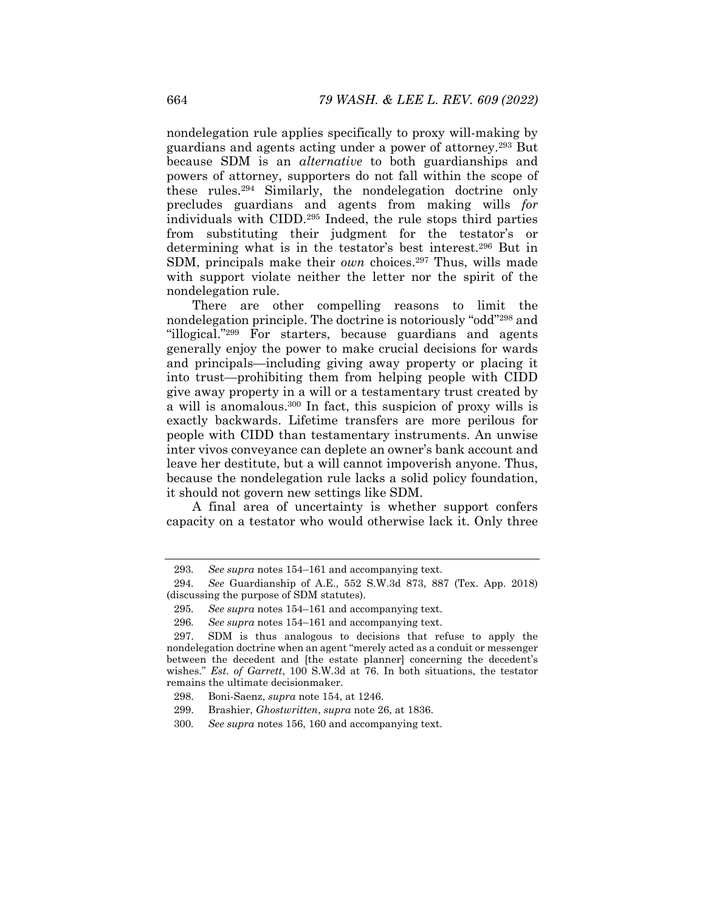nondelegation rule applies specifically to proxy will-making by guardians and agents acting under a power of attorney.293 But because SDM is an *alternative* to both guardianships and powers of attorney, supporters do not fall within the scope of these rules.294 Similarly, the nondelegation doctrine only precludes guardians and agents from making wills *for*  individuals with CIDD.295 Indeed, the rule stops third parties from substituting their judgment for the testator's or determining what is in the testator's best interest.296 But in SDM, principals make their *own* choices.<sup>297</sup> Thus, wills made with support violate neither the letter nor the spirit of the nondelegation rule.

There are other compelling reasons to limit the nondelegation principle. The doctrine is notoriously "odd"298 and "illogical."299 For starters, because guardians and agents generally enjoy the power to make crucial decisions for wards and principals—including giving away property or placing it into trust—prohibiting them from helping people with CIDD give away property in a will or a testamentary trust created by a will is anomalous.300 In fact, this suspicion of proxy wills is exactly backwards. Lifetime transfers are more perilous for people with CIDD than testamentary instruments. An unwise inter vivos conveyance can deplete an owner's bank account and leave her destitute, but a will cannot impoverish anyone. Thus, because the nondelegation rule lacks a solid policy foundation, it should not govern new settings like SDM.

A final area of uncertainty is whether support confers capacity on a testator who would otherwise lack it. Only three

<sup>293</sup>*. See supra* notes 154–161 and accompanying text.

<sup>294</sup>*. See* Guardianship of A.E., 552 S.W.3d 873, 887 (Tex. App. 2018) (discussing the purpose of SDM statutes).

<sup>295</sup>*. See supra* notes 154–161 and accompanying text.

<sup>296</sup>*. See supra* notes 154–161 and accompanying text.

 <sup>297.</sup> SDM is thus analogous to decisions that refuse to apply the nondelegation doctrine when an agent "merely acted as a conduit or messenger between the decedent and [the estate planner] concerning the decedent's wishes." *Est. of Garrett*, 100 S.W.3d at 76. In both situations, the testator remains the ultimate decisionmaker.

 <sup>298.</sup> Boni-Saenz, *supra* note 154, at 1246.

 <sup>299.</sup> Brashier, *Ghostwritten*, *supra* note 26, at 1836.

<sup>300</sup>*. See supra* notes 156, 160 and accompanying text.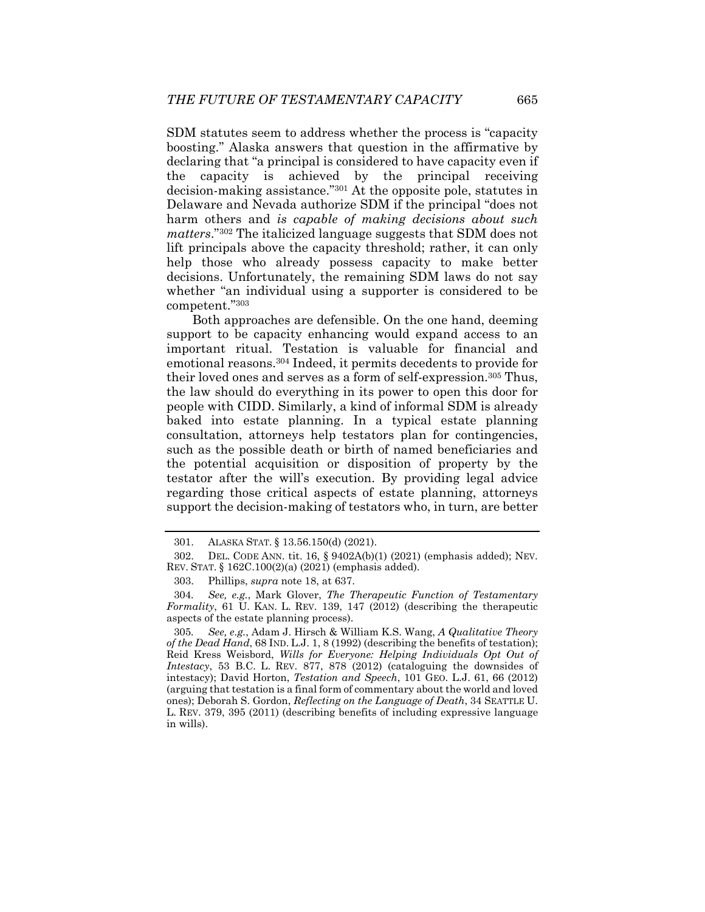SDM statutes seem to address whether the process is "capacity boosting." Alaska answers that question in the affirmative by declaring that "a principal is considered to have capacity even if the capacity is achieved by the principal receiving decision-making assistance."301 At the opposite pole, statutes in Delaware and Nevada authorize SDM if the principal "does not harm others and *is capable of making decisions about such matters*."302 The italicized language suggests that SDM does not lift principals above the capacity threshold; rather, it can only help those who already possess capacity to make better decisions. Unfortunately, the remaining SDM laws do not say whether "an individual using a supporter is considered to be competent."303

Both approaches are defensible. On the one hand, deeming support to be capacity enhancing would expand access to an important ritual. Testation is valuable for financial and emotional reasons.304 Indeed, it permits decedents to provide for their loved ones and serves as a form of self-expression.305 Thus, the law should do everything in its power to open this door for people with CIDD. Similarly, a kind of informal SDM is already baked into estate planning. In a typical estate planning consultation, attorneys help testators plan for contingencies, such as the possible death or birth of named beneficiaries and the potential acquisition or disposition of property by the testator after the will's execution. By providing legal advice regarding those critical aspects of estate planning, attorneys support the decision-making of testators who, in turn, are better

 <sup>301.</sup> ALASKA STAT. § 13.56.150(d) (2021).

 <sup>302.</sup> DEL. CODE ANN. tit. 16, § 9402A(b)(1) (2021) (emphasis added); NEV. REV. STAT. § 162C.100(2)(a) (2021) (emphasis added).

 <sup>303.</sup> Phillips, *supra* note 18, at 637.

<sup>304</sup>*. See, e.g.*, Mark Glover, *The Therapeutic Function of Testamentary Formality*, 61 U. KAN. L. REV. 139, 147 (2012) (describing the therapeutic aspects of the estate planning process).

<sup>305</sup>*. See, e.g.*, Adam J. Hirsch & William K.S. Wang, *A Qualitative Theory of the Dead Hand*, 68 IND. L.J. 1, 8 (1992) (describing the benefits of testation); Reid Kress Weisbord, *Wills for Everyone: Helping Individuals Opt Out of Intestacy*, 53 B.C. L. REV. 877, 878 (2012) (cataloguing the downsides of intestacy); David Horton, *Testation and Speech*, 101 GEO. L.J. 61, 66 (2012) (arguing that testation is a final form of commentary about the world and loved ones); Deborah S. Gordon, *Reflecting on the Language of Death*, 34 SEATTLE U. L. REV. 379, 395 (2011) (describing benefits of including expressive language in wills).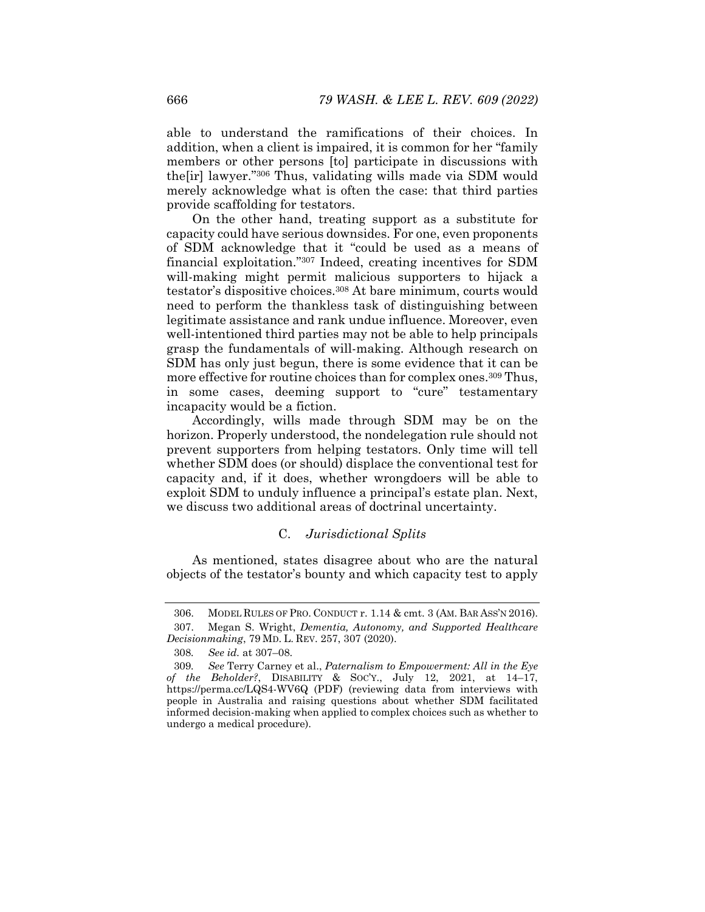able to understand the ramifications of their choices. In addition, when a client is impaired, it is common for her "family members or other persons [to] participate in discussions with the[ir] lawyer."306 Thus, validating wills made via SDM would merely acknowledge what is often the case: that third parties provide scaffolding for testators.

On the other hand, treating support as a substitute for capacity could have serious downsides. For one, even proponents of SDM acknowledge that it "could be used as a means of financial exploitation."307 Indeed, creating incentives for SDM will-making might permit malicious supporters to hijack a testator's dispositive choices.308 At bare minimum, courts would need to perform the thankless task of distinguishing between legitimate assistance and rank undue influence. Moreover, even well-intentioned third parties may not be able to help principals grasp the fundamentals of will-making. Although research on SDM has only just begun, there is some evidence that it can be more effective for routine choices than for complex ones.<sup>309</sup> Thus, in some cases, deeming support to "cure" testamentary incapacity would be a fiction.

Accordingly, wills made through SDM may be on the horizon. Properly understood, the nondelegation rule should not prevent supporters from helping testators. Only time will tell whether SDM does (or should) displace the conventional test for capacity and, if it does, whether wrongdoers will be able to exploit SDM to unduly influence a principal's estate plan. Next, we discuss two additional areas of doctrinal uncertainty.

## C. *Jurisdictional Splits*

As mentioned, states disagree about who are the natural objects of the testator's bounty and which capacity test to apply

 <sup>306.</sup> MODEL RULES OF PRO. CONDUCT r. 1.14 & cmt. 3 (AM. BAR ASS'N 2016).

 <sup>307.</sup> Megan S. Wright, *Dementia, Autonomy, and Supported Healthcare Decisionmaking*, 79 MD. L. REV. 257, 307 (2020).

<sup>308</sup>*. See id.* at 307–08.

<sup>309</sup>*. See* Terry Carney et al., *Paternalism to Empowerment: All in the Eye of the Beholder?*, DISABILITY & SOC'Y., July 12, 2021, at 14–17, https://perma.cc/LQS4-WV6Q (PDF) (reviewing data from interviews with people in Australia and raising questions about whether SDM facilitated informed decision-making when applied to complex choices such as whether to undergo a medical procedure).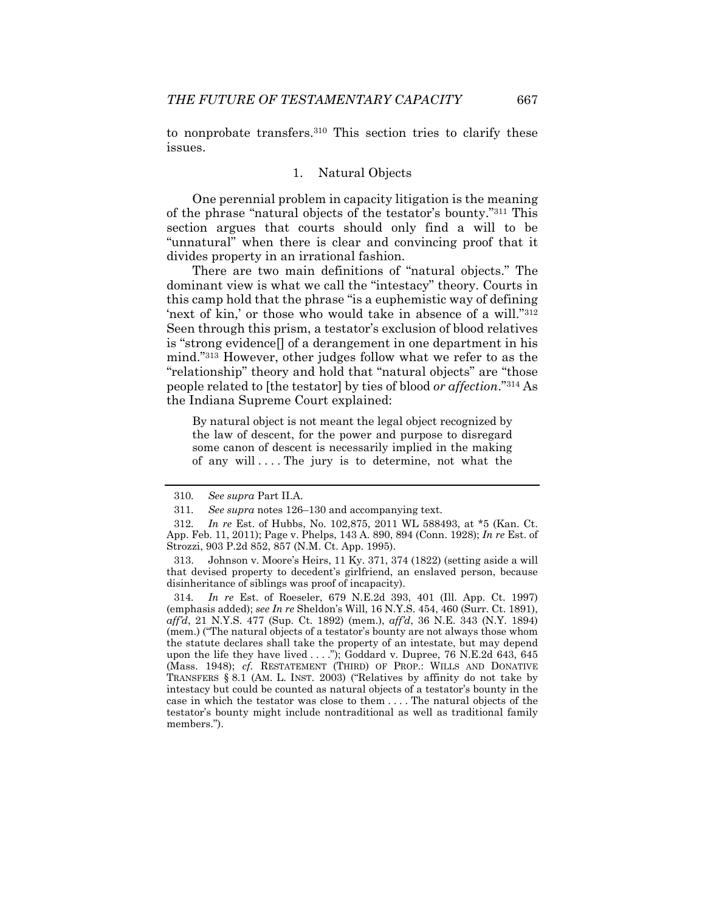to nonprobate transfers.310 This section tries to clarify these issues.

#### 1. Natural Objects

One perennial problem in capacity litigation is the meaning of the phrase "natural objects of the testator's bounty."311 This section argues that courts should only find a will to be "unnatural" when there is clear and convincing proof that it divides property in an irrational fashion.

There are two main definitions of "natural objects." The dominant view is what we call the "intestacy" theory. Courts in this camp hold that the phrase "is a euphemistic way of defining 'next of kin,' or those who would take in absence of a will."312 Seen through this prism, a testator's exclusion of blood relatives is "strong evidence[] of a derangement in one department in his mind."313 However, other judges follow what we refer to as the "relationship" theory and hold that "natural objects" are "those people related to [the testator] by ties of blood *or affection*."314 As the Indiana Supreme Court explained:

By natural object is not meant the legal object recognized by the law of descent, for the power and purpose to disregard some canon of descent is necessarily implied in the making of any will  $\dots$ . The jury is to determine, not what the

<sup>310</sup>*. See supra* Part II.A.

<sup>311</sup>*. See supra* notes 126–130 and accompanying text.

<sup>312</sup>*. In re* Est. of Hubbs, No. 102,875, 2011 WL 588493, at \*5 (Kan. Ct. App. Feb. 11, 2011); Page v. Phelps, 143 A. 890, 894 (Conn. 1928); *In re* Est. of Strozzi, 903 P.2d 852, 857 (N.M. Ct. App. 1995).

 <sup>313.</sup> Johnson v. Moore's Heirs, 11 Ky. 371, 374 (1822) (setting aside a will that devised property to decedent's girlfriend, an enslaved person, because disinheritance of siblings was proof of incapacity).

<sup>314</sup>*. In re* Est. of Roeseler, 679 N.E.2d 393, 401 (Ill. App. Ct. 1997) (emphasis added); *see In re* Sheldon's Will, 16 N.Y.S. 454, 460 (Surr. Ct. 1891), *aff'd*, 21 N.Y.S. 477 (Sup. Ct. 1892) (mem.), *aff'd*, 36 N.E. 343 (N.Y. 1894) (mem.) ("The natural objects of a testator's bounty are not always those whom the statute declares shall take the property of an intestate, but may depend upon the life they have lived . . . ."); Goddard v. Dupree, 76 N.E.2d 643, 645 (Mass. 1948); *cf.* RESTATEMENT (THIRD) OF PROP.: WILLS AND DONATIVE TRANSFERS § 8.1 (AM. L. INST. 2003) ("Relatives by affinity do not take by intestacy but could be counted as natural objects of a testator's bounty in the case in which the testator was close to them . . . . The natural objects of the testator's bounty might include nontraditional as well as traditional family members.").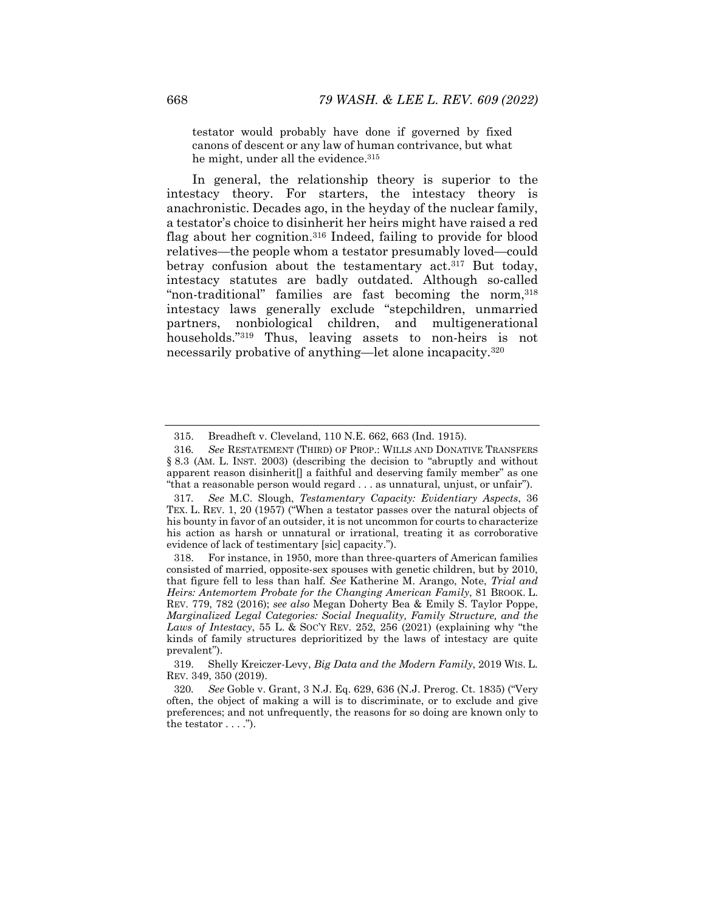testator would probably have done if governed by fixed canons of descent or any law of human contrivance, but what he might, under all the evidence. 315

In general, the relationship theory is superior to the intestacy theory. For starters, the intestacy theory is anachronistic. Decades ago, in the heyday of the nuclear family, a testator's choice to disinherit her heirs might have raised a red flag about her cognition.316 Indeed, failing to provide for blood relatives—the people whom a testator presumably loved—could betray confusion about the testamentary act.<sup>317</sup> But today, intestacy statutes are badly outdated. Although so-called "non-traditional" families are fast becoming the norm, 318 intestacy laws generally exclude "stepchildren, unmarried partners, nonbiological children, and multigenerational households."319 Thus, leaving assets to non-heirs is not necessarily probative of anything—let alone incapacity.320

 <sup>315.</sup> Breadheft v. Cleveland, 110 N.E. 662, 663 (Ind. 1915).

<sup>316</sup>*. See* RESTATEMENT (THIRD) OF PROP.: WILLS AND DONATIVE TRANSFERS § 8.3 (AM. L. INST. 2003) (describing the decision to "abruptly and without apparent reason disinherit[] a faithful and deserving family member" as one "that a reasonable person would regard . . . as unnatural, unjust, or unfair").

<sup>317</sup>*. See* M.C. Slough, *Testamentary Capacity: Evidentiary Aspects*, 36 TEX. L. REV. 1, 20 (1957) ("When a testator passes over the natural objects of his bounty in favor of an outsider, it is not uncommon for courts to characterize his action as harsh or unnatural or irrational, treating it as corroborative evidence of lack of testimentary [sic] capacity.").

 <sup>318.</sup> For instance, in 1950, more than three-quarters of American families consisted of married, opposite-sex spouses with genetic children, but by 2010, that figure fell to less than half. *See* Katherine M. Arango, Note, *Trial and Heirs: Antemortem Probate for the Changing American Family*, 81 BROOK. L. REV. 779, 782 (2016); *see also* Megan Doherty Bea & Emily S. Taylor Poppe, *Marginalized Legal Categories: Social Inequality, Family Structure, and the Laws of Intestacy*, 55 L. & SOC'Y REV. 252, 256 (2021) (explaining why "the kinds of family structures deprioritized by the laws of intestacy are quite prevalent").

 <sup>319.</sup> Shelly Kreiczer-Levy, *Big Data and the Modern Family*, 2019 WIS. L. REV. 349, 350 (2019).

<sup>320</sup>*. See* Goble v. Grant, 3 N.J. Eq. 629, 636 (N.J. Prerog. Ct. 1835) ("Very often, the object of making a will is to discriminate, or to exclude and give preferences; and not unfrequently, the reasons for so doing are known only to the testator  $\dots$ .").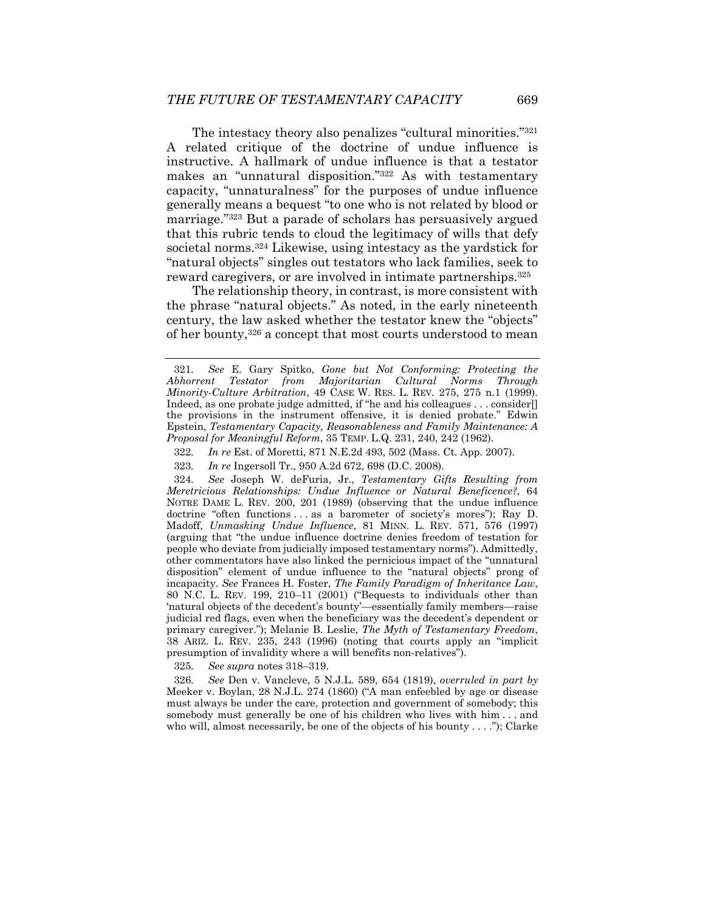The intestacy theory also penalizes "cultural minorities."321 A related critique of the doctrine of undue influence is instructive. A hallmark of undue influence is that a testator makes an "unnatural disposition."322 As with testamentary capacity, "unnaturalness" for the purposes of undue influence generally means a bequest "to one who is not related by blood or marriage."323 But a parade of scholars has persuasively argued that this rubric tends to cloud the legitimacy of wills that defy societal norms.324 Likewise, using intestacy as the yardstick for "natural objects" singles out testators who lack families, seek to reward caregivers, or are involved in intimate partnerships.325

The relationship theory, in contrast, is more consistent with the phrase "natural objects." As noted, in the early nineteenth century, the law asked whether the testator knew the "objects" of her bounty,326 a concept that most courts understood to mean

324*. See* Joseph W. deFuria, Jr., *Testamentary Gifts Resulting from Meretricious Relationships: Undue Influence or Natural Beneficence?*, 64 NOTRE DAME L. REV. 200, 201 (1989) (observing that the undue influence doctrine "often functions . . . as a barometer of society's mores"); Ray D. Madoff, *Unmasking Undue Influence*, 81 MINN. L. REV. 571, 576 (1997) (arguing that "the undue influence doctrine denies freedom of testation for people who deviate from judicially imposed testamentary norms"). Admittedly, other commentators have also linked the pernicious impact of the "unnatural disposition" element of undue influence to the "natural objects" prong of incapacity. *See* Frances H. Foster, *The Family Paradigm of Inheritance Law*, 80 N.C. L. REV. 199, 210–11 (2001) ("Bequests to individuals other than 'natural objects of the decedent's bounty'—essentially family members—raise judicial red flags, even when the beneficiary was the decedent's dependent or primary caregiver."); Melanie B. Leslie, *The Myth of Testamentary Freedom*, 38 ARIZ. L. REV. 235, 243 (1996) (noting that courts apply an "implicit presumption of invalidity where a will benefits non-relatives").

325*. See supra* notes 318–319.

326*. See* Den v. Vancleve, 5 N.J.L. 589, 654 (1819), *overruled in part by* Meeker v. Boylan, 28 N.J.L. 274 (1860) ("A man enfeebled by age or disease must always be under the care, protection and government of somebody; this somebody must generally be one of his children who lives with him . . . and who will, almost necessarily, be one of the objects of his bounty  $\dots$ "); Clarke

<sup>321</sup>*. See* E. Gary Spitko, *Gone but Not Conforming: Protecting the Abhorrent Testator from Majoritarian Cultural Norms Through Minority-Culture Arbitration*, 49 CASE W. RES. L. REV. 275, 275 n.1 (1999). Indeed, as one probate judge admitted, if "he and his colleagues . . . consider[] the provisions in the instrument offensive, it is denied probate." Edwin Epstein, *Testamentary Capacity, Reasonableness and Family Maintenance: A Proposal for Meaningful Reform*, 35 TEMP. L.Q. 231, 240, 242 (1962).

<sup>322</sup>*. In re* Est. of Moretti, 871 N.E.2d 493, 502 (Mass. Ct. App. 2007).

<sup>323</sup>*. In re* Ingersoll Tr., 950 A.2d 672, 698 (D.C. 2008).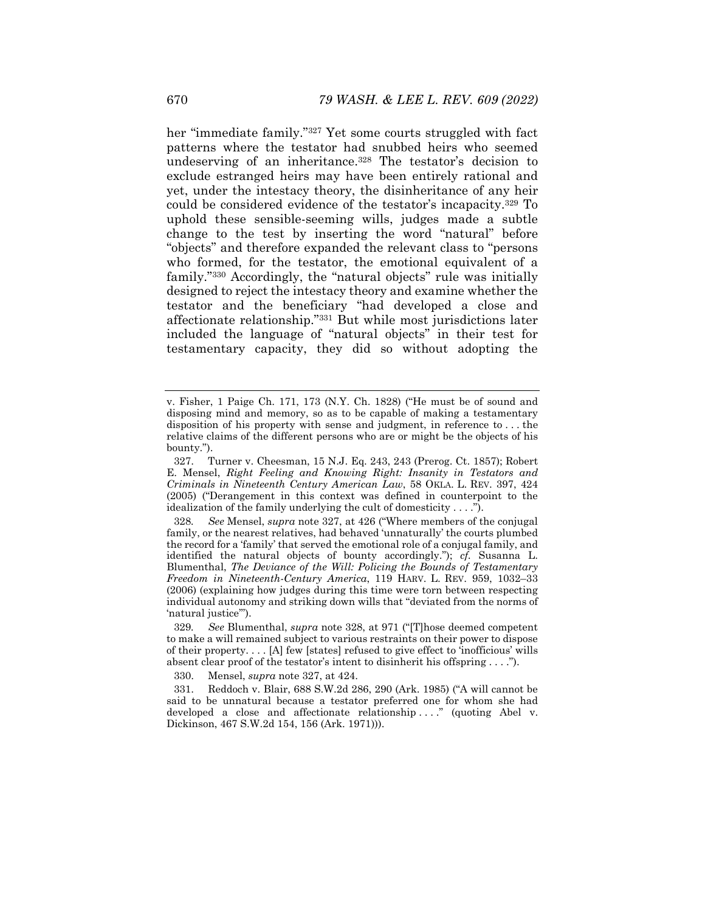her "immediate family."327 Yet some courts struggled with fact patterns where the testator had snubbed heirs who seemed undeserving of an inheritance.<sup>328</sup> The testator's decision to exclude estranged heirs may have been entirely rational and yet, under the intestacy theory, the disinheritance of any heir could be considered evidence of the testator's incapacity.329 To uphold these sensible-seeming wills, judges made a subtle change to the test by inserting the word "natural" before "objects" and therefore expanded the relevant class to "persons who formed, for the testator, the emotional equivalent of a family."330 Accordingly, the "natural objects" rule was initially designed to reject the intestacy theory and examine whether the testator and the beneficiary "had developed a close and affectionate relationship."331 But while most jurisdictions later included the language of "natural objects" in their test for testamentary capacity, they did so without adopting the

v. Fisher, 1 Paige Ch. 171, 173 (N.Y. Ch. 1828) ("He must be of sound and disposing mind and memory, so as to be capable of making a testamentary disposition of his property with sense and judgment, in reference to . . . the relative claims of the different persons who are or might be the objects of his bounty.").

 <sup>327.</sup> Turner v. Cheesman, 15 N.J. Eq. 243, 243 (Prerog. Ct. 1857); Robert E. Mensel, *Right Feeling and Knowing Right: Insanity in Testators and Criminals in Nineteenth Century American Law*, 58 OKLA. L. REV. 397, 424 (2005) ("Derangement in this context was defined in counterpoint to the idealization of the family underlying the cult of domesticity . . . .").

<sup>328</sup>*. See* Mensel, *supra* note 327, at 426 ("Where members of the conjugal family, or the nearest relatives, had behaved 'unnaturally' the courts plumbed the record for a 'family' that served the emotional role of a conjugal family, and identified the natural objects of bounty accordingly."); *cf.* Susanna L. Blumenthal, *The Deviance of the Will: Policing the Bounds of Testamentary Freedom in Nineteenth-Century America*, 119 HARV. L. REV. 959, 1032–33 (2006) (explaining how judges during this time were torn between respecting individual autonomy and striking down wills that "deviated from the norms of 'natural justice'").

<sup>329</sup>*. See* Blumenthal, *supra* note 328, at 971 ("[T]hose deemed competent to make a will remained subject to various restraints on their power to dispose of their property. . . . [A] few [states] refused to give effect to 'inofficious' wills absent clear proof of the testator's intent to disinherit his offspring . . . .").

 <sup>330.</sup> Mensel, *supra* note 327, at 424.

 <sup>331.</sup> Reddoch v. Blair, 688 S.W.2d 286, 290 (Ark. 1985) ("A will cannot be said to be unnatural because a testator preferred one for whom she had developed a close and affectionate relationship ...." (quoting Abel v. Dickinson, 467 S.W.2d 154, 156 (Ark. 1971))).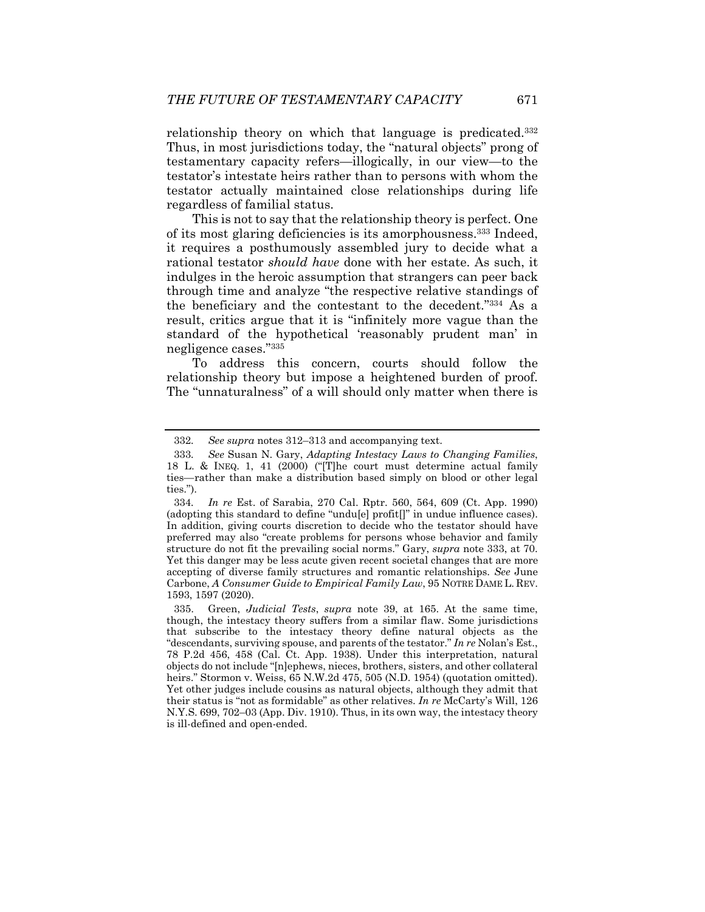relationship theory on which that language is predicated.332 Thus, in most jurisdictions today, the "natural objects" prong of testamentary capacity refers—illogically, in our view—to the testator's intestate heirs rather than to persons with whom the testator actually maintained close relationships during life regardless of familial status.

This is not to say that the relationship theory is perfect. One of its most glaring deficiencies is its amorphousness.333 Indeed, it requires a posthumously assembled jury to decide what a rational testator *should have* done with her estate. As such, it indulges in the heroic assumption that strangers can peer back through time and analyze "the respective relative standings of the beneficiary and the contestant to the decedent."334 As a result, critics argue that it is "infinitely more vague than the standard of the hypothetical 'reasonably prudent man' in negligence cases."335

To address this concern, courts should follow the relationship theory but impose a heightened burden of proof. The "unnaturalness" of a will should only matter when there is

<sup>332</sup>*. See supra* notes 312–313 and accompanying text.

<sup>333</sup>*. See* Susan N. Gary, *Adapting Intestacy Laws to Changing Families*, 18 L. & INEQ. 1, 41 (2000) ("[T]he court must determine actual family ties—rather than make a distribution based simply on blood or other legal ties.").

<sup>334</sup>*. In re* Est. of Sarabia, 270 Cal. Rptr. 560, 564, 609 (Ct. App. 1990) (adopting this standard to define "undu[e] profit[]" in undue influence cases). In addition, giving courts discretion to decide who the testator should have preferred may also "create problems for persons whose behavior and family structure do not fit the prevailing social norms." Gary, *supra* note 333, at 70. Yet this danger may be less acute given recent societal changes that are more accepting of diverse family structures and romantic relationships. *See* June Carbone, *A Consumer Guide to Empirical Family Law*, 95 NOTRE DAME L. REV. 1593, 1597 (2020).

 <sup>335.</sup> Green, *Judicial Tests*, *supra* note 39, at 165. At the same time, though, the intestacy theory suffers from a similar flaw. Some jurisdictions that subscribe to the intestacy theory define natural objects as the "descendants, surviving spouse, and parents of the testator." *In re* Nolan's Est., 78 P.2d 456, 458 (Cal. Ct. App. 1938). Under this interpretation, natural objects do not include "[n]ephews, nieces, brothers, sisters, and other collateral heirs." Stormon v. Weiss, 65 N.W.2d 475, 505 (N.D. 1954) (quotation omitted). Yet other judges include cousins as natural objects, although they admit that their status is "not as formidable" as other relatives. *In re* McCarty's Will, 126 N.Y.S. 699, 702–03 (App. Div. 1910). Thus, in its own way, the intestacy theory is ill-defined and open-ended.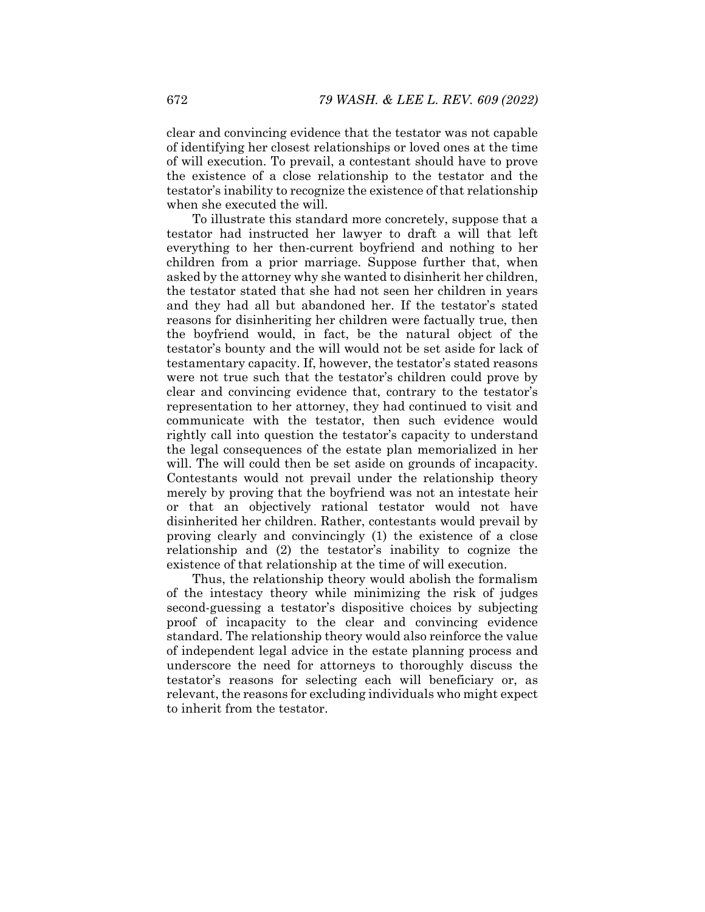clear and convincing evidence that the testator was not capable of identifying her closest relationships or loved ones at the time of will execution. To prevail, a contestant should have to prove the existence of a close relationship to the testator and the testator's inability to recognize the existence of that relationship when she executed the will.

To illustrate this standard more concretely, suppose that a testator had instructed her lawyer to draft a will that left everything to her then-current boyfriend and nothing to her children from a prior marriage. Suppose further that, when asked by the attorney why she wanted to disinherit her children, the testator stated that she had not seen her children in years and they had all but abandoned her. If the testator's stated reasons for disinheriting her children were factually true, then the boyfriend would, in fact, be the natural object of the testator's bounty and the will would not be set aside for lack of testamentary capacity. If, however, the testator's stated reasons were not true such that the testator's children could prove by clear and convincing evidence that, contrary to the testator's representation to her attorney, they had continued to visit and communicate with the testator, then such evidence would rightly call into question the testator's capacity to understand the legal consequences of the estate plan memorialized in her will. The will could then be set aside on grounds of incapacity. Contestants would not prevail under the relationship theory merely by proving that the boyfriend was not an intestate heir or that an objectively rational testator would not have disinherited her children. Rather, contestants would prevail by proving clearly and convincingly (1) the existence of a close relationship and (2) the testator's inability to cognize the existence of that relationship at the time of will execution.

Thus, the relationship theory would abolish the formalism of the intestacy theory while minimizing the risk of judges second-guessing a testator's dispositive choices by subjecting proof of incapacity to the clear and convincing evidence standard. The relationship theory would also reinforce the value of independent legal advice in the estate planning process and underscore the need for attorneys to thoroughly discuss the testator's reasons for selecting each will beneficiary or, as relevant, the reasons for excluding individuals who might expect to inherit from the testator.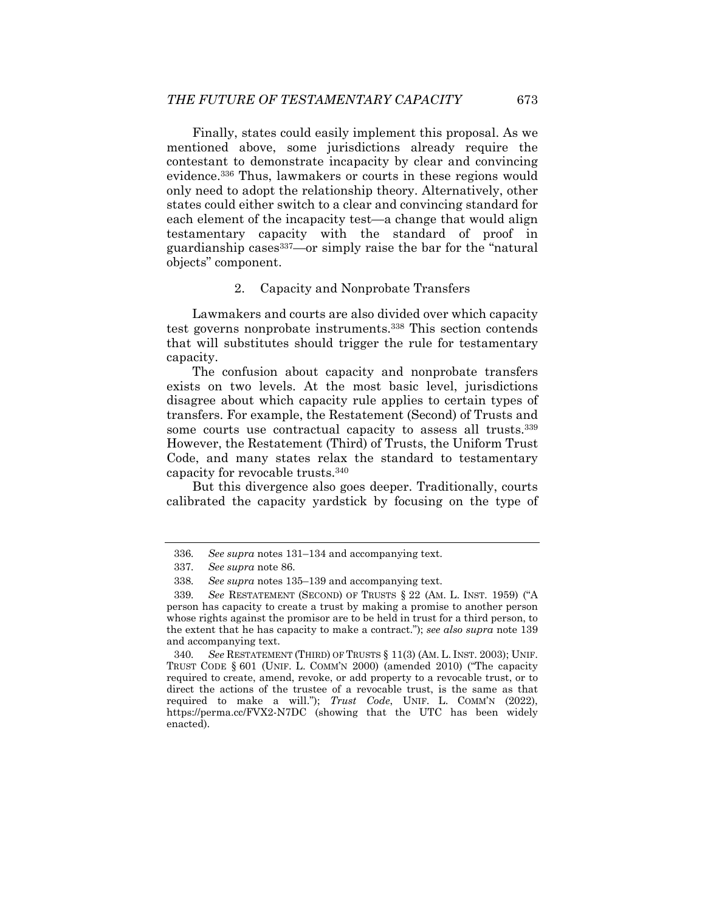Finally, states could easily implement this proposal. As we mentioned above, some jurisdictions already require the contestant to demonstrate incapacity by clear and convincing evidence.336 Thus, lawmakers or courts in these regions would only need to adopt the relationship theory. Alternatively, other states could either switch to a clear and convincing standard for each element of the incapacity test—a change that would align testamentary capacity with the standard of proof in guardianship cases337—or simply raise the bar for the "natural objects" component.

#### 2. Capacity and Nonprobate Transfers

Lawmakers and courts are also divided over which capacity test governs nonprobate instruments.338 This section contends that will substitutes should trigger the rule for testamentary capacity.

The confusion about capacity and nonprobate transfers exists on two levels. At the most basic level, jurisdictions disagree about which capacity rule applies to certain types of transfers. For example, the Restatement (Second) of Trusts and some courts use contractual capacity to assess all trusts.<sup>339</sup> However, the Restatement (Third) of Trusts, the Uniform Trust Code, and many states relax the standard to testamentary capacity for revocable trusts.340

But this divergence also goes deeper. Traditionally, courts calibrated the capacity yardstick by focusing on the type of

340*. See* RESTATEMENT (THIRD) OF TRUSTS § 11(3) (AM. L. INST. 2003); UNIF. TRUST CODE § 601 (UNIF. L. COMM'N 2000) (amended 2010) ("The capacity required to create, amend, revoke, or add property to a revocable trust, or to direct the actions of the trustee of a revocable trust, is the same as that required to make a will."); *Trust Code*, UNIF. L. COMM'N (2022), https://perma.cc/FVX2-N7DC (showing that the UTC has been widely enacted).

<sup>336</sup>*. See supra* notes 131–134 and accompanying text.

<sup>337</sup>*. See supra* note 86.

<sup>338</sup>*. See supra* notes 135–139 and accompanying text.

<sup>339</sup>*. See* RESTATEMENT (SECOND) OF TRUSTS § 22 (AM. L. INST. 1959) ("A person has capacity to create a trust by making a promise to another person whose rights against the promisor are to be held in trust for a third person, to the extent that he has capacity to make a contract."); *see also supra* note 139 and accompanying text.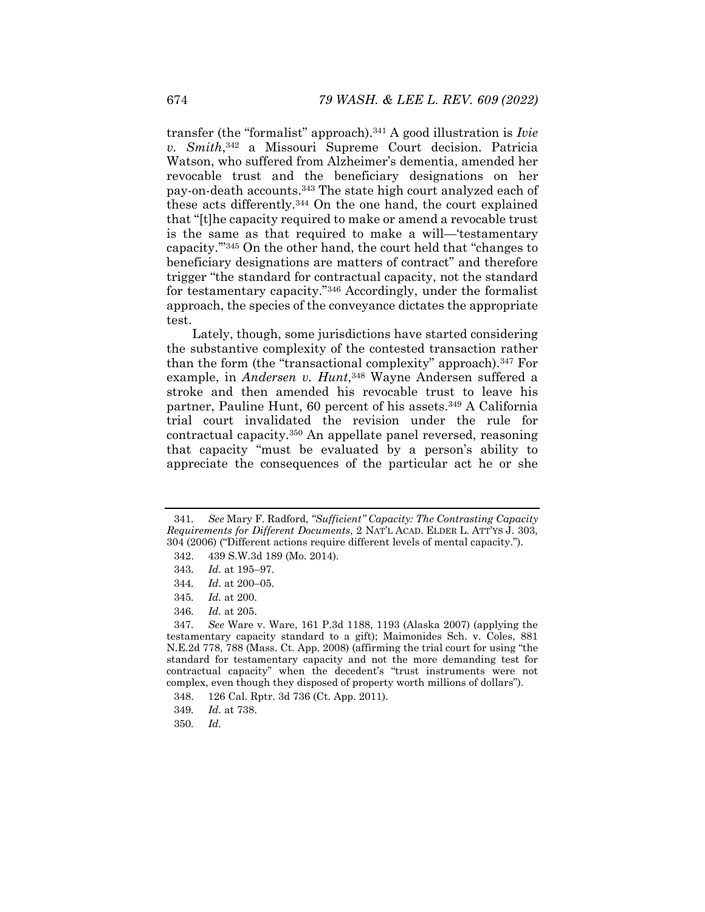transfer (the "formalist" approach).341 A good illustration is *Ivie v. Smith*,342 a Missouri Supreme Court decision. Patricia Watson, who suffered from Alzheimer's dementia, amended her revocable trust and the beneficiary designations on her pay-on-death accounts.343 The state high court analyzed each of these acts differently.344 On the one hand, the court explained that "[t]he capacity required to make or amend a revocable trust is the same as that required to make a will—'testamentary capacity.'"345 On the other hand, the court held that "changes to beneficiary designations are matters of contract" and therefore trigger "the standard for contractual capacity, not the standard for testamentary capacity."346 Accordingly, under the formalist approach, the species of the conveyance dictates the appropriate test.

Lately, though, some jurisdictions have started considering the substantive complexity of the contested transaction rather than the form (the "transactional complexity" approach).347 For example, in *Andersen v. Hunt*,<sup>348</sup> Wayne Andersen suffered a stroke and then amended his revocable trust to leave his partner, Pauline Hunt, 60 percent of his assets.<sup>349</sup> A California trial court invalidated the revision under the rule for contractual capacity.350 An appellate panel reversed, reasoning that capacity "must be evaluated by a person's ability to appreciate the consequences of the particular act he or she

344*. Id.* at 200–05.

<sup>341</sup>*. See* Mary F. Radford, *"Sufficient" Capacity: The Contrasting Capacity Requirements for Different Documents*, 2 NAT'L ACAD. ELDER L. ATT'YS J. 303, 304 (2006) ("Different actions require different levels of mental capacity.").

 <sup>342. 439</sup> S.W.3d 189 (Mo. 2014).

<sup>343</sup>*. Id.* at 195–97.

<sup>345</sup>*. Id.* at 200.

<sup>346</sup>*. Id.* at 205.

<sup>347</sup>*. See* Ware v. Ware, 161 P.3d 1188, 1193 (Alaska 2007) (applying the testamentary capacity standard to a gift); Maimonides Sch. v. Coles, 881 N.E.2d 778, 788 (Mass. Ct. App. 2008) (affirming the trial court for using "the standard for testamentary capacity and not the more demanding test for contractual capacity" when the decedent's "trust instruments were not complex, even though they disposed of property worth millions of dollars").

 <sup>348. 126</sup> Cal. Rptr. 3d 736 (Ct. App. 2011).

<sup>349</sup>*. Id.* at 738.

<sup>350</sup>*. Id.*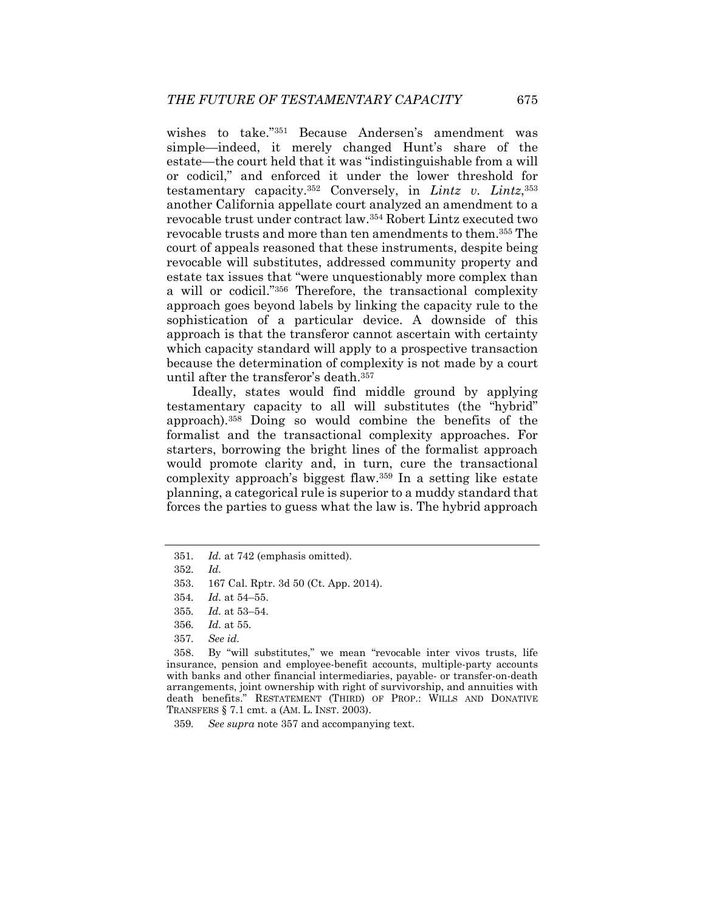wishes to take."351 Because Andersen's amendment was simple—indeed, it merely changed Hunt's share of the estate—the court held that it was "indistinguishable from a will or codicil," and enforced it under the lower threshold for testamentary capacity.352 Conversely, in *Lintz v. Lintz*,353 another California appellate court analyzed an amendment to a revocable trust under contract law.354 Robert Lintz executed two revocable trusts and more than ten amendments to them.355 The court of appeals reasoned that these instruments, despite being revocable will substitutes, addressed community property and estate tax issues that "were unquestionably more complex than a will or codicil."356 Therefore, the transactional complexity approach goes beyond labels by linking the capacity rule to the sophistication of a particular device. A downside of this approach is that the transferor cannot ascertain with certainty which capacity standard will apply to a prospective transaction because the determination of complexity is not made by a court until after the transferor's death.357

Ideally, states would find middle ground by applying testamentary capacity to all will substitutes (the "hybrid" approach).358 Doing so would combine the benefits of the formalist and the transactional complexity approaches. For starters, borrowing the bright lines of the formalist approach would promote clarity and, in turn, cure the transactional complexity approach's biggest flaw.359 In a setting like estate planning, a categorical rule is superior to a muddy standard that forces the parties to guess what the law is. The hybrid approach

- 356*. Id.* at 55.
- 357*. See id.*

 358. By "will substitutes," we mean "revocable inter vivos trusts, life insurance, pension and employee-benefit accounts, multiple-party accounts with banks and other financial intermediaries, payable- or transfer-on-death arrangements, joint ownership with right of survivorship, and annuities with death benefits." RESTATEMENT (THIRD) OF PROP.: WILLS AND DONATIVE TRANSFERS § 7.1 cmt. a (AM. L. INST. 2003).

359*. See supra* note 357 and accompanying text.

<sup>351</sup>*. Id.* at 742 (emphasis omitted).

<sup>352</sup>*. Id.*

 <sup>353. 167</sup> Cal. Rptr. 3d 50 (Ct. App. 2014).

<sup>354</sup>*. Id.* at 54–55.

<sup>355</sup>*. Id.* at 53–54.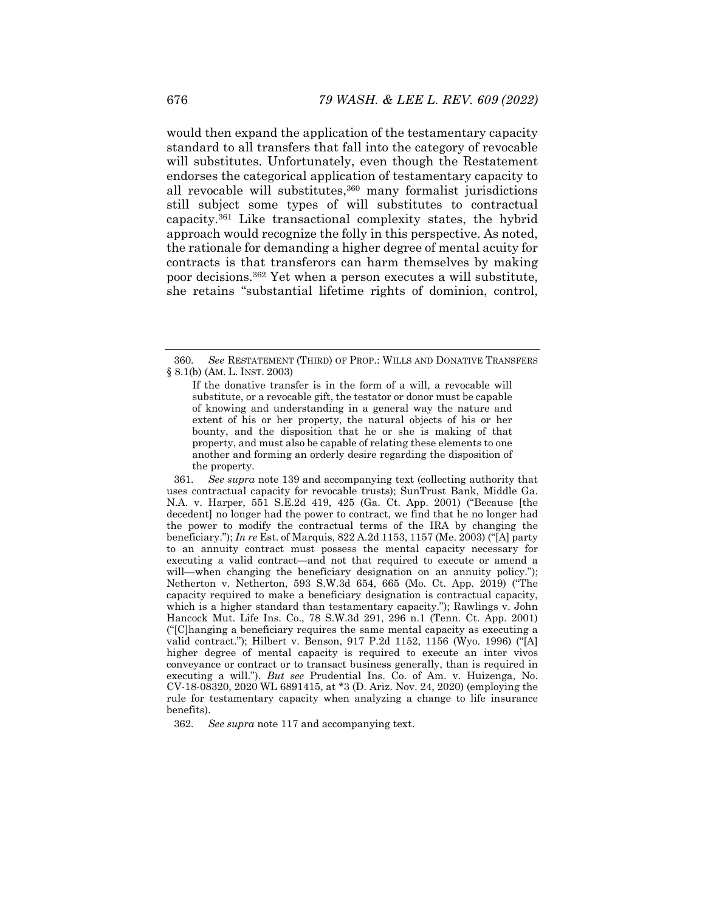would then expand the application of the testamentary capacity standard to all transfers that fall into the category of revocable will substitutes. Unfortunately, even though the Restatement endorses the categorical application of testamentary capacity to all revocable will substitutes,<sup>360</sup> many formalist jurisdictions still subject some types of will substitutes to contractual capacity.361 Like transactional complexity states, the hybrid approach would recognize the folly in this perspective. As noted, the rationale for demanding a higher degree of mental acuity for contracts is that transferors can harm themselves by making poor decisions.362 Yet when a person executes a will substitute, she retains "substantial lifetime rights of dominion, control,

361*. See supra* note 139 and accompanying text (collecting authority that uses contractual capacity for revocable trusts); SunTrust Bank, Middle Ga. N.A. v. Harper, 551 S.E.2d 419, 425 (Ga. Ct. App. 2001) ("Because [the decedent] no longer had the power to contract, we find that he no longer had the power to modify the contractual terms of the IRA by changing the beneficiary."); *In re* Est. of Marquis, 822 A.2d 1153, 1157 (Me. 2003) ("[A] party to an annuity contract must possess the mental capacity necessary for executing a valid contract—and not that required to execute or amend a will—when changing the beneficiary designation on an annuity policy."); Netherton v. Netherton, 593 S.W.3d 654, 665 (Mo. Ct. App. 2019) ("The capacity required to make a beneficiary designation is contractual capacity, which is a higher standard than testamentary capacity."); Rawlings v. John Hancock Mut. Life Ins. Co., 78 S.W.3d 291, 296 n.1 (Tenn. Ct. App. 2001) ("[C]hanging a beneficiary requires the same mental capacity as executing a valid contract."); Hilbert v. Benson, 917 P.2d 1152, 1156 (Wyo. 1996) ("[A] higher degree of mental capacity is required to execute an inter vivos conveyance or contract or to transact business generally, than is required in executing a will."). *But see* Prudential Ins. Co. of Am. v. Huizenga, No. CV-18-08320, 2020 WL 6891415, at \*3 (D. Ariz. Nov. 24, 2020) (employing the rule for testamentary capacity when analyzing a change to life insurance benefits).

362*. See supra* note 117 and accompanying text.

<sup>360</sup>*. See* RESTATEMENT (THIRD) OF PROP.: WILLS AND DONATIVE TRANSFERS § 8.1(b) (AM. L. INST. 2003)

If the donative transfer is in the form of a will, a revocable will substitute, or a revocable gift, the testator or donor must be capable of knowing and understanding in a general way the nature and extent of his or her property, the natural objects of his or her bounty, and the disposition that he or she is making of that property, and must also be capable of relating these elements to one another and forming an orderly desire regarding the disposition of the property.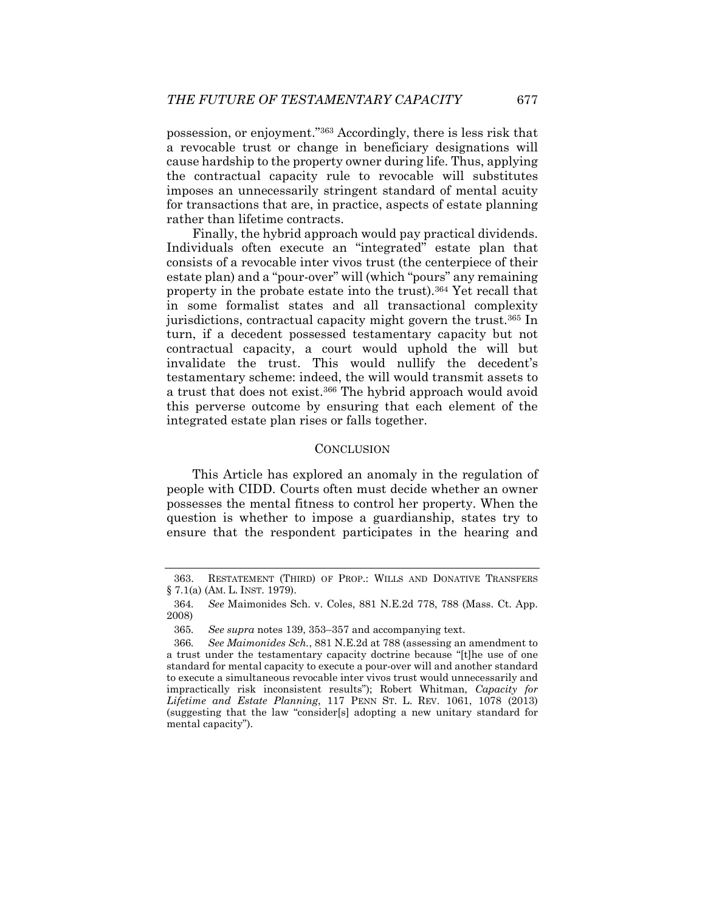possession, or enjoyment."363 Accordingly, there is less risk that a revocable trust or change in beneficiary designations will cause hardship to the property owner during life. Thus, applying the contractual capacity rule to revocable will substitutes imposes an unnecessarily stringent standard of mental acuity for transactions that are, in practice, aspects of estate planning rather than lifetime contracts.

Finally, the hybrid approach would pay practical dividends. Individuals often execute an "integrated" estate plan that consists of a revocable inter vivos trust (the centerpiece of their estate plan) and a "pour-over" will (which "pours" any remaining property in the probate estate into the trust).364 Yet recall that in some formalist states and all transactional complexity jurisdictions, contractual capacity might govern the trust.365 In turn, if a decedent possessed testamentary capacity but not contractual capacity, a court would uphold the will but invalidate the trust. This would nullify the decedent's testamentary scheme: indeed, the will would transmit assets to a trust that does not exist.366 The hybrid approach would avoid this perverse outcome by ensuring that each element of the integrated estate plan rises or falls together.

## **CONCLUSION**

This Article has explored an anomaly in the regulation of people with CIDD. Courts often must decide whether an owner possesses the mental fitness to control her property. When the question is whether to impose a guardianship, states try to ensure that the respondent participates in the hearing and

 <sup>363.</sup> RESTATEMENT (THIRD) OF PROP.: WILLS AND DONATIVE TRANSFERS § 7.1(a) (AM. L. INST. 1979).

<sup>364</sup>*. See* Maimonides Sch. v. Coles, 881 N.E.2d 778, 788 (Mass. Ct. App. 2008)

<sup>365</sup>*. See supra* notes 139, 353–357 and accompanying text.

<sup>366</sup>*. See Maimonides Sch.*, 881 N.E.2d at 788 (assessing an amendment to a trust under the testamentary capacity doctrine because "[t]he use of one standard for mental capacity to execute a pour-over will and another standard to execute a simultaneous revocable inter vivos trust would unnecessarily and impractically risk inconsistent results"); Robert Whitman, *Capacity for Lifetime and Estate Planning*, 117 PENN ST. L. REV. 1061, 1078 (2013) (suggesting that the law "consider[s] adopting a new unitary standard for mental capacity").